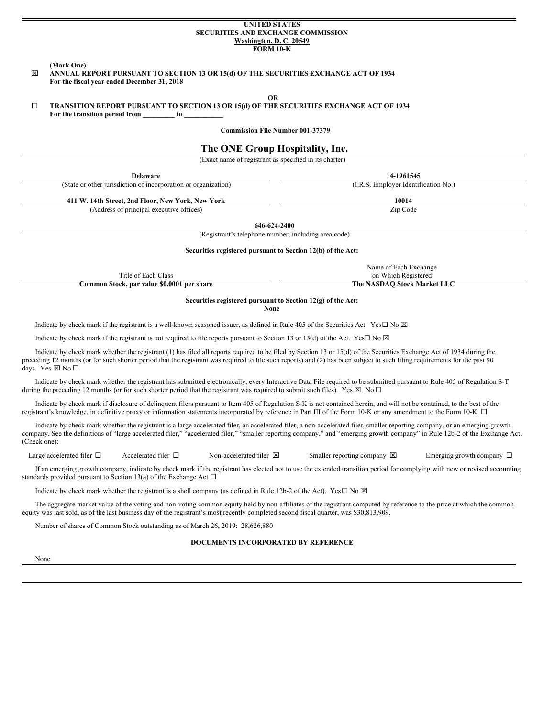# **UNITED STATES SECURITIES AND EXCHANGE COMMISSION Washington, D. C. 20549 FORM 10-K**

**(Mark One)**

x **ANNUAL REPORT PURSUANT TO SECTION 13 OR 15(d) OF THE SECURITIES EXCHANGE ACT OF 1934 For the fiscal year ended December 31, 2018**

**OR**

# ¨ **TRANSITION REPORT PURSUANT TO SECTION 13 OR 15(d) OF THE SECURITIES EXCHANGE ACT OF 1934**

**For the transition period from \_\_\_\_\_\_\_\_\_ to \_\_\_\_\_\_\_\_\_\_\_**

**Commission File Number 001-37379**

| The ONE Group Hospitality, Inc.                                                                                                                                                                                                                                                                                                                                              |                                                                         |  |  |  |  |  |  |
|------------------------------------------------------------------------------------------------------------------------------------------------------------------------------------------------------------------------------------------------------------------------------------------------------------------------------------------------------------------------------|-------------------------------------------------------------------------|--|--|--|--|--|--|
| (Exact name of registrant as specified in its charter)                                                                                                                                                                                                                                                                                                                       |                                                                         |  |  |  |  |  |  |
| <b>Delaware</b>                                                                                                                                                                                                                                                                                                                                                              | 14-1961545                                                              |  |  |  |  |  |  |
| (State or other jurisdiction of incorporation or organization)                                                                                                                                                                                                                                                                                                               | (I.R.S. Employer Identification No.)                                    |  |  |  |  |  |  |
| 411 W. 14th Street, 2nd Floor, New York, New York                                                                                                                                                                                                                                                                                                                            | 10014                                                                   |  |  |  |  |  |  |
| (Address of principal executive offices)                                                                                                                                                                                                                                                                                                                                     | Zip Code                                                                |  |  |  |  |  |  |
| 646-624-2400                                                                                                                                                                                                                                                                                                                                                                 |                                                                         |  |  |  |  |  |  |
| (Registrant's telephone number, including area code)                                                                                                                                                                                                                                                                                                                         |                                                                         |  |  |  |  |  |  |
| Securities registered pursuant to Section 12(b) of the Act:                                                                                                                                                                                                                                                                                                                  |                                                                         |  |  |  |  |  |  |
|                                                                                                                                                                                                                                                                                                                                                                              | Name of Each Exchange                                                   |  |  |  |  |  |  |
| Title of Each Class<br>Common Stock, par value \$0.0001 per share                                                                                                                                                                                                                                                                                                            | on Which Registered<br>The NASDAO Stock Market LLC                      |  |  |  |  |  |  |
| Securities registered pursuant to Section 12(g) of the Act:<br><b>None</b>                                                                                                                                                                                                                                                                                                   |                                                                         |  |  |  |  |  |  |
| Indicate by check mark if the registrant is a well-known seasoned issuer, as defined in Rule 405 of the Securities Act. Yes $\Box$ No $\boxtimes$                                                                                                                                                                                                                            |                                                                         |  |  |  |  |  |  |
| Indicate by check mark if the registrant is not required to file reports pursuant to Section 13 or 15(d) of the Act. Yes $\square$ No $\boxtimes$                                                                                                                                                                                                                            |                                                                         |  |  |  |  |  |  |
| Indicate by check mark whether the registrant (1) has filed all reports required to be filed by Section 13 or 15(d) of the Securities Exchange Act of 1934 during the<br>preceding 12 months (or for such shorter period that the registrant was required to file such reports) and (2) has been subject to such filing requirements for the past 90<br>days. Yes ⊠ No □     |                                                                         |  |  |  |  |  |  |
| Indicate by check mark whether the registrant has submitted electronically, every Interactive Data File required to be submitted pursuant to Rule 405 of Regulation S-T<br>during the preceding 12 months (or for such shorter period that the registrant was required to submit such files). Yes $\boxtimes$ No $\square$                                                   |                                                                         |  |  |  |  |  |  |
| Indicate by check mark if disclosure of delinguent filers pursuant to Item 405 of Regulation S-K is not contained herein, and will not be contained, to the best of the<br>registrant's knowledge, in definitive proxy or information statements incorporated by reference in Part III of the Form 10-K or any amendment to the Form 10-K. $\Box$                            |                                                                         |  |  |  |  |  |  |
| Indicate by check mark whether the registrant is a large accelerated filer, an accelerated filer, a non-accelerated filer, smaller reporting company, or an emerging growth<br>company. See the definitions of "large accelerated filer," "accelerated filer," "smaller reporting company," and "emerging growth company" in Rule 12b-2 of the Exchange Act.<br>(Check one): |                                                                         |  |  |  |  |  |  |
| Accelerated filer $\Box$<br>Non-accelerated filer $\boxtimes$<br>Large accelerated filer $\Box$                                                                                                                                                                                                                                                                              | Smaller reporting company $\boxtimes$<br>Emerging growth company $\Box$ |  |  |  |  |  |  |
| If an emerging growth company, indicate by check mark if the registrant has elected not to use the extended transition period for complying with new or revised accounting<br>standards provided pursuant to Section 13(a) of the Exchange Act $\Box$                                                                                                                        |                                                                         |  |  |  |  |  |  |
| Indicate by check mark whether the registrant is a shell company (as defined in Rule 12b-2 of the Act). Yes $\Box$ No $\boxtimes$                                                                                                                                                                                                                                            |                                                                         |  |  |  |  |  |  |
| The aggregate market value of the voting and non-voting common equity held by non-affiliates of the registrant computed by reference to the price at which the common<br>equity was last sold, as of the last business day of the registrant's most recently completed second fiscal quarter, was \$30,813,909.                                                              |                                                                         |  |  |  |  |  |  |
| Number of shares of Common Stock outstanding as of March 26, 2019: 28, 626, 880                                                                                                                                                                                                                                                                                              |                                                                         |  |  |  |  |  |  |

# **DOCUMENTS INCORPORATED BY REFERENCE**

None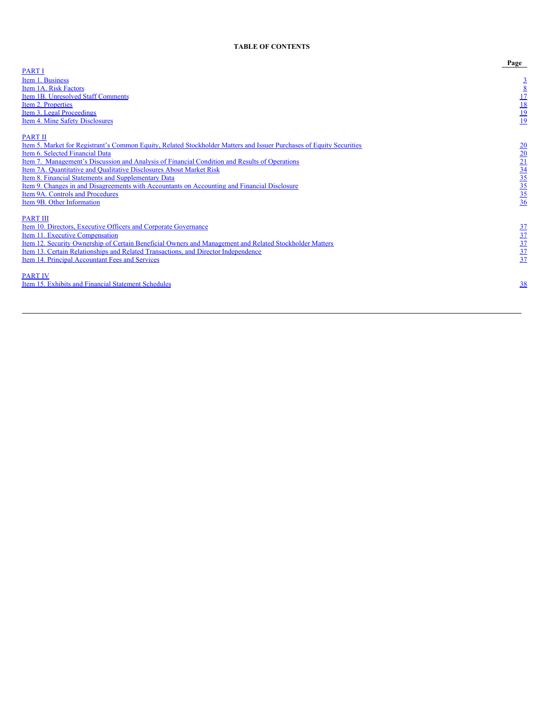# **TABLE OF CONTENTS**

|                                                                                                                      | Page                                                                    |
|----------------------------------------------------------------------------------------------------------------------|-------------------------------------------------------------------------|
| <b>PART I</b>                                                                                                        |                                                                         |
| Item 1. Business                                                                                                     |                                                                         |
| Item 1A. Risk Factors                                                                                                |                                                                         |
| Item 1B. Unresolved Staff Comments                                                                                   | $\frac{3}{8}$<br>$\frac{17}{18}$<br>$\frac{19}{19}$                     |
| Item 2. Properties                                                                                                   |                                                                         |
| Item 3. Legal Proceedings                                                                                            |                                                                         |
| Item 4. Mine Safety Disclosures                                                                                      |                                                                         |
|                                                                                                                      |                                                                         |
| <b>PART II</b>                                                                                                       |                                                                         |
| Item 5. Market for Registrant's Common Equity, Related Stockholder Matters and Issuer Purchases of Equity Securities |                                                                         |
| Item 6. Selected Financial Data                                                                                      |                                                                         |
| Item 7. Management's Discussion and Analysis of Financial Condition and Results of Operations                        |                                                                         |
| Item 7A. Quantitative and Qualitative Disclosures About Market Risk                                                  |                                                                         |
| Item 8. Financial Statements and Supplementary Data                                                                  |                                                                         |
| Item 9. Changes in and Disagreements with Accountants on Accounting and Financial Disclosure                         | $\frac{20}{21} \frac{21}{34} \frac{31}{35} \frac{35}{35} \frac{35}{36}$ |
| Item 9A. Controls and Procedures                                                                                     |                                                                         |
| Item 9B. Other Information                                                                                           |                                                                         |
|                                                                                                                      |                                                                         |
| <b>PART III</b>                                                                                                      |                                                                         |
| Item 10. Directors, Executive Officers and Corporate Governance                                                      |                                                                         |
| Item 11. Executive Compensation                                                                                      |                                                                         |
| Item 12. Security Ownership of Certain Beneficial Owners and Management and Related Stockholder Matters              | $\frac{37}{37}$<br>$\frac{37}{37}$<br>$\frac{37}{37}$                   |
| Item 13. Certain Relationships and Related Transactions, and Director Independence                                   |                                                                         |
| <b>Item 14. Principal Accountant Fees and Services</b>                                                               |                                                                         |
|                                                                                                                      |                                                                         |
| <b>PART IV</b>                                                                                                       |                                                                         |
| Item 15. Exhibits and Financial Statement Schedules                                                                  | 38                                                                      |
|                                                                                                                      |                                                                         |
|                                                                                                                      |                                                                         |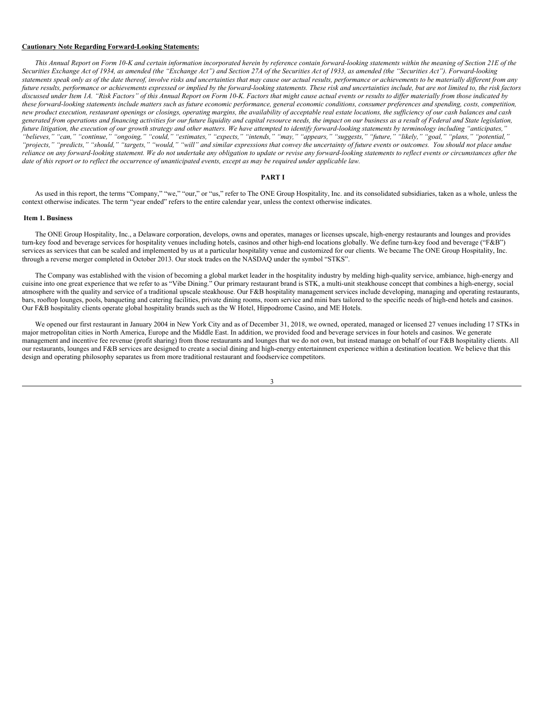### **Cautionary Note Regarding Forward-Looking Statements:**

This Annual Report on Form 10-K and certain information incorporated herein by reference contain forward-looking statements within the meaning of Section 21E of the Securities Exchange Act of 1934, as amended (the "Exchange Act") and Section 27A of the Securities Act of 1933, as amended (the "Securities Act"). Forward-looking statements speak only as of the date thereof, involve risks and uncertainties that may cause our actual results, performance or achievements to be materially different from any future results, performance or achievements expressed or implied by the forward-looking statements. These risk and uncertainties include, but are not limited to, the risk factors discussed under Item 1A. "Risk Factors" of this Annual Report on Form 10-K. Factors that might cause actual events or results to differ materially from those indicated by these forward-looking statements include matters such as future economic performance, general economic conditions, consumer preferences and spending, costs, competition, new product execution, restaurant openings or closings, operating margins, the availability of acceptable real estate locations, the sufficiency of our cash balances and cash generated from operations and financing activities for our future liquidity and capital resource needs, the impact on our business as a result of Federal and State legislation, future litigation, the execution of our growth strategy and other matters. We have attempted to identify forward-looking statements by terminology including "anticipates," "believes," "can," "continue," "ongoing," "could," "estimates," "expects," "intends," "may," "appears," "suggests," "future," "likely," "goal," "plans," "potential," "projects," "predicts," "should," "targets," "would," "will" and similar expressions that convey the uncertainty of future events or outcomes. You should not place undue reliance on any forward-looking statement. We do not undertake any obligation to update or revise any forward-looking statements to reflect events or circumstances after the date of this report or to reflect the occurrence of unanticipated events, except as may be required under applicable law.

# <span id="page-2-0"></span>**PART I**

As used in this report, the terms "Company," "we," "our," or "us," refer to The ONE Group Hospitality, Inc. and its consolidated subsidiaries, taken as a whole, unless the context otherwise indicates. The term "year ended" refers to the entire calendar year, unless the context otherwise indicates.

### <span id="page-2-1"></span>**Item 1. Business**

The ONE Group Hospitality, Inc., a Delaware corporation, develops, owns and operates, manages or licenses upscale, high-energy restaurants and lounges and provides turn-key food and beverage services for hospitality venues including hotels, casinos and other high-end locations globally. We define turn-key food and beverage ("F&B") services as services that can be scaled and implemented by us at a particular hospitality venue and customized for our clients. We became The ONE Group Hospitality, Inc. through a reverse merger completed in October 2013. Our stock trades on the NASDAQ under the symbol "STKS".

The Company was established with the vision of becoming a global market leader in the hospitality industry by melding high-quality service, ambiance, high-energy and cuisine into one great experience that we refer to as "Vibe Dining." Our primary restaurant brand is STK, a multi-unit steakhouse concept that combines a high-energy, social atmosphere with the quality and service of a traditional upscale steakhouse. Our F&B hospitality management services include developing, managing and operating restaurants, bars, rooftop lounges, pools, banqueting and catering facilities, private dining rooms, room service and mini bars tailored to the specific needs of high-end hotels and casinos. Our F&B hospitality clients operate global hospitality brands such as the W Hotel, Hippodrome Casino, and ME Hotels.

We opened our first restaurant in January 2004 in New York City and as of December 31, 2018, we owned, operated, managed or licensed 27 venues including 17 STKs in major metropolitan cities in North America, Europe and the Middle East. In addition, we provided food and beverage services in four hotels and casinos. We generate management and incentive fee revenue (profit sharing) from those restaurants and lounges that we do not own, but instead manage on behalf of our F&B hospitality clients. All our restaurants, lounges and F&B services are designed to create a social dining and high-energy entertainment experience within a destination location. We believe that this design and operating philosophy separates us from more traditional restaurant and foodservice competitors.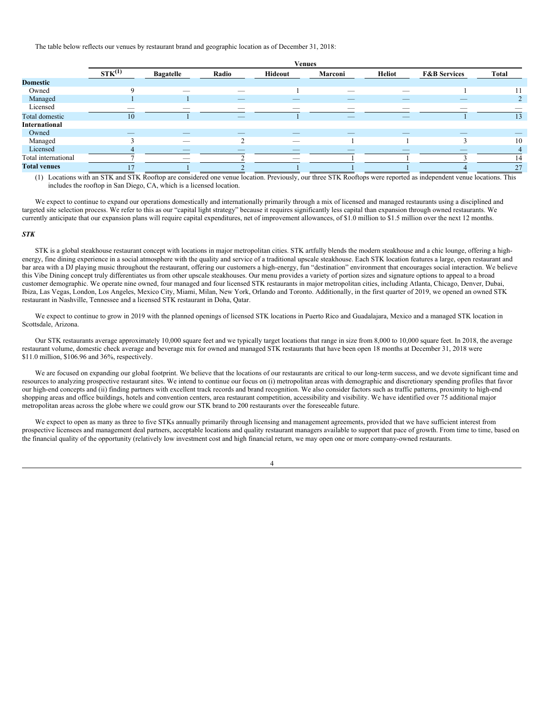The table below reflects our venues by restaurant brand and geographic location as of December 31, 2018:

|                     | Venues      |                          |                                |                          |                          |                          |                          |       |  |  |
|---------------------|-------------|--------------------------|--------------------------------|--------------------------|--------------------------|--------------------------|--------------------------|-------|--|--|
|                     | $STK^{(1)}$ | <b>Bagatelle</b>         | Radio                          | Hideout                  | Marconi                  | <b>Heliot</b>            | <b>F&amp;B Services</b>  | Total |  |  |
| <b>Domestic</b>     |             |                          |                                |                          |                          |                          |                          |       |  |  |
| Owned               | Q           | $\overline{\phantom{a}}$ | $\overbrace{\hspace{25mm}}^{}$ |                          | $\overline{\phantom{a}}$ | $\overline{\phantom{a}}$ |                          | 11    |  |  |
| Managed             |             |                          | $\overline{\phantom{a}}$       | _                        | _                        | $-$                      | $\overline{\phantom{a}}$ |       |  |  |
| Licensed            | __          | _                        |                                |                          |                          |                          |                          |       |  |  |
| Total domestic      | 10          |                          | $\qquad \qquad - \qquad$       |                          | $\overline{\phantom{a}}$ | $-$                      |                          | 13    |  |  |
| International       |             |                          |                                |                          |                          |                          |                          |       |  |  |
| Owned               |             |                          | $\qquad \qquad - \qquad$       | _                        | $\overline{\phantom{a}}$ | _                        | _                        |       |  |  |
| Managed             |             | _                        |                                | $-$                      |                          |                          |                          | 10    |  |  |
| Licensed            |             |                          |                                |                          |                          |                          |                          |       |  |  |
| Total international |             | $\overline{\phantom{a}}$ |                                | $\overline{\phantom{a}}$ |                          |                          |                          | 14    |  |  |
| <b>Total venues</b> | 17          |                          |                                |                          |                          |                          |                          | 27    |  |  |

(1) Locations with an STK and STK Rooftop are considered one venue location. Previously, our three STK Rooftops were reported as independent venue locations. This includes the rooftop in San Diego, CA, which is a licensed location.

We expect to continue to expand our operations domestically and internationally primarily through a mix of licensed and managed restaurants using a disciplined and targeted site selection process. We refer to this as our "capital light strategy" because it requires significantly less capital than expansion through owned restaurants. We currently anticipate that our expansion plans will require capital expenditures, net of improvement allowances, of \$1.0 million to \$1.5 million over the next 12 months.

# *STK*

STK is a global steakhouse restaurant concept with locations in major metropolitan cities. STK artfully blends the modern steakhouse and a chic lounge, offering a highenergy, fine dining experience in a social atmosphere with the quality and service of a traditional upscale steakhouse. Each STK location features a large, open restaurant and bar area with a DJ playing music throughout the restaurant, offering our customers a high-energy, fun "destination" environment that encourages social interaction. We believe this Vibe Dining concept truly differentiates us from other upscale steakhouses. Our menu provides a variety of portion sizes and signature options to appeal to a broad customer demographic. We operate nine owned, four managed and four licensed STK restaurants in major metropolitan cities, including Atlanta, Chicago, Denver, Dubai, Ibiza, Las Vegas, London, Los Angeles, Mexico City, Miami, Milan, New York, Orlando and Toronto. Additionally, in the first quarter of 2019, we opened an owned STK restaurant in Nashville, Tennessee and a licensed STK restaurant in Doha, Qatar.

We expect to continue to grow in 2019 with the planned openings of licensed STK locations in Puerto Rico and Guadalajara, Mexico and a managed STK location in Scottsdale, Arizona.

Our STK restaurants average approximately 10,000 square feet and we typically target locations that range in size from 8,000 to 10,000 square feet. In 2018, the average restaurant volume, domestic check average and beverage mix for owned and managed STK restaurants that have been open 18 months at December 31, 2018 were \$11.0 million, \$106.96 and 36%, respectively.

We are focused on expanding our global footprint. We believe that the locations of our restaurants are critical to our long-term success, and we devote significant time and resources to analyzing prospective restaurant sites. We intend to continue our focus on (i) metropolitan areas with demographic and discretionary spending profiles that favor our high-end concepts and (ii) finding partners with excellent track records and brand recognition. We also consider factors such as traffic patterns, proximity to high-end shopping areas and office buildings, hotels and convention centers, area restaurant competition, accessibility and visibility. We have identified over 75 additional major metropolitan areas across the globe where we could grow our STK brand to 200 restaurants over the foreseeable future.

We expect to open as many as three to five STKs annually primarily through licensing and management agreements, provided that we have sufficient interest from prospective licensees and management deal partners, acceptable locations and quality restaurant managers available to support that pace of growth. From time to time, based on the financial quality of the opportunity (relatively low investment cost and high financial return, we may open one or more company-owned restaurants.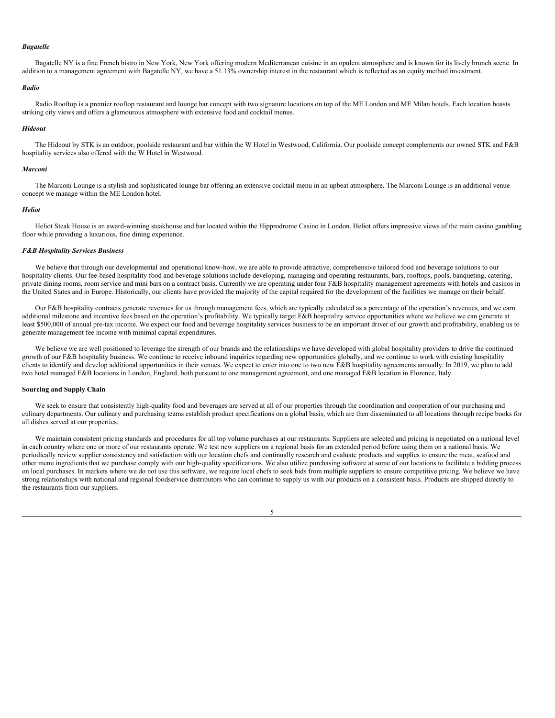### *Bagatelle*

Bagatelle NY is a fine French bistro in New York, New York offering modern Mediterranean cuisine in an opulent atmosphere and is known for its lively brunch scene. In addition to a management agreement with Bagatelle NY, we have a 51.13% ownership interest in the restaurant which is reflected as an equity method investment.

### *Radio*

Radio Rooftop is a premier rooftop restaurant and lounge bar concept with two signature locations on top of the ME London and ME Milan hotels. Each location boasts striking city views and offers a glamourous atmosphere with extensive food and cocktail menus.

### *Hideout*

The Hideout by STK is an outdoor, poolside restaurant and bar within the W Hotel in Westwood, California. Our poolside concept complements our owned STK and F&B hospitality services also offered with the W Hotel in Westwood.

#### *Marconi*

The Marconi Lounge is a stylish and sophisticated lounge bar offering an extensive cocktail menu in an upbeat atmosphere. The Marconi Lounge is an additional venue concept we manage within the ME London hotel.

### *Heliot*

Heliot Steak House is an award-winning steakhouse and bar located within the Hipprodrome Casino in London. Heliot offers impressive views of the main casino gambling floor while providing a luxurious, fine dining experience.

### *F&B Hospitality Services Business*

We believe that through our developmental and operational know-how, we are able to provide attractive, comprehensive tailored food and beverage solutions to our hospitality clients. Our fee-based hospitality food and beverage solutions include developing, managing and operating restaurants, bars, rooftops, pools, banqueting, catering, private dining rooms, room service and mini bars on a contract basis. Currently we are operating under four F&B hospitality management agreements with hotels and casinos in the United States and in Europe. Historically, our clients have provided the majority of the capital required for the development of the facilities we manage on their behalf.

Our F&B hospitality contracts generate revenues for us through management fees, which are typically calculated as a percentage of the operation's revenues, and we earn additional milestone and incentive fees based on the operation's profitability. We typically target F&B hospitality service opportunities where we believe we can generate at least \$500,000 of annual pre-tax income. We expect our food and beverage hospitality services business to be an important driver of our growth and profitability, enabling us to generate management fee income with minimal capital expenditures.

We believe we are well positioned to leverage the strength of our brands and the relationships we have developed with global hospitality providers to drive the continued growth of our F&B hospitality business. We continue to receive inbound inquiries regarding new opportunities globally, and we continue to work with existing hospitality clients to identify and develop additional opportunities in their venues. We expect to enter into one to two new F&B hospitality agreements annually. In 2019, we plan to add two hotel managed F&B locations in London, England, both pursuant to one management agreement, and one managed F&B location in Florence, Italy.

### **Sourcing and Supply Chain**

We seek to ensure that consistently high-quality food and beverages are served at all of our properties through the coordination and cooperation of our purchasing and culinary departments. Our culinary and purchasing teams establish product specifications on a global basis, which are then disseminated to all locations through recipe books for all dishes served at our properties.

We maintain consistent pricing standards and procedures for all top volume purchases at our restaurants. Suppliers are selected and pricing is negotiated on a national level in each country where one or more of our restaurants operate. We test new suppliers on a regional basis for an extended period before using them on a national basis. We periodically review supplier consistency and satisfaction with our location chefs and continually research and evaluate products and supplies to ensure the meat, seafood and other menu ingredients that we purchase comply with our high-quality specifications. We also utilize purchasing software at some of our locations to facilitate a bidding process on local purchases. In markets where we do not use this software, we require local chefs to seek bids from multiple suppliers to ensure competitive pricing. We believe we have strong relationships with national and regional foodservice distributors who can continue to supply us with our products on a consistent basis. Products are shipped directly to the restaurants from our suppliers.

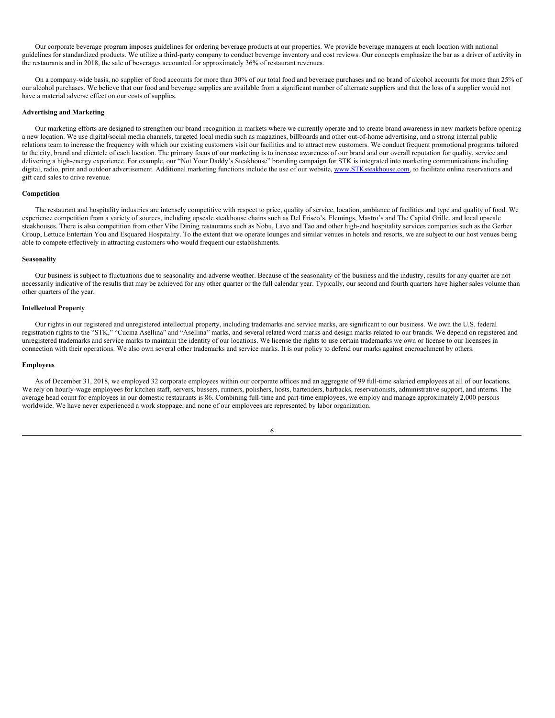Our corporate beverage program imposes guidelines for ordering beverage products at our properties. We provide beverage managers at each location with national guidelines for standardized products. We utilize a third-party company to conduct beverage inventory and cost reviews. Our concepts emphasize the bar as a driver of activity in the restaurants and in 2018, the sale of beverages accounted for approximately 36% of restaurant revenues.

On a company-wide basis, no supplier of food accounts for more than 30% of our total food and beverage purchases and no brand of alcohol accounts for more than 25% of our alcohol purchases. We believe that our food and beverage supplies are available from a significant number of alternate suppliers and that the loss of a supplier would not have a material adverse effect on our costs of supplies.

### **Advertising and Marketing**

Our marketing efforts are designed to strengthen our brand recognition in markets where we currently operate and to create brand awareness in new markets before opening a new location. We use digital/social media channels, targeted local media such as magazines, billboards and other out-of-home advertising, and a strong internal public relations team to increase the frequency with which our existing customers visit our facilities and to attract new customers. We conduct frequent promotional programs tailored to the city, brand and clientele of each location. The primary focus of our marketing is to increase awareness of our brand and our overall reputation for quality, service and delivering a high-energy experience. For example, our "Not Your Daddy's Steakhouse" branding campaign for STK is integrated into marketing communications including digital, radio, print and outdoor advertisement. Additional marketing functions include the use of our website, www.STKsteakhouse.com, to facilitate online reservations and gift card sales to drive revenue.

# **Competition**

The restaurant and hospitality industries are intensely competitive with respect to price, quality of service, location, ambiance of facilities and type and quality of food. We experience competition from a variety of sources, including upscale steakhouse chains such as Del Frisco's, Flemings, Mastro's and The Capital Grille, and local upscale steakhouses. There is also competition from other Vibe Dining restaurants such as Nobu, Lavo and Tao and other high-end hospitality services companies such as the Gerber Group, Lettuce Entertain You and Esquared Hospitality. To the extent that we operate lounges and similar venues in hotels and resorts, we are subject to our host venues being able to compete effectively in attracting customers who would frequent our establishments.

## **Seasonality**

Our business is subject to fluctuations due to seasonality and adverse weather. Because of the seasonality of the business and the industry, results for any quarter are not necessarily indicative of the results that may be achieved for any other quarter or the full calendar year. Typically, our second and fourth quarters have higher sales volume than other quarters of the year.

# **Intellectual Property**

Our rights in our registered and unregistered intellectual property, including trademarks and service marks, are significant to our business. We own the U.S. federal registration rights to the "STK," "Cucina Asellina" and "Asellina" marks, and several related word marks and design marks related to our brands. We depend on registered and unregistered trademarks and service marks to maintain the identity of our locations. We license the rights to use certain trademarks we own or license to our licensees in connection with their operations. We also own several other trademarks and service marks. It is our policy to defend our marks against encroachment by others.

### **Employees**

As of December 31, 2018, we employed 32 corporate employees within our corporate offices and an aggregate of 99 full-time salaried employees at all of our locations. We rely on hourly-wage employees for kitchen staff, servers, bussers, runners, polishers, hosts, bartenders, barbacks, reservationists, administrative support, and interns. The average head count for employees in our domestic restaurants is 86. Combining full-time and part-time employees, we employ and manage approximately 2,000 persons worldwide. We have never experienced a work stoppage, and none of our employees are represented by labor organization.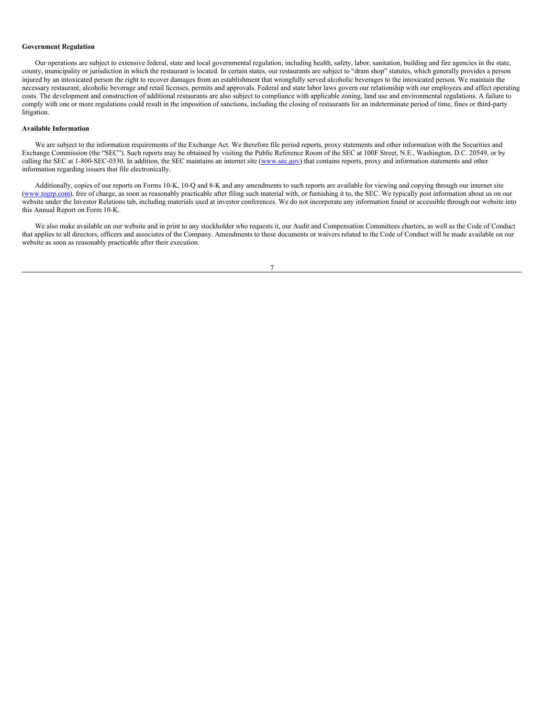### **Government Regulation**

Our operations are subject to extensive federal, state and local governmental regulation, including health, safety, labor, sanitation, building and fire agencies in the state, county, municipality or jurisdiction in which the restaurant is located. In certain states, our restaurants are subject to "dram shop" statutes, which generally provides a person injured by an intoxicated person the right to recover damages from an establishment that wrongfully served alcoholic beverages to the intoxicated person. We maintain the necessary restaurant, alcoholic beverage and retail licenses, permits and approvals. Federal and state labor laws govern our relationship with our employees and affect operating costs. The development and construction of additional restaurants are also subject to compliance with applicable zoning, land use and environmental regulations. A failure to comply with one or more regulations could result in the imposition of sanctions, including the closing of restaurants for an indeterminate period of time, fines or third-party litigation.

# **Available Information**

We are subject to the information requirements of the Exchange Act. We therefore file period reports, proxy statements and other information with the Securities and Exchange Commission (the "SEC"). Such reports may be obtained by visiting the Public Reference Room of the SEC at 100F Street, N.E., Washington, D.C. 20549, or by calling the SEC at 1-800-SEC-0330. In addition, the SEC maintains an internet site (www.sec.gov) that contains reports, proxy and information statements and other information regarding issuers that file electronically.

Additionally, copies of our reports on Forms 10-K, 10-Q and 8-K and any amendments to such reports are available for viewing and copying through our internet site (www.togrp.com), free of charge, as soon as reasonably practicable after filing such material with, or furnishing it to, the SEC. We typically post information about us on our website under the Investor Relations tab, including materials used at investor conferences. We do not incorporate any information found or accessible through our website into this Annual Report on Form 10-K.

We also make available on our website and in print to any stockholder who requests it, our Audit and Compensation Committees charters, as well as the Code of Conduct that applies to all directors, officers and associates of the Company. Amendments to these documents or waivers related to the Code of Conduct will be made available on our website as soon as reasonably practicable after their execution.

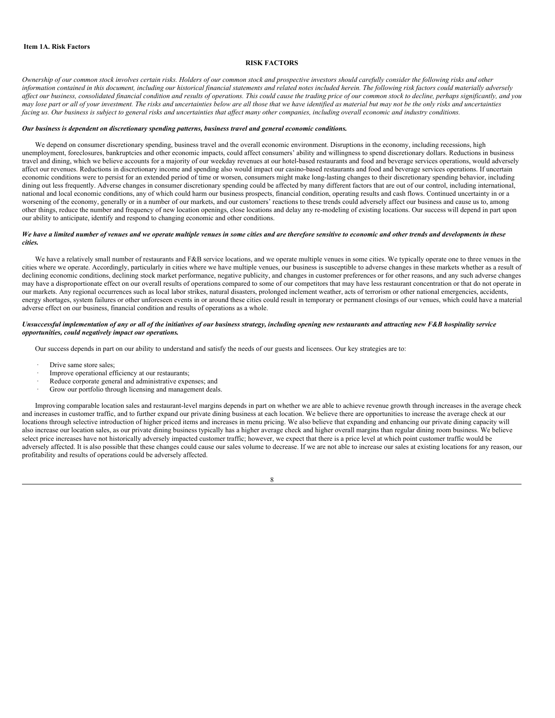## **RISK FACTORS**

<span id="page-7-0"></span>Ownership of our common stock involves certain risks. Holders of our common stock and prospective investors should carefully consider the following risks and other information contained in this document, including our historical financial statements and related notes included herein. The following risk factors could materially adversely affect our business, consolidated financial condition and results of operations. This could cause the trading price of our common stock to decline, perhaps significantly, and you may lose part or all of your investment. The risks and uncertainties below are all those that we have identified as material but may not be the only risks and uncertainties facing us. Our business is subject to general risks and uncertainties that affect many other companies, including overall economic and industry conditions.

## *Our business is dependent on discretionary spending patterns, business travel and general economic conditions.*

We depend on consumer discretionary spending, business travel and the overall economic environment. Disruptions in the economy, including recessions, high unemployment, foreclosures, bankruptcies and other economic impacts, could affect consumers' ability and willingness to spend discretionary dollars. Reductions in business travel and dining, which we believe accounts for a majority of our weekday revenues at our hotel-based restaurants and food and beverage services operations, would adversely affect our revenues. Reductions in discretionary income and spending also would impact our casino-based restaurants and food and beverage services operations. If uncertain economic conditions were to persist for an extended period of time or worsen, consumers might make long-lasting changes to their discretionary spending behavior, including dining out less frequently. Adverse changes in consumer discretionary spending could be affected by many different factors that are out of our control, including international, national and local economic conditions, any of which could harm our business prospects, financial condition, operating results and cash flows. Continued uncertainty in or a worsening of the economy, generally or in a number of our markets, and our customers' reactions to these trends could adversely affect our business and cause us to, among other things, reduce the number and frequency of new location openings, close locations and delay any re-modeling of existing locations. Our success will depend in part upon our ability to anticipate, identify and respond to changing economic and other conditions.

### We have a limited number of venues and we operate multiple venues in some cities and are therefore sensitive to economic and other trends and developments in these *cities.*

We have a relatively small number of restaurants and F&B service locations, and we operate multiple venues in some cities. We typically operate one to three venues in the cities where we operate. Accordingly, particularly in cities where we have multiple venues, our business is susceptible to adverse changes in these markets whether as a result of declining economic conditions, declining stock market performance, negative publicity, and changes in customer preferences or for other reasons, and any such adverse changes may have a disproportionate effect on our overall results of operations compared to some of our competitors that may have less restaurant concentration or that do not operate in our markets. Any regional occurrences such as local labor strikes, natural disasters, prolonged inclement weather, acts of terrorism or other national emergencies, accidents, energy shortages, system failures or other unforeseen events in or around these cities could result in temporary or permanent closings of our venues, which could have a material adverse effect on our business, financial condition and results of operations as a whole.

# Unsuccessful implementation of any or all of the initiatives of our business strategy, including opening new restaurants and attracting new F&B hospitality service *opportunities, could negatively impact our operations.*

Our success depends in part on our ability to understand and satisfy the needs of our guests and licensees. Our key strategies are to:

- Drive same store sales:
- Improve operational efficiency at our restaurants;
- Reduce corporate general and administrative expenses; and
- Grow our portfolio through licensing and management deals.

Improving comparable location sales and restaurant-level margins depends in part on whether we are able to achieve revenue growth through increases in the average check and increases in customer traffic, and to further expand our private dining business at each location. We believe there are opportunities to increase the average check at our locations through selective introduction of higher priced items and increases in menu pricing. We also believe that expanding and enhancing our private dining capacity will also increase our location sales, as our private dining business typically has a higher average check and higher overall margins than regular dining room business. We believe select price increases have not historically adversely impacted customer traffic; however, we expect that there is a price level at which point customer traffic would be adversely affected. It is also possible that these changes could cause our sales volume to decrease. If we are not able to increase our sales at existing locations for any reason, our profitability and results of operations could be adversely affected.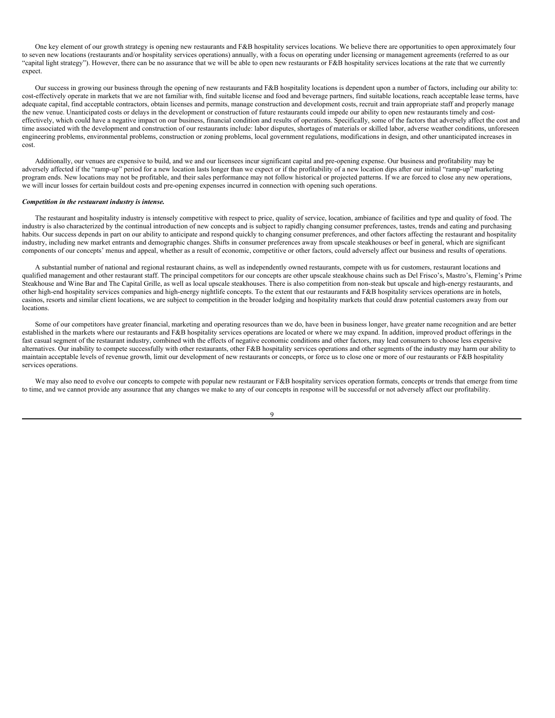One key element of our growth strategy is opening new restaurants and F&B hospitality services locations. We believe there are opportunities to open approximately four to seven new locations (restaurants and/or hospitality services operations) annually, with a focus on operating under licensing or management agreements (referred to as our "capital light strategy"). However, there can be no assurance that we will be able to open new restaurants or F&B hospitality services locations at the rate that we currently expect.

Our success in growing our business through the opening of new restaurants and F&B hospitality locations is dependent upon a number of factors, including our ability to: cost-effectively operate in markets that we are not familiar with, find suitable license and food and beverage partners, find suitable locations, reach acceptable lease terms, have adequate capital, find acceptable contractors, obtain licenses and permits, manage construction and development costs, recruit and train appropriate staff and properly manage the new venue. Unanticipated costs or delays in the development or construction of future restaurants could impede our ability to open new restaurants timely and costeffectively, which could have a negative impact on our business, financial condition and results of operations. Specifically, some of the factors that adversely affect the cost and time associated with the development and construction of our restaurants include: labor disputes, shortages of materials or skilled labor, adverse weather conditions, unforeseen engineering problems, environmental problems, construction or zoning problems, local government regulations, modifications in design, and other unanticipated increases in cost.

Additionally, our venues are expensive to build, and we and our licensees incur significant capital and pre-opening expense. Our business and profitability may be adversely affected if the "ramp-up" period for a new location lasts longer than we expect or if the profitability of a new location dips after our initial "ramp-up" marketing program ends. New locations may not be profitable, and their sales performance may not follow historical or projected patterns. If we are forced to close any new operations, we will incur losses for certain buildout costs and pre-opening expenses incurred in connection with opening such operations.

### *Competition in the restaurant industry is intense.*

The restaurant and hospitality industry is intensely competitive with respect to price, quality of service, location, ambiance of facilities and type and quality of food. The industry is also characterized by the continual introduction of new concepts and is subject to rapidly changing consumer preferences, tastes, trends and eating and purchasing habits. Our success depends in part on our ability to anticipate and respond quickly to changing consumer preferences, and other factors affecting the restaurant and hospitality industry, including new market entrants and demographic changes. Shifts in consumer preferences away from upscale steakhouses or beef in general, which are significant components of our concepts' menus and appeal, whether as a result of economic, competitive or other factors, could adversely affect our business and results of operations.

A substantial number of national and regional restaurant chains, as well as independently owned restaurants, compete with us for customers, restaurant locations and qualified management and other restaurant staff. The principal competitors for our concepts are other upscale steakhouse chains such as Del Frisco's, Mastro's, Fleming's Prime Steakhouse and Wine Bar and The Capital Grille, as well as local upscale steakhouses. There is also competition from non-steak but upscale and high-energy restaurants, and other high-end hospitality services companies and high-energy nightlife concepts. To the extent that our restaurants and F&B hospitality services operations are in hotels, casinos, resorts and similar client locations, we are subject to competition in the broader lodging and hospitality markets that could draw potential customers away from our locations.

Some of our competitors have greater financial, marketing and operating resources than we do, have been in business longer, have greater name recognition and are better established in the markets where our restaurants and F&B hospitality services operations are located or where we may expand. In addition, improved product offerings in the fast casual segment of the restaurant industry, combined with the effects of negative economic conditions and other factors, may lead consumers to choose less expensive alternatives. Our inability to compete successfully with other restaurants, other F&B hospitality services operations and other segments of the industry may harm our ability to maintain acceptable levels of revenue growth, limit our development of new restaurants or concepts, or force us to close one or more of our restaurants or F&B hospitality services operations.

We may also need to evolve our concepts to compete with popular new restaurant or F&B hospitality services operation formats, concepts or trends that emerge from time to time, and we cannot provide any assurance that any changes we make to any of our concepts in response will be successful or not adversely affect our profitability.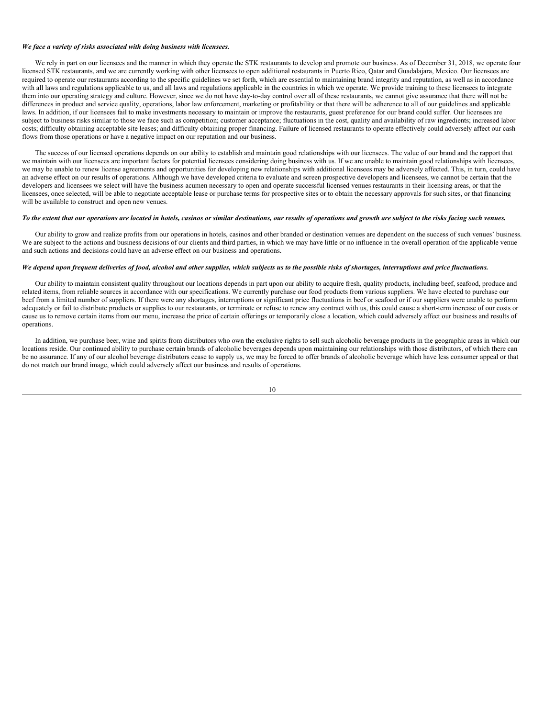### *We face a variety of risks associated with doing business with licensees.*

We rely in part on our licensees and the manner in which they operate the STK restaurants to develop and promote our business. As of December 31, 2018, we operate four licensed STK restaurants, and we are currently working with other licensees to open additional restaurants in Puerto Rico, Qatar and Guadalajara, Mexico. Our licensees are required to operate our restaurants according to the specific guidelines we set forth, which are essential to maintaining brand integrity and reputation, as well as in accordance with all laws and regulations applicable to us, and all laws and regulations applicable in the countries in which we operate. We provide training to these licensees to integrate them into our operating strategy and culture. However, since we do not have day-to-day control over all of these restaurants, we cannot give assurance that there will not be differences in product and service quality, operations, labor law enforcement, marketing or profitability or that there will be adherence to all of our guidelines and applicable laws. In addition, if our licensees fail to make investments necessary to maintain or improve the restaurants, guest preference for our brand could suffer. Our licensees are subject to business risks similar to those we face such as competition; customer acceptance; fluctuations in the cost, quality and availability of raw ingredients; increased labor costs; difficulty obtaining acceptable site leases; and difficulty obtaining proper financing. Failure of licensed restaurants to operate effectively could adversely affect our cash flows from those operations or have a negative impact on our reputation and our business.

The success of our licensed operations depends on our ability to establish and maintain good relationships with our licensees. The value of our brand and the rapport that we maintain with our licensees are important factors for potential licensees considering doing business with us. If we are unable to maintain good relationships with licensees, we may be unable to renew license agreements and opportunities for developing new relationships with additional licensees may be adversely affected. This, in turn, could have an adverse effect on our results of operations. Although we have developed criteria to evaluate and screen prospective developers and licensees, we cannot be certain that the developers and licensees we select will have the business acumen necessary to open and operate successful licensed venues restaurants in their licensing areas, or that the licensees, once selected, will be able to negotiate acceptable lease or purchase terms for prospective sites or to obtain the necessary approvals for such sites, or that financing will be available to construct and open new venues.

# To the extent that our operations are located in hotels, casinos or similar destinations, our results of operations and growth are subject to the risks facing such venues.

Our ability to grow and realize profits from our operations in hotels, casinos and other branded or destination venues are dependent on the success of such venues' business. We are subject to the actions and business decisions of our clients and third parties, in which we may have little or no influence in the overall operation of the applicable venue and such actions and decisions could have an adverse effect on our business and operations.

## We depend upon frequent deliveries of food, alcohol and other supplies, which subjects us to the possible risks of shortages, interruptions and price fluctuations.

Our ability to maintain consistent quality throughout our locations depends in part upon our ability to acquire fresh, quality products, including beef, seafood, produce and related items, from reliable sources in accordance with our specifications. We currently purchase our food products from various suppliers. We have elected to purchase our beef from a limited number of suppliers. If there were any shortages, interruptions or significant price fluctuations in beef or seafood or if our suppliers were unable to perform adequately or fail to distribute products or supplies to our restaurants, or terminate or refuse to renew any contract with us, this could cause a short-term increase of our costs or cause us to remove certain items from our menu, increase the price of certain offerings or temporarily close a location, which could adversely affect our business and results of operations.

In addition, we purchase beer, wine and spirits from distributors who own the exclusive rights to sell such alcoholic beverage products in the geographic areas in which our locations reside. Our continued ability to purchase certain brands of alcoholic beverages depends upon maintaining our relationships with those distributors, of which there can be no assurance. If any of our alcohol beverage distributors cease to supply us, we may be forced to offer brands of alcoholic beverage which have less consumer appeal or that do not match our brand image, which could adversely affect our business and results of operations.

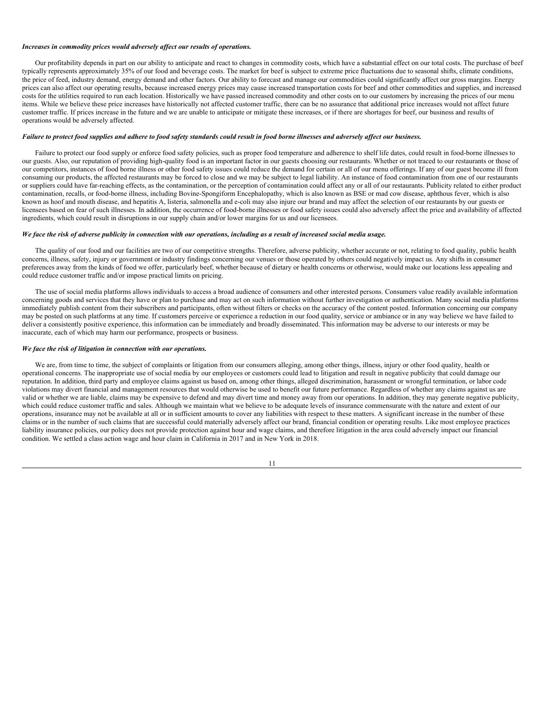### *Increases in commodity prices would adversely af ect our results of operations.*

Our profitability depends in part on our ability to anticipate and react to changes in commodity costs, which have a substantial effect on our total costs. The purchase of beef typically represents approximately 35% of our food and beverage costs. The market for beef is subject to extreme price fluctuations due to seasonal shifts, climate conditions, the price of feed, industry demand, energy demand and other factors. Our ability to forecast and manage our commodities could significantly affect our gross margins. Energy prices can also affect our operating results, because increased energy prices may cause increased transportation costs for beef and other commodities and supplies, and increased costs for the utilities required to run each location. Historically we have passed increased commodity and other costs on to our customers by increasing the prices of our menu items. While we believe these price increases have historically not affected customer traffic, there can be no assurance that additional price increases would not affect future customer traffic. If prices increase in the future and we are unable to anticipate or mitigate these increases, or if there are shortages for beef, our business and results of operations would be adversely affected.

# Failure to protect food supplies and adhere to food safety standards could result in food borne illnesses and adversely affect our business.

Failure to protect our food supply or enforce food safety policies, such as proper food temperature and adherence to shelf life dates, could result in food-borne illnesses to our guests. Also, our reputation of providing high-quality food is an important factor in our guests choosing our restaurants. Whether or not traced to our restaurants or those of our competitors, instances of food borne illness or other food safety issues could reduce the demand for certain or all of our menu offerings. If any of our guest become ill from consuming our products, the affected restaurants may be forced to close and we may be subject to legal liability. An instance of food contamination from one of our restaurants or suppliers could have far-reaching effects, as the contamination, or the perception of contamination could affect any or all of our restaurants. Publicity related to either product contamination, recalls, or food-borne illness, including Bovine-Spongiform Encephalopathy, which is also known as BSE or mad cow disease, aphthous fever, which is also known as hoof and mouth disease, and hepatitis A, listeria, salmonella and e-coli may also injure our brand and may affect the selection of our restaurants by our guests or licensees based on fear of such illnesses. In addition, the occurrence of food-borne illnesses or food safety issues could also adversely affect the price and availability of affected ingredients, which could result in disruptions in our supply chain and/or lower margins for us and our licensees.

## We face the risk of adverse publicity in connection with our operations, including as a result of increased social media usage.

The quality of our food and our facilities are two of our competitive strengths. Therefore, adverse publicity, whether accurate or not, relating to food quality, public health concerns, illness, safety, injury or government or industry findings concerning our venues or those operated by others could negatively impact us. Any shifts in consumer preferences away from the kinds of food we offer, particularly beef, whether because of dietary or health concerns or otherwise, would make our locations less appealing and could reduce customer traffic and/or impose practical limits on pricing.

The use of social media platforms allows individuals to access a broad audience of consumers and other interested persons. Consumers value readily available information concerning goods and services that they have or plan to purchase and may act on such information without further investigation or authentication. Many social media platforms immediately publish content from their subscribers and participants, often without filters or checks on the accuracy of the content posted. Information concerning our company may be posted on such platforms at any time. If customers perceive or experience a reduction in our food quality, service or ambiance or in any way believe we have failed to deliver a consistently positive experience, this information can be immediately and broadly disseminated. This information may be adverse to our interests or may be inaccurate, each of which may harm our performance, prospects or business.

### *We face the risk of litigation in connection with our operations.*

We are, from time to time, the subject of complaints or litigation from our consumers alleging, among other things, illness, injury or other food quality, health or operational concerns. The inappropriate use of social media by our employees or customers could lead to litigation and result in negative publicity that could damage our reputation. In addition, third party and employee claims against us based on, among other things, alleged discrimination, harassment or wrongful termination, or labor code violations may divert financial and management resources that would otherwise be used to benefit our future performance. Regardless of whether any claims against us are valid or whether we are liable, claims may be expensive to defend and may divert time and money away from our operations. In addition, they may generate negative publicity, which could reduce customer traffic and sales. Although we maintain what we believe to be adequate levels of insurance commensurate with the nature and extent of our operations, insurance may not be available at all or in sufficient amounts to cover any liabilities with respect to these matters. A significant increase in the number of these claims or in the number of such claims that are successful could materially adversely affect our brand, financial condition or operating results. Like most employee practices liability insurance policies, our policy does not provide protection against hour and wage claims, and therefore litigation in the area could adversely impact our financial condition. We settled a class action wage and hour claim in California in 2017 and in New York in 2018.

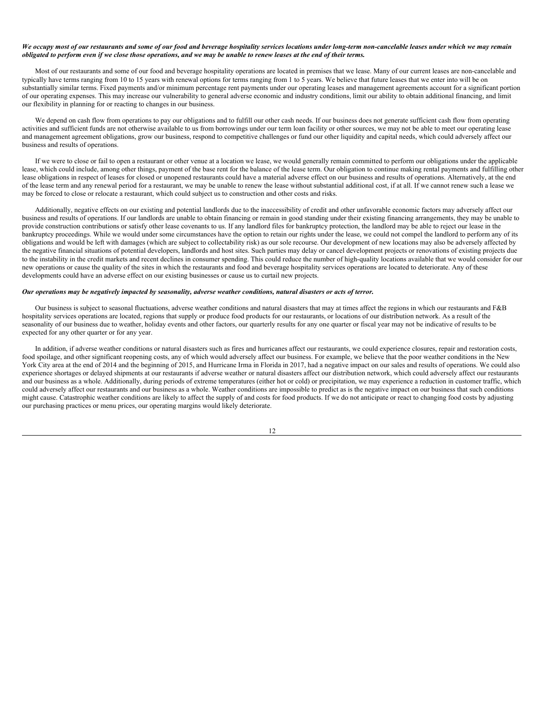### We occupy most of our restaurants and some of our food and beverage hospitality services locations under long-term non-cancelable leases under which we may remain obligated to perform even if we close those operations, and we may be unable to renew leases at the end of their terms.

Most of our restaurants and some of our food and beverage hospitality operations are located in premises that we lease. Many of our current leases are non-cancelable and typically have terms ranging from 10 to 15 years with renewal options for terms ranging from 1 to 5 years. We believe that future leases that we enter into will be on substantially similar terms. Fixed payments and/or minimum percentage rent payments under our operating leases and management agreements account for a significant portion of our operating expenses. This may increase our vulnerability to general adverse economic and industry conditions, limit our ability to obtain additional financing, and limit our flexibility in planning for or reacting to changes in our business.

We depend on cash flow from operations to pay our obligations and to fulfill our other cash needs. If our business does not generate sufficient cash flow from operating activities and sufficient funds are not otherwise available to us from borrowings under our term loan facility or other sources, we may not be able to meet our operating lease and management agreement obligations, grow our business, respond to competitive challenges or fund our other liquidity and capital needs, which could adversely affect our business and results of operations.

If we were to close or fail to open a restaurant or other venue at a location we lease, we would generally remain committed to perform our obligations under the applicable lease, which could include, among other things, payment of the base rent for the balance of the lease term. Our obligation to continue making rental payments and fulfilling other lease obligations in respect of leases for closed or unopened restaurants could have a material adverse effect on our business and results of operations. Alternatively, at the end of the lease term and any renewal period for a restaurant, we may be unable to renew the lease without substantial additional cost, if at all. If we cannot renew such a lease we may be forced to close or relocate a restaurant, which could subject us to construction and other costs and risks.

Additionally, negative effects on our existing and potential landlords due to the inaccessibility of credit and other unfavorable economic factors may adversely affect our business and results of operations. If our landlords are unable to obtain financing or remain in good standing under their existing financing arrangements, they may be unable to provide construction contributions or satisfy other lease covenants to us. If any landlord files for bankruptcy protection, the landlord may be able to reject our lease in the bankruptcy proceedings. While we would under some circumstances have the option to retain our rights under the lease, we could not compel the landlord to perform any of its obligations and would be left with damages (which are subject to collectability risk) as our sole recourse. Our development of new locations may also be adversely affected by the negative financial situations of potential developers, landlords and host sites. Such parties may delay or cancel development projects or renovations of existing projects due to the instability in the credit markets and recent declines in consumer spending. This could reduce the number of high-quality locations available that we would consider for our new operations or cause the quality of the sites in which the restaurants and food and beverage hospitality services operations are located to deteriorate. Any of these developments could have an adverse effect on our existing businesses or cause us to curtail new projects.

### Our operations may be negatively impacted by seasonality, adverse weather conditions, natural disasters or acts of terror.

Our business is subject to seasonal fluctuations, adverse weather conditions and natural disasters that may at times affect the regions in which our restaurants and F&B hospitality services operations are located, regions that supply or produce food products for our restaurants, or locations of our distribution network. As a result of the seasonality of our business due to weather, holiday events and other factors, our quarterly results for any one quarter or fiscal year may not be indicative of results to be expected for any other quarter or for any year.

In addition, if adverse weather conditions or natural disasters such as fires and hurricanes affect our restaurants, we could experience closures, repair and restoration costs, food spoilage, and other significant reopening costs, any of which would adversely affect our business. For example, we believe that the poor weather conditions in the New York City area at the end of 2014 and the beginning of 2015, and Hurricane Irma in Florida in 2017, had a negative impact on our sales and results of operations. We could also experience shortages or delayed shipments at our restaurants if adverse weather or natural disasters affect our distribution network, which could adversely affect our restaurants and our business as a whole. Additionally, during periods of extreme temperatures (either hot or cold) or precipitation, we may experience a reduction in customer traffic, which could adversely affect our restaurants and our business as a whole. Weather conditions are impossible to predict as is the negative impact on our business that such conditions might cause. Catastrophic weather conditions are likely to affect the supply of and costs for food products. If we do not anticipate or react to changing food costs by adjusting our purchasing practices or menu prices, our operating margins would likely deteriorate.

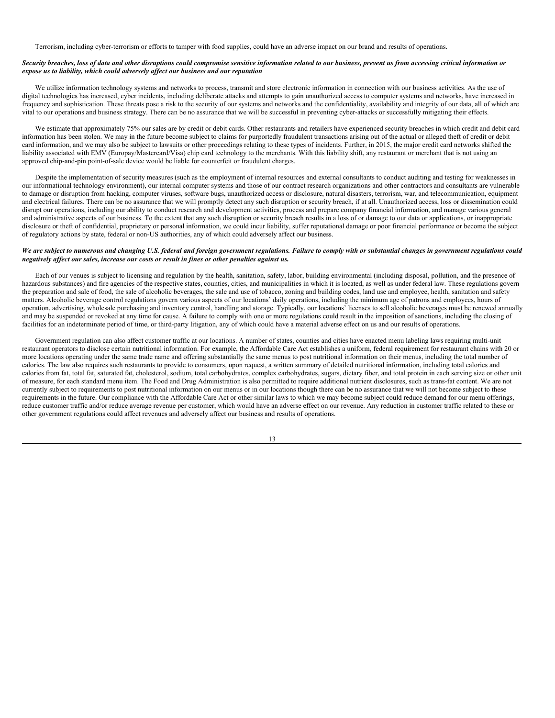Terrorism, including cyber-terrorism or efforts to tamper with food supplies, could have an adverse impact on our brand and results of operations.

# Security breaches, loss of data and other disruptions could compromise sensitive information related to our business, prevent us from accessing critical information or *expose us to liability, which could adversely af ect our business and our reputation*

We utilize information technology systems and networks to process, transmit and store electronic information in connection with our business activities. As the use of digital technologies has increased, cyber incidents, including deliberate attacks and attempts to gain unauthorized access to computer systems and networks, have increased in frequency and sophistication. These threats pose a risk to the security of our systems and networks and the confidentiality, availability and integrity of our data, all of which are vital to our operations and business strategy. There can be no assurance that we will be successful in preventing cyber-attacks or successfully mitigating their effects.

We estimate that approximately 75% our sales are by credit or debit cards. Other restaurants and retailers have experienced security breaches in which credit and debit card information has been stolen. We may in the future become subject to claims for purportedly fraudulent transactions arising out of the actual or alleged theft of credit or debit card information, and we may also be subject to lawsuits or other proceedings relating to these types of incidents. Further, in 2015, the major credit card networks shifted the liability associated with EMV (Europay/Mastercard/Visa) chip card technology to the merchants. With this liability shift, any restaurant or merchant that is not using an approved chip-and-pin point-of-sale device would be liable for counterfeit or fraudulent charges.

Despite the implementation of security measures (such as the employment of internal resources and external consultants to conduct auditing and testing for weaknesses in our informational technology environment), our internal computer systems and those of our contract research organizations and other contractors and consultants are vulnerable to damage or disruption from hacking, computer viruses, software bugs, unauthorized access or disclosure, natural disasters, terrorism, war, and telecommunication, equipment and electrical failures. There can be no assurance that we will promptly detect any such disruption or security breach, if at all. Unauthorized access, loss or dissemination could disrupt our operations, including our ability to conduct research and development activities, process and prepare company financial information, and manage various general and administrative aspects of our business. To the extent that any such disruption or security breach results in a loss of or damage to our data or applications, or inappropriate disclosure or theft of confidential, proprietary or personal information, we could incur liability, suffer reputational damage or poor financial performance or become the subject of regulatory actions by state, federal or non-US authorities, any of which could adversely affect our business.

## We are subject to numerous and changing U.S. federal and foreign government regulations. Failure to comply with or substantial changes in government regulations could *negatively af ect our sales, increase our costs or result in fines or other penalties against us.*

Each of our venues is subject to licensing and regulation by the health, sanitation, safety, labor, building environmental (including disposal, pollution, and the presence of hazardous substances) and fire agencies of the respective states, counties, cities, and municipalities in which it is located, as well as under federal law. These regulations govern the preparation and sale of food, the sale of alcoholic beverages, the sale and use of tobacco, zoning and building codes, land use and employee, health, sanitation and safety matters. Alcoholic beverage control regulations govern various aspects of our locations' daily operations, including the minimum age of patrons and employees, hours of operation, advertising, wholesale purchasing and inventory control, handling and storage. Typically, our locations' licenses to sell alcoholic beverages must be renewed annually and may be suspended or revoked at any time for cause. A failure to comply with one or more regulations could result in the imposition of sanctions, including the closing of facilities for an indeterminate period of time, or third-party litigation, any of which could have a material adverse effect on us and our results of operations.

Government regulation can also affect customer traffic at our locations. A number of states, counties and cities have enacted menu labeling laws requiring multi-unit restaurant operators to disclose certain nutritional information. For example, the Affordable Care Act establishes a uniform, federal requirement for restaurant chains with 20 or more locations operating under the same trade name and offering substantially the same menus to post nutritional information on their menus, including the total number of calories. The law also requires such restaurants to provide to consumers, upon request, a written summary of detailed nutritional information, including total calories and calories from fat, total fat, saturated fat, cholesterol, sodium, total carbohydrates, complex carbohydrates, sugars, dietary fiber, and total protein in each serving size or other unit of measure, for each standard menu item. The Food and Drug Administration is also permitted to require additional nutrient disclosures, such as trans-fat content. We are not currently subject to requirements to post nutritional information on our menus or in our locations though there can be no assurance that we will not become subject to these requirements in the future. Our compliance with the Affordable Care Act or other similar laws to which we may become subject could reduce demand for our menu offerings, reduce customer traffic and/or reduce average revenue per customer, which would have an adverse effect on our revenue. Any reduction in customer traffic related to these or other government regulations could affect revenues and adversely affect our business and results of operations.

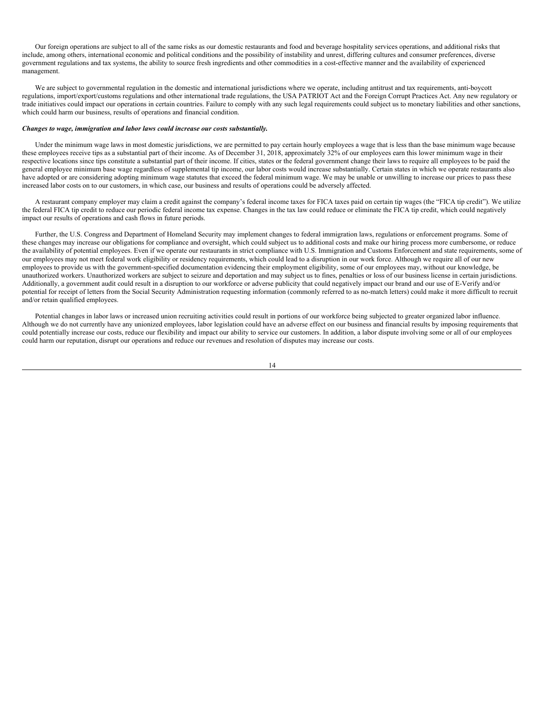Our foreign operations are subject to all of the same risks as our domestic restaurants and food and beverage hospitality services operations, and additional risks that include, among others, international economic and political conditions and the possibility of instability and unrest, differing cultures and consumer preferences, diverse government regulations and tax systems, the ability to source fresh ingredients and other commodities in a cost-effective manner and the availability of experienced management.

We are subject to governmental regulation in the domestic and international jurisdictions where we operate, including antitrust and tax requirements, anti-boycott regulations, import/export/customs regulations and other international trade regulations, the USA PATRIOT Act and the Foreign Corrupt Practices Act. Any new regulatory or trade initiatives could impact our operations in certain countries. Failure to comply with any such legal requirements could subject us to monetary liabilities and other sanctions, which could harm our business, results of operations and financial condition.

## *Changes to wage, immigration and labor laws could increase our costs substantially.*

Under the minimum wage laws in most domestic jurisdictions, we are permitted to pay certain hourly employees a wage that is less than the base minimum wage because these employees receive tips as a substantial part of their income. As of December 31, 2018, approximately 32% of our employees earn this lower minimum wage in their respective locations since tips constitute a substantial part of their income. If cities, states or the federal government change their laws to require all employees to be paid the general employee minimum base wage regardless of supplemental tip income, our labor costs would increase substantially. Certain states in which we operate restaurants also have adopted or are considering adopting minimum wage statutes that exceed the federal minimum wage. We may be unable or unwilling to increase our prices to pass these increased labor costs on to our customers, in which case, our business and results of operations could be adversely affected.

A restaurant company employer may claim a credit against the company's federal income taxes for FICA taxes paid on certain tip wages (the "FICA tip credit"). We utilize the federal FICA tip credit to reduce our periodic federal income tax expense. Changes in the tax law could reduce or eliminate the FICA tip credit, which could negatively impact our results of operations and cash flows in future periods.

Further, the U.S. Congress and Department of Homeland Security may implement changes to federal immigration laws, regulations or enforcement programs. Some of these changes may increase our obligations for compliance and oversight, which could subject us to additional costs and make our hiring process more cumbersome, or reduce the availability of potential employees. Even if we operate our restaurants in strict compliance with U.S. Immigration and Customs Enforcement and state requirements, some of our employees may not meet federal work eligibility or residency requirements, which could lead to a disruption in our work force. Although we require all of our new employees to provide us with the government-specified documentation evidencing their employment eligibility, some of our employees may, without our knowledge, be unauthorized workers. Unauthorized workers are subject to seizure and deportation and may subject us to fines, penalties or loss of our business license in certain jurisdictions. Additionally, a government audit could result in a disruption to our workforce or adverse publicity that could negatively impact our brand and our use of E-Verify and/or potential for receipt of letters from the Social Security Administration requesting information (commonly referred to as no-match letters) could make it more difficult to recruit and/or retain qualified employees.

Potential changes in labor laws or increased union recruiting activities could result in portions of our workforce being subjected to greater organized labor influence. Although we do not currently have any unionized employees, labor legislation could have an adverse effect on our business and financial results by imposing requirements that could potentially increase our costs, reduce our flexibility and impact our ability to service our customers. In addition, a labor dispute involving some or all of our employees could harm our reputation, disrupt our operations and reduce our revenues and resolution of disputes may increase our costs.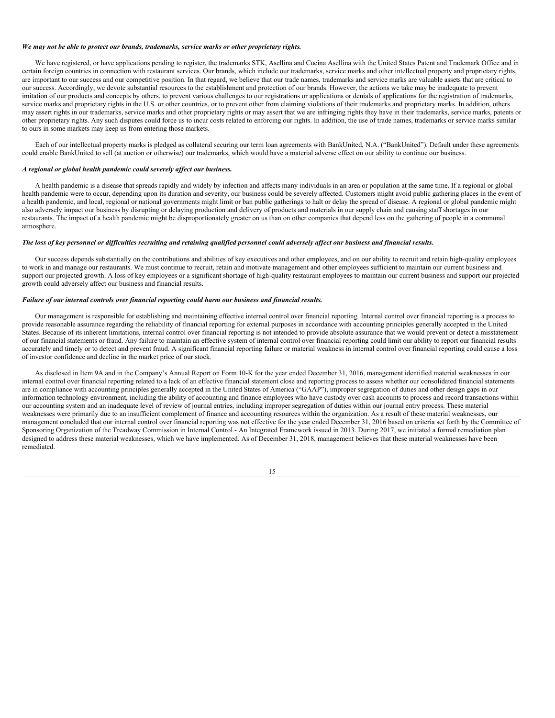### *We may not be able to protect our brands, trademarks, service marks or other proprietary rights.*

We have registered, or have applications pending to register, the trademarks STK, Asellina and Cucina Asellina with the United States Patent and Trademark Office and in certain foreign countries in connection with restaurant services. Our brands, which include our trademarks, service marks and other intellectual property and proprietary rights, are important to our success and our competitive position. In that regard, we believe that our trade names, trademarks and service marks are valuable assets that are critical to our success. Accordingly, we devote substantial resources to the establishment and protection of our brands. However, the actions we take may be inadequate to prevent imitation of our products and concepts by others, to prevent various challenges to our registrations or applications or denials of applications for the registration of trademarks, service marks and proprietary rights in the U.S. or other countries, or to prevent other from claiming violations of their trademarks and proprietary marks. In addition, others may assert rights in our trademarks, service marks and other proprietary rights or may assert that we are infringing rights they have in their trademarks, service marks, patents or other proprietary rights. Any such disputes could force us to incur costs related to enforcing our rights. In addition, the use of trade names, trademarks or service marks similar to ours in some markets may keep us from entering those markets.

Each of our intellectual property marks is pledged as collateral securing our term loan agreements with BankUnited, N.A. ("BankUnited"). Default under these agreements could enable BankUnited to sell (at auction or otherwise) our trademarks, which would have a material adverse effect on our ability to continue our business.

## *A regional or global health pandemic could severely af ect our business.*

A health pandemic is a disease that spreads rapidly and widely by infection and affects many individuals in an area or population at the same time. If a regional or global health pandemic were to occur, depending upon its duration and severity, our business could be severely affected. Customers might avoid public gathering places in the event of a health pandemic, and local, regional or national governments might limit or ban public gatherings to halt or delay the spread of disease. A regional or global pandemic might also adversely impact our business by disrupting or delaying production and delivery of products and materials in our supply chain and causing staff shortages in our restaurants. The impact of a health pandemic might be disproportionately greater on us than on other companies that depend less on the gathering of people in a communal atmosphere.

## The loss of key personnel or difficulties recruiting and retaining qualified personnel could adversely affect our business and financial results.

Our success depends substantially on the contributions and abilities of key executives and other employees, and on our ability to recruit and retain high-quality employees to work in and manage our restaurants. We must continue to recruit, retain and motivate management and other employees sufficient to maintain our current business and support our projected growth. A loss of key employees or a significant shortage of high-quality restaurant employees to maintain our current business and support our projected growth could adversely affect our business and financial results.

# *Failure of our internal controls over financial reporting could harm our business and financial results.*

Our management is responsible for establishing and maintaining effective internal control over financial reporting. Internal control over financial reporting is a process to provide reasonable assurance regarding the reliability of financial reporting for external purposes in accordance with accounting principles generally accepted in the United States. Because of its inherent limitations, internal control over financial reporting is not intended to provide absolute assurance that we would prevent or detect a misstatement of our financial statements or fraud. Any failure to maintain an effective system of internal control over financial reporting could limit our ability to report our financial results accurately and timely or to detect and prevent fraud. A significant financial reporting failure or material weakness in internal control over financial reporting could cause a loss of investor confidence and decline in the market price of our stock.

As disclosed in Item 9A and in the Company's Annual Report on Form 10-K for the year ended December 31, 2016, management identified material weaknesses in our internal control over financial reporting related to a lack of an effective financial statement close and reporting process to assess whether our consolidated financial statements are in compliance with accounting principles generally accepted in the United States of America ("GAAP"), improper segregation of duties and other design gaps in our information technology environment, including the ability of accounting and finance employees who have custody over cash accounts to process and record transactions within our accounting system and an inadequate level of review of journal entries, including improper segregation of duties within our journal entry process. These material weaknesses were primarily due to an insufficient complement of finance and accounting resources within the organization. As a result of these material weaknesses, our management concluded that our internal control over financial reporting was not effective for the year ended December 31, 2016 based on criteria set forth by the Committee of Sponsoring Organization of the Treadway Commission in Internal Control - An Integrated Framework issued in 2013. During 2017, we initiated a formal remediation plan designed to address these material weaknesses, which we have implemented. As of December 31, 2018, management believes that these material weaknesses have been remediated.

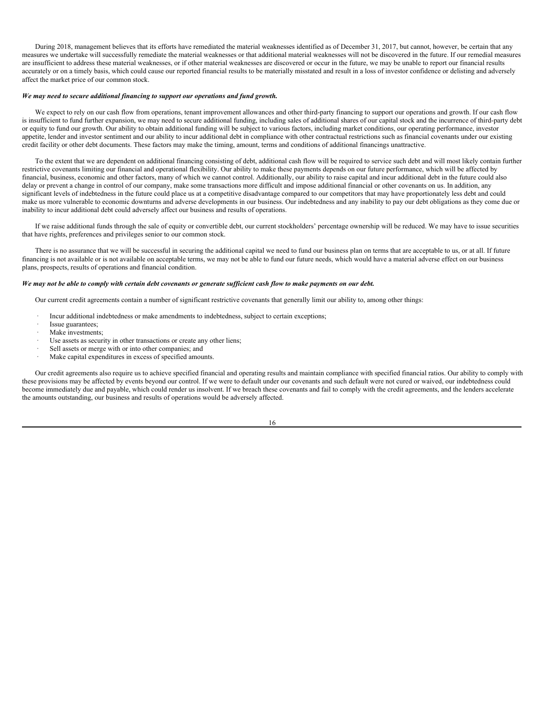During 2018, management believes that its efforts have remediated the material weaknesses identified as of December 31, 2017, but cannot, however, be certain that any measures we undertake will successfully remediate the material weaknesses or that additional material weaknesses will not be discovered in the future. If our remedial measures are insufficient to address these material weaknesses, or if other material weaknesses are discovered or occur in the future, we may be unable to report our financial results accurately or on a timely basis, which could cause our reported financial results to be materially misstated and result in a loss of investor confidence or delisting and adversely affect the market price of our common stock.

# *We may need to secure additional financing to support our operations and fund growth.*

We expect to rely on our cash flow from operations, tenant improvement allowances and other third-party financing to support our operations and growth. If our cash flow is insufficient to fund further expansion, we may need to secure additional funding, including sales of additional shares of our capital stock and the incurrence of third-party debt or equity to fund our growth. Our ability to obtain additional funding will be subject to various factors, including market conditions, our operating performance, investor appetite, lender and investor sentiment and our ability to incur additional debt in compliance with other contractual restrictions such as financial covenants under our existing credit facility or other debt documents. These factors may make the timing, amount, terms and conditions of additional financings unattractive.

To the extent that we are dependent on additional financing consisting of debt, additional cash flow will be required to service such debt and will most likely contain further restrictive covenants limiting our financial and operational flexibility. Our ability to make these payments depends on our future performance, which will be affected by financial, business, economic and other factors, many of which we cannot control. Additionally, our ability to raise capital and incur additional debt in the future could also delay or prevent a change in control of our company, make some transactions more difficult and impose additional financial or other covenants on us. In addition, any significant levels of indebtedness in the future could place us at a competitive disadvantage compared to our competitors that may have proportionately less debt and could make us more vulnerable to economic downturns and adverse developments in our business. Our indebtedness and any inability to pay our debt obligations as they come due or inability to incur additional debt could adversely affect our business and results of operations.

If we raise additional funds through the sale of equity or convertible debt, our current stockholders' percentage ownership will be reduced. We may have to issue securities that have rights, preferences and privileges senior to our common stock.

There is no assurance that we will be successful in securing the additional capital we need to fund our business plan on terms that are acceptable to us, or at all. If future financing is not available or is not available on acceptable terms, we may not be able to fund our future needs, which would have a material adverse effect on our business plans, prospects, results of operations and financial condition.

## We may not be able to comply with certain debt covenants or generate sufficient cash flow to make payments on our debt.

Our current credit agreements contain a number of significant restrictive covenants that generally limit our ability to, among other things:

- Incur additional indebtedness or make amendments to indebtedness, subject to certain exceptions;
- Issue guarantees:
- Make investments;
- Use assets as security in other transactions or create any other liens;
- Sell assets or merge with or into other companies; and
- Make capital expenditures in excess of specified amounts.

Our credit agreements also require us to achieve specified financial and operating results and maintain compliance with specified financial ratios. Our ability to comply with these provisions may be affected by events beyond our control. If we were to default under our covenants and such default were not cured or waived, our indebtedness could become immediately due and payable, which could render us insolvent. If we breach these covenants and fail to comply with the credit agreements, and the lenders accelerate the amounts outstanding, our business and results of operations would be adversely affected.

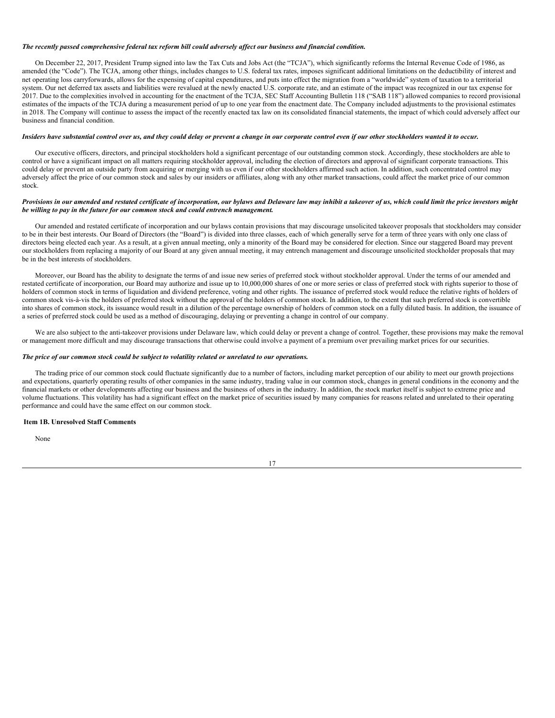### The recently passed comprehensive federal tax reform bill could adversely affect our business and financial condition.

On December 22, 2017, President Trump signed into law the Tax Cuts and Jobs Act (the "TCJA"), which significantly reforms the Internal Revenue Code of 1986, as amended (the "Code"). The TCJA, among other things, includes changes to U.S. federal tax rates, imposes significant additional limitations on the deductibility of interest and net operating loss carryforwards, allows for the expensing of capital expenditures, and puts into effect the migration from a "worldwide" system of taxation to a territorial system. Our net deferred tax assets and liabilities were revalued at the newly enacted U.S. corporate rate, and an estimate of the impact was recognized in our tax expense for 2017. Due to the complexities involved in accounting for the enactment of the TCJA, SEC Staff Accounting Bulletin 118 ("SAB 118") allowed companies to record provisional estimates of the impacts of the TCJA during a measurement period of up to one year from the enactment date. The Company included adjustments to the provisional estimates in 2018. The Company will continue to assess the impact of the recently enacted tax law on its consolidated financial statements, the impact of which could adversely affect our business and financial condition.

# Insiders have substantial control over us, and they could delay or prevent a change in our corporate control even if our other stockholders wanted it to occur.

Our executive officers, directors, and principal stockholders hold a significant percentage of our outstanding common stock. Accordingly, these stockholders are able to control or have a significant impact on all matters requiring stockholder approval, including the election of directors and approval of significant corporate transactions. This could delay or prevent an outside party from acquiring or merging with us even if our other stockholders affirmed such action. In addition, such concentrated control may adversely affect the price of our common stock and sales by our insiders or affiliates, along with any other market transactions, could affect the market price of our common stock.

## Provisions in our amended and restated certificate of incorporation, our bylaws and Delaware law may inhibit a takeover of us, which could limit the price investors might *be willing to pay in the future for our common stock and could entrench management.*

Our amended and restated certificate of incorporation and our bylaws contain provisions that may discourage unsolicited takeover proposals that stockholders may consider to be in their best interests. Our Board of Directors (the "Board") is divided into three classes, each of which generally serve for a term of three years with only one class of directors being elected each year. As a result, at a given annual meeting, only a minority of the Board may be considered for election. Since our staggered Board may prevent our stockholders from replacing a majority of our Board at any given annual meeting, it may entrench management and discourage unsolicited stockholder proposals that may be in the best interests of stockholders.

Moreover, our Board has the ability to designate the terms of and issue new series of preferred stock without stockholder approval. Under the terms of our amended and restated certificate of incorporation, our Board may authorize and issue up to 10,000,000 shares of one or more series or class of preferred stock with rights superior to those of holders of common stock in terms of liquidation and dividend preference, voting and other rights. The issuance of preferred stock would reduce the relative rights of holders of common stock vis-à-vis the holders of preferred stock without the approval of the holders of common stock. In addition, to the extent that such preferred stock is convertible into shares of common stock, its issuance would result in a dilution of the percentage ownership of holders of common stock on a fully diluted basis. In addition, the issuance of a series of preferred stock could be used as a method of discouraging, delaying or preventing a change in control of our company.

We are also subject to the anti-takeover provisions under Delaware law, which could delay or prevent a change of control. Together, these provisions may make the removal or management more difficult and may discourage transactions that otherwise could involve a payment of a premium over prevailing market prices for our securities.

# *The price of our common stock could be subject to volatility related or unrelated to our operations.*

The trading price of our common stock could fluctuate significantly due to a number of factors, including market perception of our ability to meet our growth projections and expectations, quarterly operating results of other companies in the same industry, trading value in our common stock, changes in general conditions in the economy and the financial markets or other developments affecting our business and the business of others in the industry. In addition, the stock market itself is subject to extreme price and volume fluctuations. This volatility has had a significant effect on the market price of securities issued by many companies for reasons related and unrelated to their operating performance and could have the same effect on our common stock.

# <span id="page-16-0"></span>**Item 1B. Unresolved Staff Comments**

None

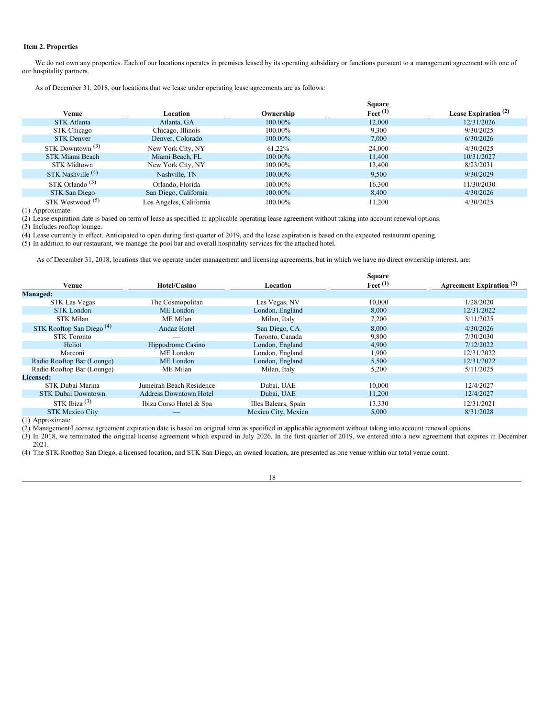# <span id="page-17-0"></span>**Item 2. Properties**

We do not own any properties. Each of our locations operates in premises leased by its operating subsidiary or functions pursuant to a management agreement with one of our hospitality partners.

| As of December 31, 2018, our locations that we lease under operating lease agreements are as follows: |  |
|-------------------------------------------------------------------------------------------------------|--|
|-------------------------------------------------------------------------------------------------------|--|

|                             |                         |           | <b>Square</b> |                        |
|-----------------------------|-------------------------|-----------|---------------|------------------------|
| Venue                       | Location                | Ownership | Feet $(1)$    | Lease Expiration $(2)$ |
| <b>STK Atlanta</b>          | Atlanta, GA             | 100.00%   | 12,000        | 12/31/2026             |
| STK Chicago                 | Chicago, Illinois       | 100.00%   | 9,300         | 9/30/2025              |
| <b>STK Denver</b>           | Denver, Colorado        | 100.00%   | 7,000         | 6/30/2026              |
| STK Downtown $(3)$          | New York City, NY       | 61.22%    | 24,000        | 4/30/2025              |
| STK Miami Beach             | Miami Beach, FL         | 100.00%   | 11,400        | 10/31/2027             |
| <b>STK Midtown</b>          | New York City, NY       | 100.00%   | 13,400        | 8/23/2031              |
| $STK$ Nashville $(4)$       | Nashville, TN           | 100.00%   | 9.500         | 9/30/2029              |
| STK Orlando <sup>(3)</sup>  | Orlando, Florida        | 100.00%   | 16,300        | 11/30/2030             |
| STK San Diego               | San Diego, California   | 100.00%   | 8.400         | 4/30/2026              |
| STK Westwood <sup>(5)</sup> | Los Angeles, California | 100.00%   | 11.200        | 4/30/2025              |

(1) Approximate

(2) Lease expiration date is based on term of lease as specified in applicable operating lease agreement without taking into account renewal options.

(3) Includes rooftop lounge.

(4) Lease currently in effect. Anticipated to open during first quarter of 2019, and the lease expiration is based on the expected restaurant opening.

(5) In addition to our restaurant, we manage the pool bar and overall hospitality services for the attached hotel.

As of December 31, 2018, locations that we operate under management and licensing agreements, but in which we have no direct ownership interest, are:

|                             |                               |                      | Square     |                                            |
|-----------------------------|-------------------------------|----------------------|------------|--------------------------------------------|
| Venue                       | Hotel/Casino                  | Location             | Feet $(1)$ | <b>Agreement Expiration</b> <sup>(2)</sup> |
| <b>Managed:</b>             |                               |                      |            |                                            |
| <b>STK Las Vegas</b>        | The Cosmopolitan              | Las Vegas, NV        | 10,000     | 1/28/2020                                  |
| <b>STK London</b>           | ME London                     | London, England      | 8,000      | 12/31/2022                                 |
| <b>STK Milan</b>            | ME Milan                      | Milan, Italy         | 7,200      | 5/11/2025                                  |
| STK Rooftop San Diego $(4)$ | Andaz Hotel                   | San Diego, CA        | 8,000      | 4/30/2026                                  |
| <b>STK Toronto</b>          |                               | Toronto, Canada      | 9,800      | 7/30/2030                                  |
| Heliot                      | Hippodrome Casino             | London, England      | 4,900      | 7/12/2022                                  |
| Marconi                     | ME London                     | London, England      | 1,900      | 12/31/2022                                 |
| Radio Rooftop Bar (Lounge)  | ME London                     | London, England      | 5,500      | 12/31/2022                                 |
| Radio Rooftop Bar (Lounge)  | ME Milan                      | Milan, Italy         | 5,200      | 5/11/2025                                  |
| <b>Licensed:</b>            |                               |                      |            |                                            |
| STK Dubai Marina            | Jumeirah Beach Residence      | Dubai, UAE           | 10,000     | 12/4/2027                                  |
| <b>STK Dubai Downtown</b>   | <b>Address Downtown Hotel</b> | Dubai, UAE           | 11,200     | 12/4/2027                                  |
| STK Ibiza $(3)$             | Ibiza Corso Hotel & Spa       | Illes Balears, Spain | 13,330     | 12/31/2021                                 |
| <b>STK Mexico City</b>      |                               | Mexico City, Mexico  | 5,000      | 8/31/2028                                  |
|                             |                               |                      |            |                                            |

(1) Approximate

(2) Management/License agreement expiration date is based on original term as specified in applicable agreement without taking into account renewal options.

(3) In 2018, we terminated the original license agreement which expired in July 2026. In the first quarter of 2019, we entered into a new agreement that expires in December 2021.

(4) The STK Rooftop San Diego, a licensed location, and STK San Diego, an owned location, are presented as one venue within our total venue count.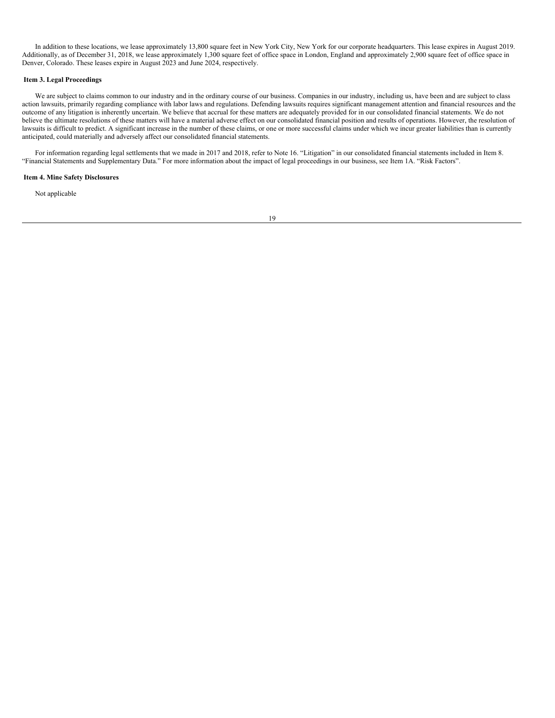In addition to these locations, we lease approximately 13,800 square feet in New York City, New York for our corporate headquarters. This lease expires in August 2019. Additionally, as of December 31, 2018, we lease approximately 1,300 square feet of office space in London, England and approximately 2,900 square feet of office space in Denver, Colorado. These leases expire in August 2023 and June 2024, respectively.

# <span id="page-18-0"></span>**Item 3. Legal Proceedings**

We are subject to claims common to our industry and in the ordinary course of our business. Companies in our industry, including us, have been and are subject to class action lawsuits, primarily regarding compliance with labor laws and regulations. Defending lawsuits requires significant management attention and financial resources and the outcome of any litigation is inherently uncertain. We believe that accrual for these matters are adequately provided for in our consolidated financial statements. We do not believe the ultimate resolutions of these matters will have a material adverse effect on our consolidated financial position and results of operations. However, the resolution of lawsuits is difficult to predict. A significant increase in the number of these claims, or one or more successful claims under which we incur greater liabilities than is currently anticipated, could materially and adversely affect our consolidated financial statements.

For information regarding legal settlements that we made in 2017 and 2018, refer to Note 16. "Litigation" in our consolidated financial statements included in Item 8. "Financial Statements and Supplementary Data." For more information about the impact of legal proceedings in our business, see Item 1A. "Risk Factors".

## <span id="page-18-1"></span>**Item 4. Mine Safety Disclosures**

Not applicable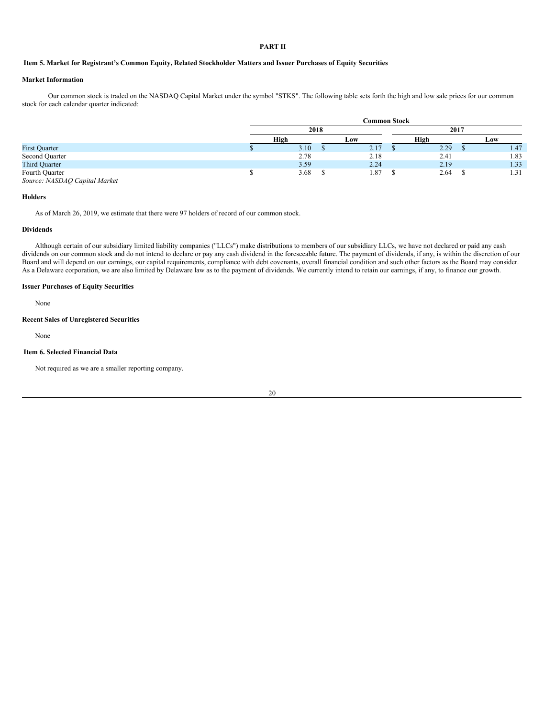# <span id="page-19-0"></span>**PART II**

# <span id="page-19-1"></span>Item 5. Market for Registrant's Common Equity, Related Stockholder Matters and Issuer Purchases of Equity Securities

# **Market Information**

Our common stock is traded on the NASDAQ Capital Market under the symbol "STKS". The following table sets forth the high and low sale prices for our common stock for each calendar quarter indicated:

|                                                       |      |  | <b>Common Stock</b> |      |      |  |      |
|-------------------------------------------------------|------|--|---------------------|------|------|--|------|
|                                                       | 2018 |  |                     | 2017 |      |  |      |
|                                                       | High |  | Low                 |      | High |  | Low  |
| <b>First Quarter</b>                                  | 3.10 |  | 2.17                |      | 2.29 |  | 1.47 |
| Second Quarter                                        | 2.78 |  | 2.18                |      | 2.41 |  | 1.83 |
| <b>Third Quarter</b>                                  | 3.59 |  | 2.24                |      | 2.19 |  | 1.33 |
| Fourth Quarter                                        | 3.68 |  | 1.87                |      | 2.64 |  | 1.31 |
| $\alpha$ $\alpha$ $\alpha$ $\alpha$ $\alpha$ $\alpha$ |      |  |                     |      |      |  |      |

*Source: NASDAQ Capital Market*

# **Holders**

As of March 26, 2019, we estimate that there were 97 holders of record of our common stock.

### **Dividends**

Although certain of our subsidiary limited liability companies ("LLCs") make distributions to members of our subsidiary LLCs, we have not declared or paid any cash dividends on our common stock and do not intend to declare or pay any cash dividend in the foreseeable future. The payment of dividends, if any, is within the discretion of our Board and will depend on our earnings, our capital requirements, compliance with debt covenants, overall financial condition and such other factors as the Board may consider. As a Delaware corporation, we are also limited by Delaware law as to the payment of dividends. We currently intend to retain our earnings, if any, to finance our growth.

### **Issuer Purchases of Equity Securities**

None

# **Recent Sales of Unregistered Securities**

None

# <span id="page-19-2"></span>**Item 6. Selected Financial Data**

Not required as we are a smaller reporting company.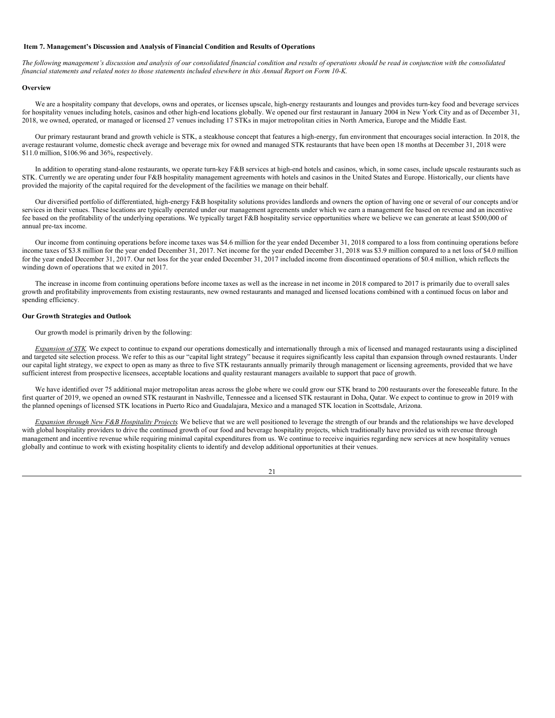### <span id="page-20-0"></span>**Item 7. Management's Discussion and Analysis of Financial Condition and Results of Operations**

The following management's discussion and analysis of our consolidated financial condition and results of operations should be read in conjunction with the consolidated financial statements and related notes to those statements included elsewhere in this Annual Report on Form 10-K.

### **Overview**

We are a hospitality company that develops, owns and operates, or licenses upscale, high-energy restaurants and lounges and provides turn-key food and beverage services for hospitality venues including hotels, casinos and other high-end locations globally. We opened our first restaurant in January 2004 in New York City and as of December 31, 2018, we owned, operated, or managed or licensed 27 venues including 17 STKs in major metropolitan cities in North America, Europe and the Middle East.

Our primary restaurant brand and growth vehicle is STK, a steakhouse concept that features a high-energy, fun environment that encourages social interaction. In 2018, the average restaurant volume, domestic check average and beverage mix for owned and managed STK restaurants that have been open 18 months at December 31, 2018 were \$11.0 million, \$106.96 and 36%, respectively.

In addition to operating stand-alone restaurants, we operate turn-key F&B services at high-end hotels and casinos, which, in some cases, include upscale restaurants such as STK. Currently we are operating under four F&B hospitality management agreements with hotels and casinos in the United States and Europe. Historically, our clients have provided the majority of the capital required for the development of the facilities we manage on their behalf.

Our diversified portfolio of differentiated, high-energy F&B hospitality solutions provides landlords and owners the option of having one or several of our concepts and/or services in their venues. These locations are typically operated under our management agreements under which we earn a management fee based on revenue and an incentive fee based on the profitability of the underlying operations. We typically target F&B hospitality service opportunities where we believe we can generate at least \$500,000 of annual pre-tax income.

Our income from continuing operations before income taxes was \$4.6 million for the year ended December 31, 2018 compared to a loss from continuing operations before income taxes of \$3.8 million for the year ended December 31, 2017. Net income for the year ended December 31, 2018 was \$3.9 million compared to a net loss of \$4.0 million for the year ended December 31, 2017. Our net loss for the year ended December 31, 2017 included income from discontinued operations of \$0.4 million, which reflects the winding down of operations that we exited in 2017.

The increase in income from continuing operations before income taxes as well as the increase in net income in 2018 compared to 2017 is primarily due to overall sales growth and profitability improvements from existing restaurants, new owned restaurants and managed and licensed locations combined with a continued focus on labor and spending efficiency.

## **Our Growth Strategies and Outlook**

Our growth model is primarily driven by the following:

*Expansion of STK.* We expect to continue to expand our operations domestically and internationally through a mix of licensed and managed restaurants using a disciplined and targeted site selection process. We refer to this as our "capital light strategy" because it requires significantly less capital than expansion through owned restaurants. Under our capital light strategy, we expect to open as many as three to five STK restaurants annually primarily through management or licensing agreements, provided that we have sufficient interest from prospective licensees, acceptable locations and quality restaurant managers available to support that pace of growth.

We have identified over 75 additional major metropolitan areas across the globe where we could grow our STK brand to 200 restaurants over the foreseeable future. In the first quarter of 2019, we opened an owned STK restaurant in Nashville, Tennessee and a licensed STK restaurant in Doha, Oatar. We expect to continue to grow in 2019 with the planned openings of licensed STK locations in Puerto Rico and Guadalajara, Mexico and a managed STK location in Scottsdale, Arizona.

*Expansion through New F&B Hospitality Projects.* We believe that we are well positioned to leverage the strength of our brands and the relationships we have developed with global hospitality providers to drive the continued growth of our food and beverage hospitality projects, which traditionally have provided us with revenue through management and incentive revenue while requiring minimal capital expenditures from us. We continue to receive inquiries regarding new services at new hospitality venues globally and continue to work with existing hospitality clients to identify and develop additional opportunities at their venues.

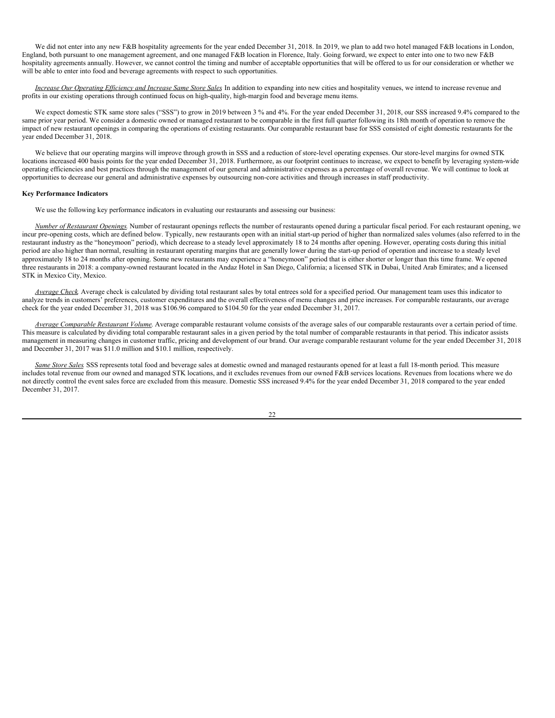We did not enter into any new F&B hospitality agreements for the year ended December 31, 2018. In 2019, we plan to add two hotel managed F&B locations in London, England, both pursuant to one management agreement, and one managed F&B location in Florence, Italy. Going forward, we expect to enter into one to two new F&B hospitality agreements annually. However, we cannot control the timing and number of acceptable opportunities that will be offered to us for our consideration or whether we will be able to enter into food and beverage agreements with respect to such opportunities.

Increase Our Operating Efficiency and Increase Same Store Sales In addition to expanding into new cities and hospitality venues, we intend to increase revenue and profits in our existing operations through continued focus on high-quality, high-margin food and beverage menu items.

We expect domestic STK same store sales ("SSS") to grow in 2019 between 3 % and 4%. For the year ended December 31, 2018, our SSS increased 9.4% compared to the same prior year period. We consider a domestic owned or managed restaurant to be comparable in the first full quarter following its 18th month of operation to remove the impact of new restaurant openings in comparing the operations of existing restaurants. Our comparable restaurant base for SSS consisted of eight domestic restaurants for the year ended December 31, 2018.

We believe that our operating margins will improve through growth in SSS and a reduction of store-level operating expenses. Our store-level margins for owned STK locations increased 400 basis points for the year ended December 31, 2018. Furthermore, as our footprint continues to increase, we expect to benefit by leveraging system-wide operating efficiencies and best practices through the management of our general and administrative expenses as a percentage of overall revenue. We will continue to look at opportunities to decrease our general and administrative expenses by outsourcing non-core activities and through increases in staff productivity.

## **Key Performance Indicators**

We use the following key performance indicators in evaluating our restaurants and assessing our business:

*Number of Restaurant Openings.* Number of restaurant openings reflects the number of restaurants opened during a particular fiscal period. For each restaurant opening, we incur pre-opening costs, which are defined below. Typically, new restaurants open with an initial start-up period of higher than normalized sales volumes (also referred to in the restaurant industry as the "honeymoon" period), which decrease to a steady level approximately 18 to 24 months after opening. However, operating costs during this initial period are also higher than normal, resulting in restaurant operating margins that are generally lower during the start-up period of operation and increase to a steady level approximately 18 to 24 months after opening. Some new restaurants may experience a "honeymoon" period that is either shorter or longer than this time frame. We opened three restaurants in 2018: a company-owned restaurant located in the Andaz Hotel in San Diego, California; a licensed STK in Dubai, United Arab Emirates; and a licensed STK in Mexico City, Mexico.

*Average Check.* Average check is calculated by dividing total restaurant sales by total entrees sold for a specified period. Our management team uses this indicator to analyze trends in customers' preferences, customer expenditures and the overall effectiveness of menu changes and price increases. For comparable restaurants, our average check for the year ended December 31, 2018 was \$106.96 compared to \$104.50 for the year ended December 31, 2017.

*Average Comparable Restaurant Volume*. Average comparable restaurant volume consists of the average sales of our comparable restaurants over a certain period of time. This measure is calculated by dividing total comparable restaurant sales in a given period by the total number of comparable restaurants in that period. This indicator assists management in measuring changes in customer traffic, pricing and development of our brand. Our average comparable restaurant volume for the year ended December 31, 2018 and December 31, 2017 was \$11.0 million and \$10.1 million, respectively.

*Same Store Sales.* SSS represents total food and beverage sales at domestic owned and managed restaurants opened for at least a full 18-month period. This measure includes total revenue from our owned and managed STK locations, and it excludes revenues from our owned F&B services locations. Revenues from locations where we do not directly control the event sales force are excluded from this measure. Domestic SSS increased 9.4% for the year ended December 31, 2018 compared to the year ended December 31, 2017.

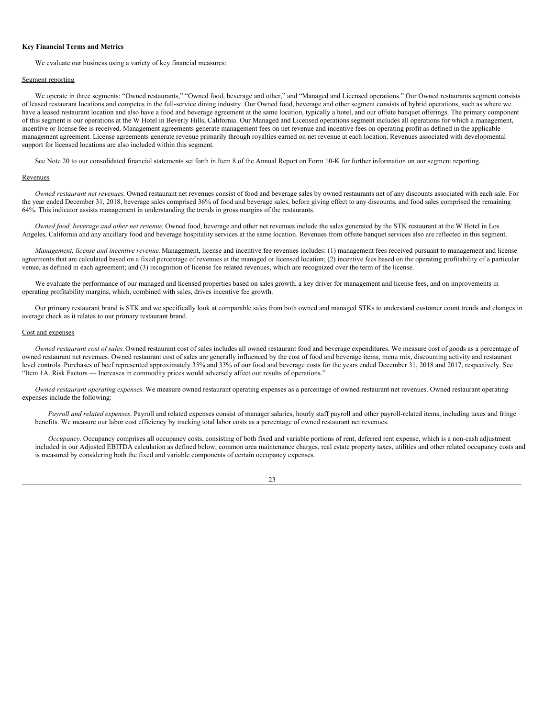### **Key Financial Terms and Metrics**

We evaluate our business using a variety of key financial measures:

# Segment reporting

We operate in three segments: "Owned restaurants," "Owned food, beverage and other," and "Managed and Licensed operations." Our Owned restaurants segment consists of leased restaurant locations and competes in the full-service dining industry. Our Owned food, beverage and other segment consists of hybrid operations, such as where we have a leased restaurant location and also have a food and beverage agreement at the same location, typically a hotel, and our offsite banquet offerings. The primary component of this segment is our operations at the W Hotel in Beverly Hills, California. Our Managed and Licensed operations segment includes all operations for which a management, incentive or license fee is received. Management agreements generate management fees on net revenue and incentive fees on operating profit as defined in the applicable management agreement. License agreements generate revenue primarily through royalties earned on net revenue at each location. Revenues associated with developmental support for licensed locations are also included within this segment.

See Note 20 to our consolidated financial statements set forth in Item 8 of the Annual Report on Form 10-K for further information on our segment reporting.

## Revenues

*Owned restaurant net revenues*. Owned restaurant net revenues consist of food and beverage sales by owned restaurants net of any discounts associated with each sale. For the year ended December 31, 2018, beverage sales comprised 36% of food and beverage sales, before giving effect to any discounts, and food sales comprised the remaining 64%. This indicator assists management in understanding the trends in gross margins of the restaurants.

*Owned food, beverage and other net revenue*. Owned food, beverage and other net revenues include the sales generated by the STK restaurant at the W Hotel in Los Angeles, California and any ancillary food and beverage hospitality services at the same location. Revenues from offsite banquet services also are reflected in this segment.

*Management, license and incentive revenue.* Management, license and incentive fee revenues includes: (1) management fees received pursuant to management and license agreements that are calculated based on a fixed percentage of revenues at the managed or licensed location; (2) incentive fees based on the operating profitability of a particular venue, as defined in each agreement; and (3) recognition of license fee related revenues, which are recognized over the term of the license.

We evaluate the performance of our managed and licensed properties based on sales growth, a key driver for management and license fees, and on improvements in operating profitability margins, which, combined with sales, drives incentive fee growth.

Our primary restaurant brand is STK and we specifically look at comparable sales from both owned and managed STKs to understand customer count trends and changes in average check as it relates to our primary restaurant brand.

# Cost and expenses

*Owned restaurant cost of sales.* Owned restaurant cost of sales includes all owned restaurant food and beverage expenditures. We measure cost of goods as a percentage of owned restaurant net revenues. Owned restaurant cost of sales are generally influenced by the cost of food and beverage items, menu mix, discounting activity and restaurant level controls. Purchases of beef represented approximately 35% and 33% of our food and beverage costs for the years ended December 31, 2018 and 2017, respectively. See "Item 1A. Risk Factors — Increases in commodity prices would adversely affect our results of operations."

*Owned restaurant operating expenses.* We measure owned restaurant operating expenses as a percentage of owned restaurant net revenues. Owned restaurant operating expenses include the following:

*Payroll and related expenses*. Payroll and related expenses consist of manager salaries, hourly staff payroll and other payroll-related items, including taxes and fringe benefits. We measure our labor cost efficiency by tracking total labor costs as a percentage of owned restaurant net revenues.

*Occupancy*. Occupancy comprises all occupancy costs, consisting of both fixed and variable portions of rent, deferred rent expense, which is a non-cash adjustment included in our Adjusted EBITDA calculation as defined below, common area maintenance charges, real estate property taxes, utilities and other related occupancy costs and is measured by considering both the fixed and variable components of certain occupancy expenses.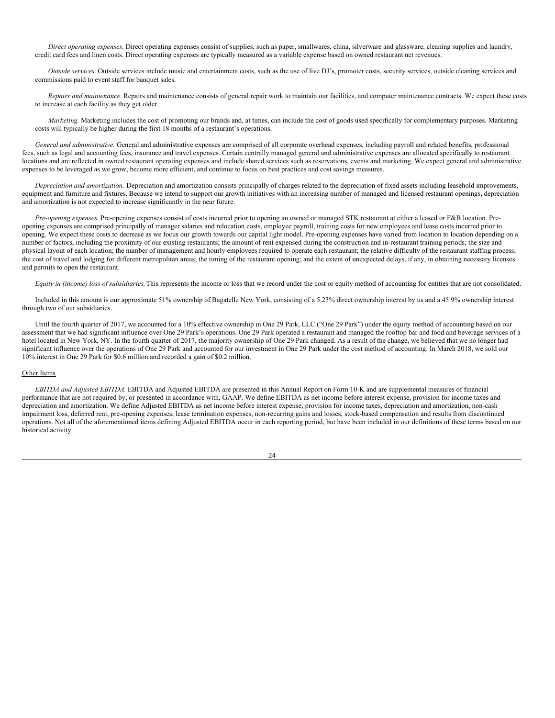*Direct operating expenses*. Direct operating expenses consist of supplies, such as paper, smallwares, china, silverware and glassware, cleaning supplies and laundry, credit card fees and linen costs. Direct operating expenses are typically measured as a variable expense based on owned restaurant net revenues.

*Outside services*. Outside services include music and entertainment costs, such as the use of live DJ's, promoter costs, security services, outside cleaning services and commissions paid to event staff for banquet sales.

*Repairs and maintenance*. Repairs and maintenance consists of general repair work to maintain our facilities, and computer maintenance contracts. We expect these costs to increase at each facility as they get older.

*Marketing.* Marketing includes the cost of promoting our brands and, at times, can include the cost of goods used specifically for complementary purposes. Marketing costs will typically be higher during the first 18 months of a restaurant's operations.

*General and administrative.* General and administrative expenses are comprised of all corporate overhead expenses, including payroll and related benefits, professional fees, such as legal and accounting fees, insurance and travel expenses. Certain centrally managed general and administrative expenses are allocated specifically to restaurant locations and are reflected in owned restaurant operating expenses and include shared services such as reservations, events and marketing. We expect general and administrative expenses to be leveraged as we grow, become more efficient, and continue to focus on best practices and cost savings measures.

*Depreciation and amortization.* Depreciation and amortization consists principally of charges related to the depreciation of fixed assets including leasehold improvements, equipment and furniture and fixtures. Because we intend to support our growth initiatives with an increasing number of managed and licensed restaurant openings, depreciation and amortization is not expected to increase significantly in the near future.

*Pre-opening expenses.* Pre-opening expenses consist of costs incurred prior to opening an owned or managed STK restaurant at either a leased or F&B location. Preopening expenses are comprised principally of manager salaries and relocation costs, employee payroll, training costs for new employees and lease costs incurred prior to opening. We expect these costs to decrease as we focus our growth towards our capital light model. Pre-opening expenses have varied from location to location depending on a number of factors, including the proximity of our existing restaurants; the amount of rent expensed during the construction and in-restaurant training periods; the size and physical layout of each location; the number of management and hourly employees required to operate each restaurant; the relative difficulty of the restaurant staffing process; the cost of travel and lodging for different metropolitan areas; the timing of the restaurant opening; and the extent of unexpected delays, if any, in obtaining necessary licenses and permits to open the restaurant.

*Equity in (income) loss of subsidiaries*. This represents the income or loss that we record under the cost or equity method of accounting for entities that are not consolidated.

Included in this amount is our approximate 51% ownership of Bagatelle New York, consisting of a 5.23% direct ownership interest by us and a 45.9% ownership interest through two of our subsidiaries.

Until the fourth quarter of 2017, we accounted for a 10% effective ownership in One 29 Park, LLC ("One 29 Park") under the equity method of accounting based on our assessment that we had significant influence over One 29 Park's operations. One 29 Park operated a restaurant and managed the rooftop bar and food and beverage services of a hotel located in New York, NY. In the fourth quarter of 2017, the majority ownership of One 29 Park changed. As a result of the change, we believed that we no longer had significant influence over the operations of One 29 Park and accounted for our investment in One 29 Park under the cost method of accounting. In March 2018, we sold our 10% interest in One 29 Park for \$0.6 million and recorded a gain of \$0.2 million.

# Other Items

*EBITDA and Adjusted EBITDA.* EBITDA and Adjusted EBITDA are presented in this Annual Report on Form 10-K and are supplemental measures of financial performance that are not required by, or presented in accordance with, GAAP. We define EBITDA as net income before interest expense, provision for income taxes and depreciation and amortization. We define Adjusted EBITDA as net income before interest expense, provision for income taxes, depreciation and amortization, non-cash impairment loss, deferred rent, pre-opening expenses, lease termination expenses, non-recurring gains and losses, stock-based compensation and results from discontinued operations. Not all of the aforementioned items defining Adjusted EBITDA occur in each reporting period, but have been included in our definitions of these terms based on our historical activity.

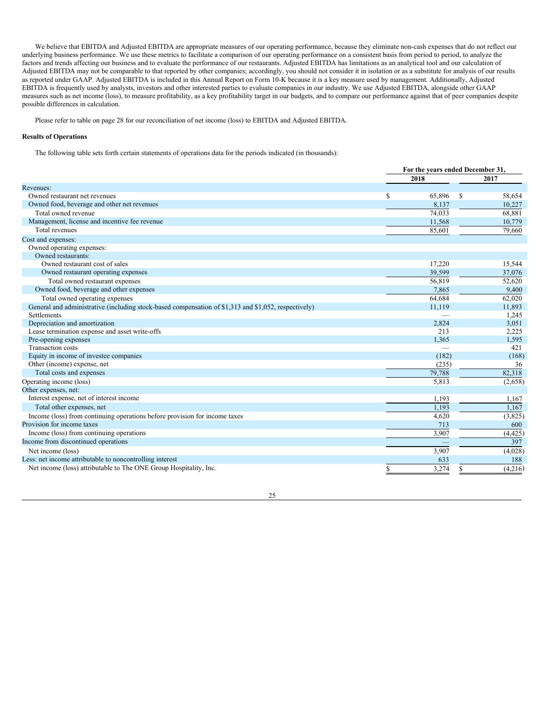We believe that EBITDA and Adjusted EBITDA are appropriate measures of our operating performance, because they eliminate non-cash expenses that do not reflect our underlying business performance. We use these metrics to facilitate a comparison of our operating performance on a consistent basis from period to period, to analyze the factors and trends affecting our business and to evaluate the performance of our restaurants. Adjusted EBITDA has limitations as an analytical tool and our calculation of Adjusted EBITDA may not be comparable to that reported by other companies; accordingly, you should not consider it in isolation or as a substitute for analysis of our results as reported under GAAP. Adjusted EBITDA is included in this Annual Report on Form 10-K because it is a key measure used by management. Additionally, Adjusted EBITDA is frequently used by analysts, investors and other interested parties to evaluate companies in our industry. We use Adjusted EBITDA, alongside other GAAP measures such as net income (loss), to measure profitability, as a key profitability target in our budgets, and to compare our performance against that of peer companies despite possible differences in calculation.

Please refer to table on page 28 for our reconciliation of net income (loss) to EBITDA and Adjusted EBITDA.

# **Results of Operations**

The following table sets forth certain statements of operations data for the periods indicated (in thousands):

|                                                                                                      | For the vears ended December 31, |        |   |          |
|------------------------------------------------------------------------------------------------------|----------------------------------|--------|---|----------|
|                                                                                                      |                                  | 2018   |   | 2017     |
| Revenues:                                                                                            |                                  |        |   |          |
| Owned restaurant net revenues                                                                        | \$                               | 65,896 | S | 58,654   |
| Owned food, beverage and other net revenues                                                          |                                  | 8,137  |   | 10,227   |
| Total owned revenue                                                                                  |                                  | 74,033 |   | 68,881   |
| Management, license and incentive fee revenue                                                        |                                  | 11,568 |   | 10,779   |
| Total revenues                                                                                       |                                  | 85,601 |   | 79,660   |
| Cost and expenses:                                                                                   |                                  |        |   |          |
| Owned operating expenses:                                                                            |                                  |        |   |          |
| Owned restaurants:                                                                                   |                                  |        |   |          |
| Owned restaurant cost of sales                                                                       |                                  | 17,220 |   | 15,544   |
| Owned restaurant operating expenses                                                                  |                                  | 39,599 |   | 37,076   |
| Total owned restaurant expenses                                                                      |                                  | 56,819 |   | 52,620   |
| Owned food, beverage and other expenses                                                              |                                  | 7,865  |   | 9,400    |
| Total owned operating expenses                                                                       |                                  | 64,684 |   | 62,020   |
| General and administrative (including stock-based compensation of \$1,313 and \$1,052, respectively) |                                  | 11,119 |   | 11,893   |
| Settlements                                                                                          |                                  |        |   | 1,245    |
| Depreciation and amortization                                                                        |                                  | 2,824  |   | 3,051    |
| Lease termination expense and asset write-offs                                                       |                                  | 213    |   | 2,225    |
| Pre-opening expenses                                                                                 |                                  | 1,365  |   | 1,595    |
| <b>Transaction costs</b>                                                                             |                                  |        |   | 421      |
| Equity in income of investee companies                                                               |                                  | (182)  |   | (168)    |
| Other (income) expense, net                                                                          |                                  | (235)  |   | 36       |
| Total costs and expenses                                                                             |                                  | 79,788 |   | 82,318   |
| Operating income (loss)                                                                              |                                  | 5,813  |   | (2,658)  |
| Other expenses, net:                                                                                 |                                  |        |   |          |
| Interest expense, net of interest income                                                             |                                  | 1,193  |   | 1,167    |
| Total other expenses, net                                                                            |                                  | 1,193  |   | 1,167    |
| Income (loss) from continuing operations before provision for income taxes                           |                                  | 4,620  |   | (3,825)  |
| Provision for income taxes                                                                           |                                  | 713    |   | 600      |
| Income (loss) from continuing operations                                                             |                                  | 3,907  |   | (4, 425) |
| Income from discontinued operations                                                                  |                                  |        |   | 397      |
| Net income (loss)                                                                                    |                                  | 3,907  |   | (4,028)  |
| Less: net income attributable to noncontrolling interest                                             |                                  | 633    |   | 188      |
| Net income (loss) attributable to The ONE Group Hospitality, Inc.                                    | \$                               | 3,274  | S | (4,216)  |
|                                                                                                      |                                  |        |   |          |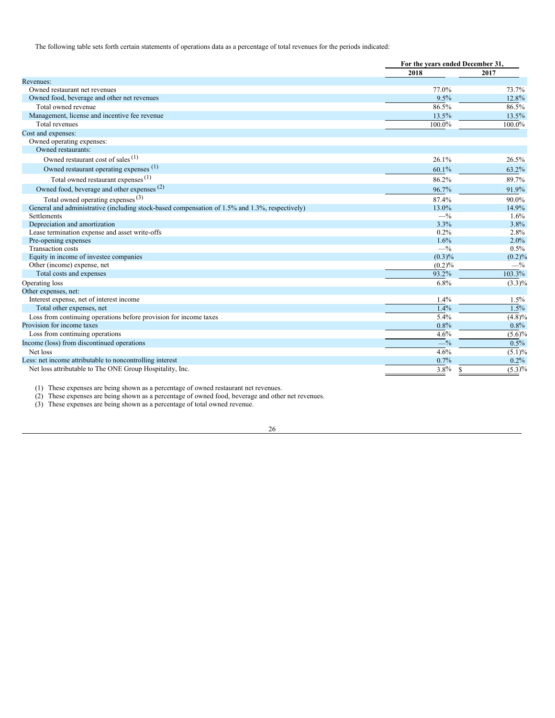The following table sets forth certain statements of operations data as a percentage of total revenues for the periods indicated:

|                                                                                                | For the years ended December 31, |           |  |
|------------------------------------------------------------------------------------------------|----------------------------------|-----------|--|
|                                                                                                | 2018                             | 2017      |  |
| Revenues:                                                                                      |                                  |           |  |
| Owned restaurant net revenues                                                                  | 77.0%                            | 73.7%     |  |
| Owned food, beverage and other net revenues                                                    | 9.5%                             | 12.8%     |  |
| Total owned revenue                                                                            | 86.5%                            | 86.5%     |  |
| Management, license and incentive fee revenue                                                  | 13.5%                            | $13.5\%$  |  |
| Total revenues                                                                                 | $100.0\%$                        | 100.0%    |  |
| Cost and expenses:                                                                             |                                  |           |  |
| Owned operating expenses:                                                                      |                                  |           |  |
| Owned restaurants:                                                                             |                                  |           |  |
| Owned restaurant cost of sales <sup>(1)</sup>                                                  | 26.1%                            | 26.5%     |  |
| Owned restaurant operating expenses (1)                                                        | 60.1%                            | 63.2%     |  |
| Total owned restaurant expenses <sup>(1)</sup>                                                 | 86.2%                            | 89.7%     |  |
| Owned food, beverage and other expenses (2)                                                    | 96.7%                            | 91.9%     |  |
| Total owned operating expenses $(3)$                                                           | 87.4%                            | 90.0%     |  |
| General and administrative (including stock-based compensation of 1.5% and 1.3%, respectively) | 13.0%                            | 14.9%     |  |
| <b>Settlements</b>                                                                             | $-$ %                            | 1.6%      |  |
| Depreciation and amortization                                                                  | 3.3%                             | $3.8\%$   |  |
| Lease termination expense and asset write-offs                                                 | 0.2%                             | 2.8%      |  |
| Pre-opening expenses                                                                           | 1.6%                             | $2.0\%$   |  |
| <b>Transaction costs</b>                                                                       | $-$ %                            | 0.5%      |  |
| Equity in income of investee companies                                                         | $(0.3)\%$                        | $(0.2)\%$ |  |
| Other (income) expense, net                                                                    | (0.2)%                           | $-$ %     |  |
| Total costs and expenses                                                                       | 93.2%                            | 103.3%    |  |
| Operating loss                                                                                 | 6.8%                             | $(3.3)\%$ |  |
| Other expenses, net:                                                                           |                                  |           |  |
| Interest expense, net of interest income                                                       | 1.4%                             | 1.5%      |  |
| Total other expenses, net                                                                      | 1.4%                             | 1.5%      |  |
| Loss from continuing operations before provision for income taxes                              | 5.4%                             | $(4.8)\%$ |  |
| Provision for income taxes                                                                     | $0.8\%$                          | $0.8\%$   |  |
| Loss from continuing operations                                                                | 4.6%                             | $(5.6)\%$ |  |
| Income (loss) from discontinued operations                                                     | $-$ %                            | $0.5\%$   |  |
| Net loss                                                                                       | 4.6%                             | $(5.1)\%$ |  |
| Less: net income attributable to noncontrolling interest                                       | 0.7%                             | $0.2\%$   |  |
| Net loss attributable to The ONE Group Hospitality, Inc.                                       | $3.8\%$<br>$\mathbf S$           | $(5.3)\%$ |  |

(1) These expenses are being shown as a percentage of owned restaurant net revenues.

(2) These expenses are being shown as a percentage of owned food, beverage and other net revenues.

(3) These expenses are being shown as a percentage of total owned revenue.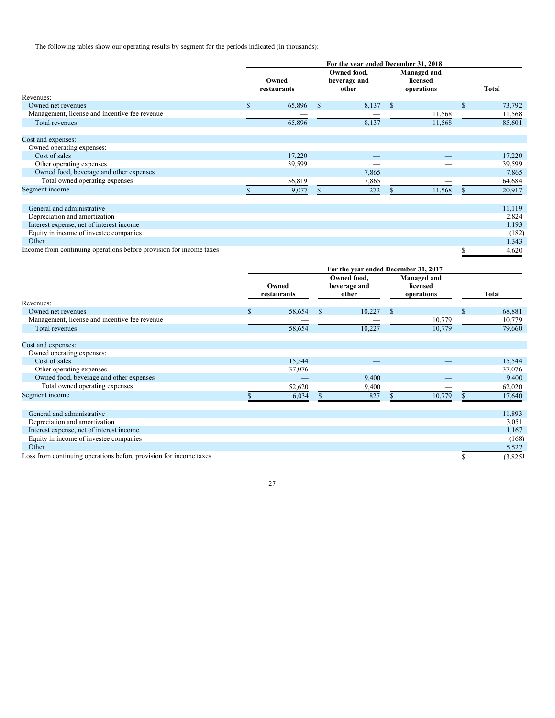The following tables show our operating results by segment for the periods indicated (in thousands):

|                                               | For the year ended December 31, 2018 |               |                                      |                                       |        |          |        |
|-----------------------------------------------|--------------------------------------|---------------|--------------------------------------|---------------------------------------|--------|----------|--------|
|                                               | Owned<br>restaurants                 |               | Owned food,<br>beverage and<br>other | Managed and<br>licensed<br>operations |        |          | Total  |
| Revenues:                                     |                                      |               |                                      |                                       |        |          |        |
| Owned net revenues                            | \$<br>65,896                         | <sup>\$</sup> | 8,137                                | - \$                                  |        | <b>S</b> | 73,792 |
| Management, license and incentive fee revenue |                                      |               |                                      |                                       | 11,568 |          | 11,568 |
| Total revenues                                | 65,896                               |               | 8,137                                |                                       | 11,568 |          | 85,601 |
| Cost and expenses:                            |                                      |               |                                      |                                       |        |          |        |
| Owned operating expenses:                     |                                      |               |                                      |                                       |        |          |        |
| Cost of sales                                 | 17,220                               |               |                                      |                                       |        |          | 17,220 |
| Other operating expenses                      | 39,599                               |               | -                                    |                                       |        |          | 39,599 |
| Owned food, beverage and other expenses       |                                      |               | 7,865                                |                                       |        |          | 7,865  |
| Total owned operating expenses                | 56,819                               |               | 7,865                                |                                       |        |          | 64,684 |
| Segment income                                | 9,077                                |               | 272                                  |                                       | 11,568 |          | 20,917 |
| General and administrative                    |                                      |               |                                      |                                       |        |          | 11,119 |
| Depreciation and amortization                 |                                      |               |                                      |                                       |        |          | 2,824  |
| Interest expense, net of interest income      |                                      |               |                                      |                                       |        |          | 1,193  |

Equity in income of investee companies (182)

Other **1,343** 

The United States of the China of the China of the China of the China of the China of the China of the China of the China of the China of the China of the China of the China of the China of the China of the China of the Ch

|                                                                   | For the year ended December 31, 2017 |                      |               |                                      |              |                                       |             |         |
|-------------------------------------------------------------------|--------------------------------------|----------------------|---------------|--------------------------------------|--------------|---------------------------------------|-------------|---------|
|                                                                   |                                      | Owned<br>restaurants |               | Owned food,<br>beverage and<br>other |              | Managed and<br>licensed<br>operations |             | Total   |
| Revenues:                                                         |                                      |                      |               |                                      |              |                                       |             |         |
| Owned net revenues                                                | \$                                   | 58,654               | <sup>\$</sup> | 10,227                               | <sup>S</sup> |                                       | $\mathbf S$ | 68,881  |
| Management, license and incentive fee revenue                     |                                      |                      |               |                                      |              | 10,779                                |             | 10,779  |
| Total revenues                                                    |                                      | 58,654               |               | 10,227                               |              | 10,779                                |             | 79,660  |
| Cost and expenses:                                                |                                      |                      |               |                                      |              |                                       |             |         |
| Owned operating expenses:                                         |                                      |                      |               |                                      |              |                                       |             |         |
| Cost of sales                                                     |                                      | 15,544               |               |                                      |              |                                       |             | 15,544  |
| Other operating expenses                                          |                                      | 37,076               |               |                                      |              |                                       |             | 37,076  |
| Owned food, beverage and other expenses                           |                                      |                      |               | 9,400                                |              |                                       |             | 9,400   |
| Total owned operating expenses                                    |                                      | 52,620               |               | 9,400                                |              |                                       |             | 62,020  |
| Segment income                                                    |                                      | 6,034                |               | 827                                  |              | 10,779                                |             | 17,640  |
| General and administrative                                        |                                      |                      |               |                                      |              |                                       |             | 11,893  |
| Depreciation and amortization                                     |                                      |                      |               |                                      |              |                                       |             | 3,051   |
| Interest expense, net of interest income                          |                                      |                      |               |                                      |              |                                       |             | 1,167   |
| Equity in income of investee companies                            |                                      |                      |               |                                      |              |                                       |             | (168)   |
| Other                                                             |                                      |                      |               |                                      |              |                                       |             | 5,522   |
| Loss from continuing operations before provision for income taxes |                                      |                      |               |                                      |              |                                       | S           | (3,825) |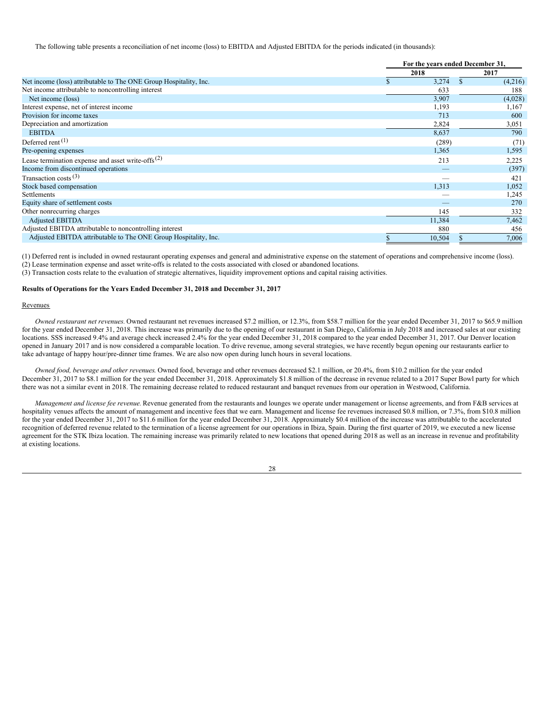The following table presents a reconciliation of net income (loss) to EBITDA and Adjusted EBITDA for the periods indicated (in thousands):

|                                                                   |      | For the vears ended December 31, |         |  |  |
|-------------------------------------------------------------------|------|----------------------------------|---------|--|--|
|                                                                   | 2018 |                                  | 2017    |  |  |
| Net income (loss) attributable to The ONE Group Hospitality, Inc. | \$   | 3,274<br>\$.                     | (4,216) |  |  |
| Net income attributable to noncontrolling interest                |      | 633                              | 188     |  |  |
| Net income (loss)                                                 |      | 3,907                            | (4,028) |  |  |
| Interest expense, net of interest income                          |      | 1,193                            | 1,167   |  |  |
| Provision for income taxes                                        |      | 713                              | 600     |  |  |
| Depreciation and amortization                                     |      | 2,824                            | 3,051   |  |  |
| <b>EBITDA</b>                                                     |      | 8,637                            | 790     |  |  |
| Deferred rent $(1)$                                               |      | (289)                            | (71)    |  |  |
| Pre-opening expenses                                              |      | 1,365                            | 1,595   |  |  |
| Lease termination expense and asset write-offs $^{(2)}$           |      | 213                              | 2,225   |  |  |
| Income from discontinued operations                               |      |                                  | (397)   |  |  |
| Transaction costs $(3)$                                           |      |                                  | 421     |  |  |
| Stock based compensation                                          |      | 1,313                            | 1,052   |  |  |
| Settlements                                                       |      |                                  | 1,245   |  |  |
| Equity share of settlement costs                                  |      |                                  | 270     |  |  |
| Other nonrecurring charges                                        |      | 145                              | 332     |  |  |
| <b>Adjusted EBITDA</b>                                            |      | 11,384                           | 7,462   |  |  |
| Adjusted EBITDA attributable to noncontrolling interest           |      | 880                              | 456     |  |  |
| Adjusted EBITDA attributable to The ONE Group Hospitality, Inc.   |      | 10,504                           | 7,006   |  |  |

(1) Deferred rent is included in owned restaurant operating expenses and general and administrative expense on the statement of operations and comprehensive income (loss).

(2) Lease termination expense and asset write-offs is related to the costs associated with closed or abandoned locations.

(3) Transaction costs relate to the evaluation of strategic alternatives, liquidity improvement options and capital raising activities.

# **Results of Operations for the Years Ended December 31, 2018 and December 31, 2017**

### Revenues

*Owned restaurant net revenues.* Owned restaurant net revenues increased \$7.2 million, or 12.3%, from \$58.7 million for the year ended December 31, 2017 to \$65.9 million for the year ended December 31, 2018. This increase was primarily due to the opening of our restaurant in San Diego, California in July 2018 and increased sales at our existing locations. SSS increased 9.4% and average check increased 2.4% for the year ended December 31, 2018 compared to the year ended December 31, 2017. Our Denver location opened in January 2017 and is now considered a comparable location. To drive revenue, among several strategies, we have recently begun opening our restaurants earlier to take advantage of happy hour/pre-dinner time frames. We are also now open during lunch hours in several locations.

*Owned food, beverage and other revenues*. Owned food, beverage and other revenues decreased \$2.1 million, or 20.4%, from \$10.2 million for the year ended December 31, 2017 to \$8.1 million for the year ended December 31, 2018. Approximately \$1.8 million of the decrease in revenue related to a 2017 Super Bowl party for which there was not a similar event in 2018. The remaining decrease related to reduced restaurant and banquet revenues from our operation in Westwood, California.

*Management and license fee revenue.*Revenue generated from the restaurants and lounges we operate under management or license agreements, and from F&B services at hospitality venues affects the amount of management and incentive fees that we earn. Management and license fee revenues increased \$0.8 million, or 7.3%, from \$10.8 million for the year ended December 31, 2017 to \$11.6 million for the year ended December 31, 2018. Approximately \$0.4 million of the increase was attributable to the accelerated recognition of deferred revenue related to the termination of a license agreement for our operations in Ibiza, Spain. During the first quarter of 2019, we executed a new license agreement for the STK Ibiza location. The remaining increase was primarily related to new locations that opened during 2018 as well as an increase in revenue and profitability at existing locations.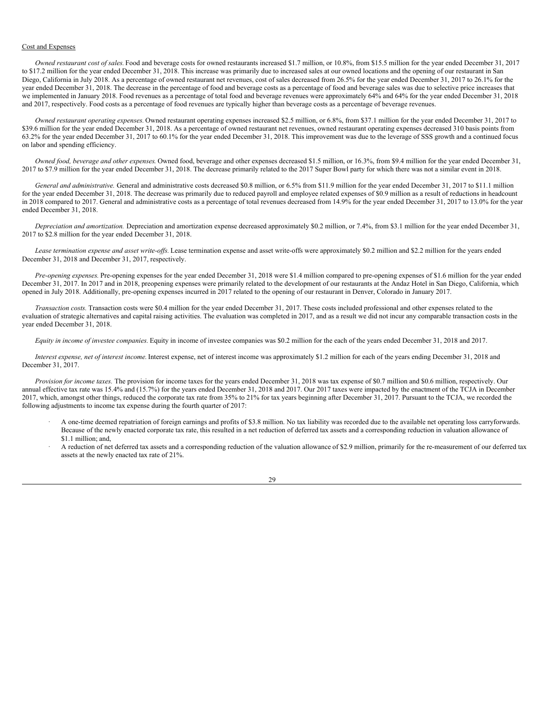## Cost and Expenses

*Owned restaurant cost of sales.* Food and beverage costs for owned restaurants increased \$1.7 million, or 10.8%, from \$15.5 million for the year ended December 31, 2017 to \$17.2 million for the year ended December 31, 2018. This increase was primarily due to increased sales at our owned locations and the opening of our restaurant in San Diego, California in July 2018. As a percentage of owned restaurant net revenues, cost of sales decreased from 26.5% for the year ended December 31, 2017 to 26.1% for the year ended December 31, 2018. The decrease in the percentage of food and beverage costs as a percentage of food and beverage sales was due to selective price increases that we implemented in January 2018. Food revenues as a percentage of total food and beverage revenues were approximately 64% and 64% for the year ended December 31, 2018 and 2017, respectively. Food costs as a percentage of food revenues are typically higher than beverage costs as a percentage of beverage revenues.

*Owned restaurant operating expenses.* Owned restaurant operating expenses increased \$2.5 million, or 6.8%, from \$37.1 million for the year ended December 31, 2017 to \$39.6 million for the year ended December 31, 2018. As a percentage of owned restaurant net revenues, owned restaurant operating expenses decreased 310 basis points from 63.2% for the year ended December 31, 2017 to 60.1% for the year ended December 31, 2018. This improvement was due to the leverage of SSS growth and a continued focus on labor and spending efficiency.

*Owned food, beverage and other expenses*. Owned food, beverage and other expenses decreased \$1.5 million, or 16.3%, from \$9.4 million for the year ended December 31, 2017 to \$7.9 million for the year ended December 31, 2018. The decrease primarily related to the 2017 Super Bowl party for which there was not a similar event in 2018.

*General and administrative.* General and administrative costs decreased \$0.8 million, or 6.5% from \$11.9 million for the year ended December 31, 2017 to \$11.1 million for the year ended December 31, 2018. The decrease was primarily due to reduced payroll and employee related expenses of \$0.9 million as a result of reductions in headcount in 2018 compared to 2017. General and administrative costs as a percentage of total revenues decreased from 14.9% for the year ended December 31, 2017 to 13.0% for the year ended December 31, 2018.

*Depreciation and amortization.* Depreciation and amortization expense decreased approximately \$0.2 million, or 7.4%, from \$3.1 million for the year ended December 31, 2017 to \$2.8 million for the year ended December 31, 2018.

*Lease termination expense and asset write-of s.* Lease termination expense and asset write-offs were approximately \$0.2 million and \$2.2 million for the years ended December 31, 2018 and December 31, 2017, respectively.

*Pre-opening expenses.* Pre-opening expenses for the year ended December 31, 2018 were \$1.4 million compared to pre-opening expenses of \$1.6 million for the year ended December 31, 2017. In 2017 and in 2018, preopening expenses were primarily related to the development of our restaurants at the Andaz Hotel in San Diego, California, which opened in July 2018. Additionally, pre-opening expenses incurred in 2017 related to the opening of our restaurant in Denver, Colorado in January 2017.

*Transaction costs.* Transaction costs were \$0.4 million for the year ended December 31, 2017. These costs included professional and other expenses related to the evaluation of strategic alternatives and capital raising activities. The evaluation was completed in 2017, and as a result we did not incur any comparable transaction costs in the year ended December 31, 2018.

*Equity in income of investee companies.* Equity in income of investee companies was \$0.2 million for the each of the years ended December 31, 2018 and 2017.

*Interest expense, net of interest income.*Interest expense, net of interest income was approximately \$1.2 million for each of the years ending December 31, 2018 and December 31, 2017.

*Provision for income taxes.* The provision for income taxes for the years ended December 31, 2018 was tax expense of \$0.7 million and \$0.6 million, respectively. Our annual effective tax rate was 15.4% and (15.7%) for the years ended December 31, 2018 and 2017. Our 2017 taxes were impacted by the enactment of the TCJA in December 2017, which, amongst other things, reduced the corporate tax rate from 35% to 21% for tax years beginning after December 31, 2017. Pursuant to the TCJA, we recorded the following adjustments to income tax expense during the fourth quarter of 2017:

- · A one-time deemed repatriation of foreign earnings and profits of \$3.8 million. No tax liability was recorded due to the available net operating loss carryforwards. Because of the newly enacted corporate tax rate, this resulted in a net reduction of deferred tax assets and a corresponding reduction in valuation allowance of \$1.1 million; and,
- · A reduction of net deferred tax assets and a corresponding reduction of the valuation allowance of \$2.9 million, primarily for the re-measurement of our deferred tax assets at the newly enacted tax rate of 21%.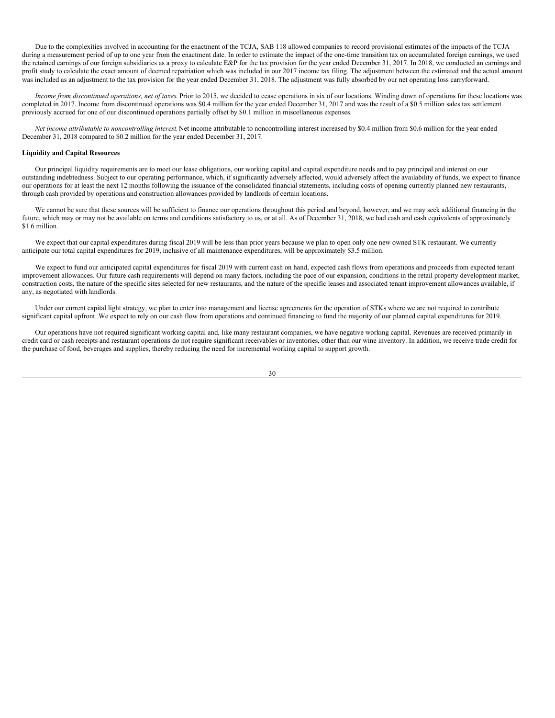Due to the complexities involved in accounting for the enactment of the TCJA, SAB 118 allowed companies to record provisional estimates of the impacts of the TCJA during a measurement period of up to one year from the enactment date. In order to estimate the impact of the one-time transition tax on accumulated foreign earnings, we used the retained earnings of our foreign subsidiaries as a proxy to calculate E&P for the tax provision for the year ended December 31, 2017. In 2018, we conducted an earnings and profit study to calculate the exact amount of deemed repatriation which was included in our 2017 income tax filing. The adjustment between the estimated and the actual amount was included as an adjustment to the tax provision for the year ended December 31, 2018. The adjustment was fully absorbed by our net operating loss carryforward.

*Income from discontinued operations, net of taxes*. Prior to 2015, we decided to cease operations in six of our locations. Winding down of operations for these locations was completed in 2017. Income from discontinued operations was \$0.4 million for the year ended December 31, 2017 and was the result of a \$0.5 million sales tax settlement previously accrued for one of our discontinued operations partially offset by \$0.1 million in miscellaneous expenses.

*Net income attributable to noncontrolling interest*. Net income attributable to noncontrolling interest increased by \$0.4 million from \$0.6 million for the year ended December 31, 2018 compared to \$0.2 million for the year ended December 31, 2017.

## **Liquidity and Capital Resources**

Our principal liquidity requirements are to meet our lease obligations, our working capital and capital expenditure needs and to pay principal and interest on our outstanding indebtedness. Subject to our operating performance, which, if significantly adversely affected, would adversely affect the availability of funds, we expect to finance our operations for at least the next 12 months following the issuance of the consolidated financial statements, including costs of opening currently planned new restaurants, through cash provided by operations and construction allowances provided by landlords of certain locations.

We cannot be sure that these sources will be sufficient to finance our operations throughout this period and beyond, however, and we may seek additional financing in the future, which may or may not be available on terms and conditions satisfactory to us, or at all. As of December 31, 2018, we had cash and cash equivalents of approximately \$1.6 million.

We expect that our capital expenditures during fiscal 2019 will be less than prior years because we plan to open only one new owned STK restaurant. We currently anticipate our total capital expenditures for 2019, inclusive of all maintenance expenditures, will be approximately \$3.5 million.

We expect to fund our anticipated capital expenditures for fiscal 2019 with current cash on hand, expected cash flows from operations and proceeds from expected tenant improvement allowances. Our future cash requirements will depend on many factors, including the pace of our expansion, conditions in the retail property development market, construction costs, the nature of the specific sites selected for new restaurants, and the nature of the specific leases and associated tenant improvement allowances available, if any, as negotiated with landlords.

Under our current capital light strategy, we plan to enter into management and license agreements for the operation of STKs where we are not required to contribute significant capital upfront. We expect to rely on our cash flow from operations and continued financing to fund the majority of our planned capital expenditures for 2019.

Our operations have not required significant working capital and, like many restaurant companies, we have negative working capital. Revenues are received primarily in credit card or cash receipts and restaurant operations do not require significant receivables or inventories, other than our wine inventory. In addition, we receive trade credit for the purchase of food, beverages and supplies, thereby reducing the need for incremental working capital to support growth.

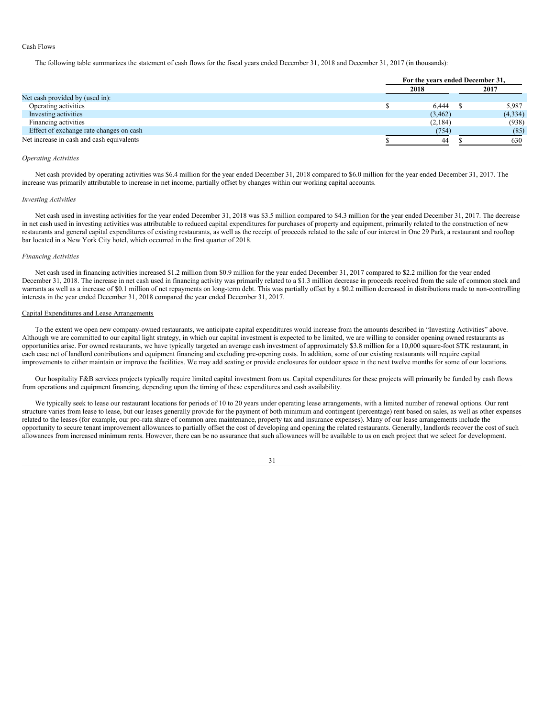## Cash Flows

The following table summarizes the statement of cash flows for the fiscal years ended December 31, 2018 and December 31, 2017 (in thousands):

|                                           | For the vears ended December 31. |  |          |  |
|-------------------------------------------|----------------------------------|--|----------|--|
|                                           | 2018                             |  | 2017     |  |
| Net cash provided by (used in):           |                                  |  |          |  |
| Operating activities                      | 6.444                            |  | 5,987    |  |
| Investing activities                      | (3, 462)                         |  | (4, 334) |  |
| Financing activities                      | (2,184)                          |  | (938)    |  |
| Effect of exchange rate changes on cash   | (754)                            |  | (85)     |  |
| Net increase in cash and cash equivalents | 44                               |  | 630      |  |

# *Operating Activities*

Net cash provided by operating activities was \$6.4 million for the year ended December 31, 2018 compared to \$6.0 million for the year ended December 31, 2017. The increase was primarily attributable to increase in net income, partially offset by changes within our working capital accounts.

# *Investing Activities*

Net cash used in investing activities for the year ended December 31, 2018 was \$3.5 million compared to \$4.3 million for the year ended December 31, 2017. The decrease in net cash used in investing activities was attributable to reduced capital expenditures for purchases of property and equipment, primarily related to the construction of new restaurants and general capital expenditures of existing restaurants, as well as the receipt of proceeds related to the sale of our interest in One 29 Park, a restaurant and rooftop bar located in a New York City hotel, which occurred in the first quarter of 2018.

### *Financing Activities*

Net cash used in financing activities increased \$1.2 million from \$0.9 million for the year ended December 31, 2017 compared to \$2.2 million for the year ended December 31, 2018. The increase in net cash used in financing activity was primarily related to a \$1.3 million decrease in proceeds received from the sale of common stock and warrants as well as a increase of \$0.1 million of net repayments on long-term debt. This was partially offset by a \$0.2 million decreased in distributions made to non-controlling interests in the year ended December 31, 2018 compared the year ended December 31, 2017.

# Capital Expenditures and Lease Arrangements

To the extent we open new company-owned restaurants, we anticipate capital expenditures would increase from the amounts described in "Investing Activities" above. Although we are committed to our capital light strategy, in which our capital investment is expected to be limited, we are willing to consider opening owned restaurants as opportunities arise. For owned restaurants, we have typically targeted an average cash investment of approximately \$3.8 million for a 10,000 square-foot STK restaurant, in each case net of landlord contributions and equipment financing and excluding pre-opening costs. In addition, some of our existing restaurants will require capital improvements to either maintain or improve the facilities. We may add seating or provide enclosures for outdoor space in the next twelve months for some of our locations.

Our hospitality F&B services projects typically require limited capital investment from us. Capital expenditures for these projects will primarily be funded by cash flows from operations and equipment financing, depending upon the timing of these expenditures and cash availability.

We typically seek to lease our restaurant locations for periods of 10 to 20 years under operating lease arrangements, with a limited number of renewal options. Our rent structure varies from lease to lease, but our leases generally provide for the payment of both minimum and contingent (percentage) rent based on sales, as well as other expenses related to the leases (for example, our pro-rata share of common area maintenance, property tax and insurance expenses). Many of our lease arrangements include the opportunity to secure tenant improvement allowances to partially offset the cost of developing and opening the related restaurants. Generally, landlords recover the cost of such allowances from increased minimum rents. However, there can be no assurance that such allowances will be available to us on each project that we select for development.

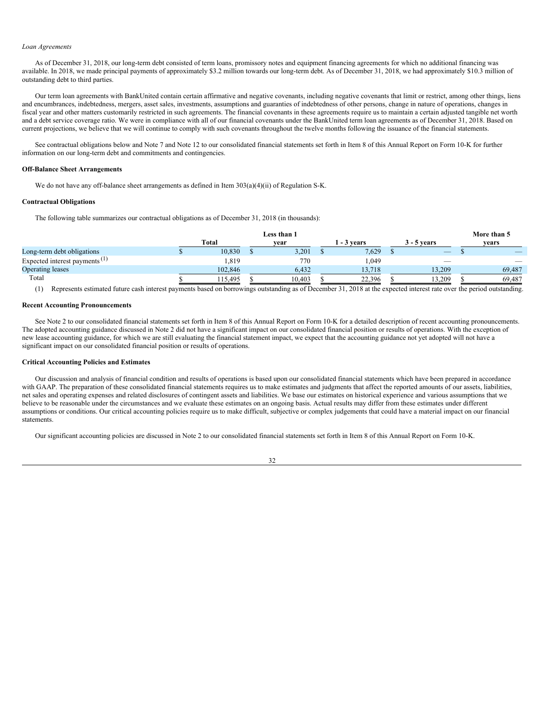### *Loan Agreements*

As of December 31, 2018, our long-term debt consisted of term loans, promissory notes and equipment financing agreements for which no additional financing was available. In 2018, we made principal payments of approximately \$3.2 million towards our long-term debt. As of December 31, 2018, we had approximately \$10.3 million of outstanding debt to third parties.

Our term loan agreements with BankUnited contain certain affirmative and negative covenants, including negative covenants that limit or restrict, among other things, liens and encumbrances, indebtedness, mergers, asset sales, investments, assumptions and guaranties of indebtedness of other persons, change in nature of operations, changes in fiscal year and other matters customarily restricted in such agreements. The financial covenants in these agreements require us to maintain a certain adjusted tangible net worth and a debt service coverage ratio. We were in compliance with all of our financial covenants under the BankUnited term loan agreements as of December 31, 2018. Based on current projections, we believe that we will continue to comply with such covenants throughout the twelve months following the issuance of the financial statements.

See contractual obligations below and Note 7 and Note 12 to our consolidated financial statements set forth in Item 8 of this Annual Report on Form 10-K for further information on our long-term debt and commitments and contingencies.

### **Off-Balance Sheet Arrangements**

We do not have any off-balance sheet arrangements as defined in Item 303(a)(4)(ii) of Regulation S-K.

## **Contractual Obligations**

The following table summarizes our contractual obligations as of December 31, 2018 (in thousands):

|                                  | Less than 1 |              |  |        |                                   | More than 5 |                          |                                 |
|----------------------------------|-------------|--------------|--|--------|-----------------------------------|-------------|--------------------------|---------------------------------|
|                                  |             | <b>Total</b> |  | vear   | vears<br>$\overline{\phantom{0}}$ |             | 3 - 5 vears              | vears                           |
| Long-term debt obligations       |             | 10.830       |  | 3,201  | 7,629                             |             | $\overline{\phantom{a}}$ |                                 |
| Expected interest payments $(1)$ |             | .819         |  | 770    | 1.049                             |             | $\overline{\phantom{a}}$ | $\hspace{0.1mm}-\hspace{0.1mm}$ |
| <b>Operating leases</b>          |             | 102.846      |  | 6,432  | 13.718                            |             | 13.209                   | 69,487                          |
| Total                            |             | 115,495      |  | 10.403 | 22,396                            |             | 13.209                   | 69,487                          |

(1) Represents estimated future cash interest payments based on borrowings outstanding as of December 31, 2018 at the expected interest rate over the period outstanding.

## **Recent Accounting Pronouncements**

See Note 2 to our consolidated financial statements set forth in Item 8 of this Annual Report on Form 10-K for a detailed description of recent accounting pronouncements. The adopted accounting guidance discussed in Note 2 did not have a significant impact on our consolidated financial position or results of operations. With the exception of new lease accounting guidance, for which we are still evaluating the financial statement impact, we expect that the accounting guidance not yet adopted will not have a significant impact on our consolidated financial position or results of operations.

# **Critical Accounting Policies and Estimates**

Our discussion and analysis of financial condition and results of operations is based upon our consolidated financial statements which have been prepared in accordance with GAAP. The preparation of these consolidated financial statements requires us to make estimates and judgments that affect the reported amounts of our assets, liabilities, net sales and operating expenses and related disclosures of contingent assets and liabilities. We base our estimates on historical experience and various assumptions that we believe to be reasonable under the circumstances and we evaluate these estimates on an ongoing basis. Actual results may differ from these estimates under different assumptions or conditions. Our critical accounting policies require us to make difficult, subjective or complex judgements that could have a material impact on our financial statements.

Our significant accounting policies are discussed in Note 2 to our consolidated financial statements set forth in Item 8 of this Annual Report on Form 10-K.

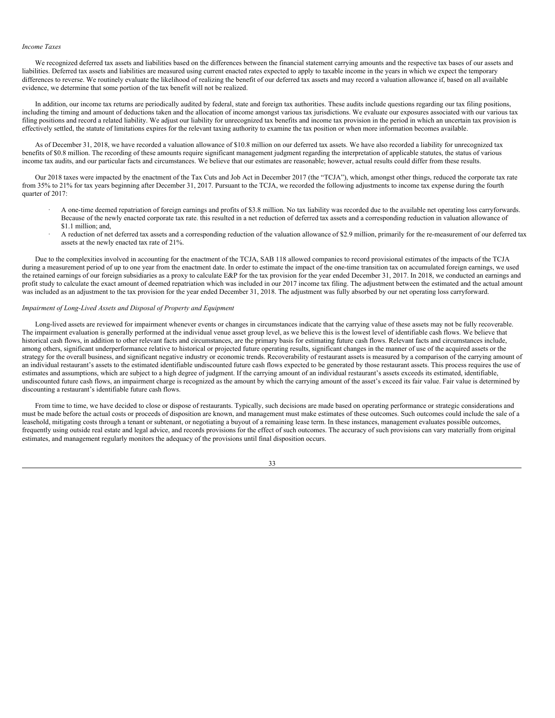#### *Income Taxes*

We recognized deferred tax assets and liabilities based on the differences between the financial statement carrying amounts and the respective tax bases of our assets and liabilities. Deferred tax assets and liabilities are measured using current enacted rates expected to apply to taxable income in the years in which we expect the temporary differences to reverse. We routinely evaluate the likelihood of realizing the benefit of our deferred tax assets and may record a valuation allowance if, based on all available evidence, we determine that some portion of the tax benefit will not be realized.

In addition, our income tax returns are periodically audited by federal, state and foreign tax authorities. These audits include questions regarding our tax filing positions, including the timing and amount of deductions taken and the allocation of income amongst various tax jurisdictions. We evaluate our exposures associated with our various tax filing positions and record a related liability. We adjust our liability for unrecognized tax benefits and income tax provision in the period in which an uncertain tax provision is effectively settled, the statute of limitations expires for the relevant taxing authority to examine the tax position or when more information becomes available.

As of December 31, 2018, we have recorded a valuation allowance of \$10.8 million on our deferred tax assets. We have also recorded a liability for unrecognized tax benefits of \$0.8 million. The recording of these amounts require significant management judgment regarding the interpretation of applicable statutes, the status of various income tax audits, and our particular facts and circumstances. We believe that our estimates are reasonable; however, actual results could differ from these results.

Our 2018 taxes were impacted by the enactment of the Tax Cuts and Job Act in December 2017 (the "TCJA"), which, amongst other things, reduced the corporate tax rate from 35% to 21% for tax years beginning after December 31, 2017. Pursuant to the TCJA, we recorded the following adjustments to income tax expense during the fourth quarter of 2017:

- · A one-time deemed repatriation of foreign earnings and profits of \$3.8 million. No tax liability was recorded due to the available net operating loss carryforwards. Because of the newly enacted corporate tax rate. this resulted in a net reduction of deferred tax assets and a corresponding reduction in valuation allowance of \$1.1 million; and,
- · A reduction of net deferred tax assets and a corresponding reduction of the valuation allowance of \$2.9 million, primarily for the re-measurement of our deferred tax assets at the newly enacted tax rate of 21%.

Due to the complexities involved in accounting for the enactment of the TCJA, SAB 118 allowed companies to record provisional estimates of the impacts of the TCJA during a measurement period of up to one year from the enactment date. In order to estimate the impact of the one-time transition tax on accumulated foreign earnings, we used the retained earnings of our foreign subsidiaries as a proxy to calculate E&P for the tax provision for the year ended December 31, 2017. In 2018, we conducted an earnings and profit study to calculate the exact amount of deemed repatriation which was included in our 2017 income tax filing. The adjustment between the estimated and the actual amount was included as an adjustment to the tax provision for the year ended December 31, 2018. The adjustment was fully absorbed by our net operating loss carryforward.

## *Impairment of Long-Lived Assets and Disposal of Property and Equipment*

Long-lived assets are reviewed for impairment whenever events or changes in circumstances indicate that the carrying value of these assets may not be fully recoverable. The impairment evaluation is generally performed at the individual venue asset group level, as we believe this is the lowest level of identifiable cash flows. We believe that historical cash flows, in addition to other relevant facts and circumstances, are the primary basis for estimating future cash flows. Relevant facts and circumstances include, among others, significant underperformance relative to historical or projected future operating results, significant changes in the manner of use of the acquired assets or the strategy for the overall business, and significant negative industry or economic trends. Recoverability of restaurant assets is measured by a comparison of the carrying amount of an individual restaurant's assets to the estimated identifiable undiscounted future cash flows expected to be generated by those restaurant assets. This process requires the use of estimates and assumptions, which are subject to a high degree of judgment. If the carrying amount of an individual restaurant's assets exceeds its estimated, identifiable, undiscounted future cash flows, an impairment charge is recognized as the amount by which the carrying amount of the asset's exceed its fair value. Fair value is determined by discounting a restaurant's identifiable future cash flows.

From time to time, we have decided to close or dispose of restaurants. Typically, such decisions are made based on operating performance or strategic considerations and must be made before the actual costs or proceeds of disposition are known, and management must make estimates of these outcomes. Such outcomes could include the sale of a leasehold, mitigating costs through a tenant or subtenant, or negotiating a buyout of a remaining lease term. In these instances, management evaluates possible outcomes, frequently using outside real estate and legal advice, and records provisions for the effect of such outcomes. The accuracy of such provisions can vary materially from original estimates, and management regularly monitors the adequacy of the provisions until final disposition occurs.

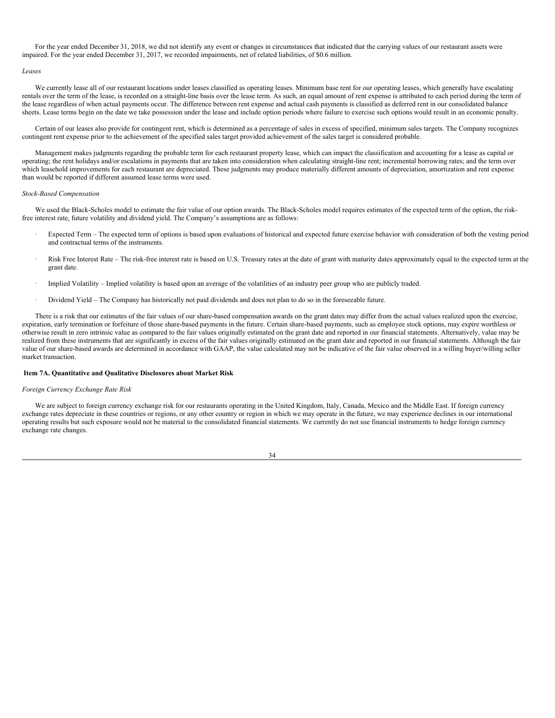For the year ended December 31, 2018, we did not identify any event or changes in circumstances that indicated that the carrying values of our restaurant assets were impaired. For the year ended December 31, 2017, we recorded impairments, net of related liabilities, of \$0.6 million.

### *Leases*

We currently lease all of our restaurant locations under leases classified as operating leases. Minimum base rent for our operating leases, which generally have escalating rentals over the term of the lease, is recorded on a straight-line basis over the lease term. As such, an equal amount of rent expense is attributed to each period during the term of the lease regardless of when actual payments occur. The difference between rent expense and actual cash payments is classified as deferred rent in our consolidated balance sheets. Lease terms begin on the date we take possession under the lease and include option periods where failure to exercise such options would result in an economic penalty.

Certain of our leases also provide for contingent rent, which is determined as a percentage of sales in excess of specified, minimum sales targets. The Company recognizes contingent rent expense prior to the achievement of the specified sales target provided achievement of the sales target is considered probable.

Management makes judgments regarding the probable term for each restaurant property lease, which can impact the classification and accounting for a lease as capital or operating; the rent holidays and/or escalations in payments that are taken into consideration when calculating straight-line rent; incremental borrowing rates; and the term over which leasehold improvements for each restaurant are depreciated. These judgments may produce materially different amounts of depreciation, amortization and rent expense than would be reported if different assumed lease terms were used.

## *Stock-Based Compensation*

We used the Black-Scholes model to estimate the fair value of our option awards. The Black-Scholes model requires estimates of the expected term of the option, the riskfree interest rate, future volatility and dividend yield. The Company's assumptions are as follows:

- Expected Term The expected term of options is based upon evaluations of historical and expected future exercise behavior with consideration of both the vesting period and contractual terms of the instruments.
- Risk Free Interest Rate The risk-free interest rate is based on U.S. Treasury rates at the date of grant with maturity dates approximately equal to the expected term at the grant date.
- · Implied Volatility Implied volatility is based upon an average of the volatilities of an industry peer group who are publicly traded.
- Dividend Yield The Company has historically not paid dividends and does not plan to do so in the foreseeable future.

There is a risk that our estimates of the fair values of our share-based compensation awards on the grant dates may differ from the actual values realized upon the exercise, expiration, early termination or forfeiture of those share-based payments in the future. Certain share-based payments, such as employee stock options, may expire worthless or otherwise result in zero intrinsic value as compared to the fair values originally estimated on the grant date and reported in our financial statements. Alternatively, value may be realized from these instruments that are significantly in excess of the fair values originally estimated on the grant date and reported in our financial statements. Although the fair value of our share-based awards are determined in accordance with GAAP, the value calculated may not be indicative of the fair value observed in a willing buyer/willing seller market transaction.

## <span id="page-33-0"></span>**Item 7A. Quantitative and Qualitative Disclosures about Market Risk**

### *Foreign Currency Exchange Rate Risk*

We are subject to foreign currency exchange risk for our restaurants operating in the United Kingdom, Italy, Canada, Mexico and the Middle East. If foreign currency exchange rates depreciate in these countries or regions, or any other country or region in which we may operate in the future, we may experience declines in our international operating results but such exposure would not be material to the consolidated financial statements. We currently do not use financial instruments to hedge foreign currency exchange rate changes.

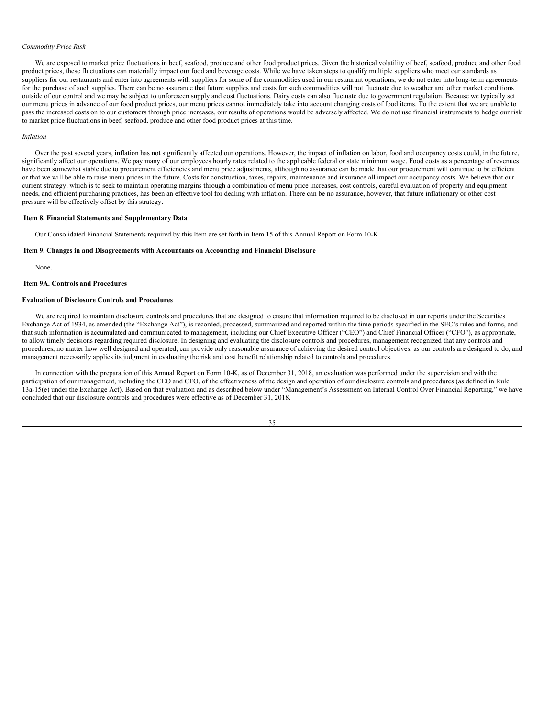### *Commodity Price Risk*

We are exposed to market price fluctuations in beef, seafood, produce and other food product prices. Given the historical volatility of beef, seafood, produce and other food product prices, these fluctuations can materially impact our food and beverage costs. While we have taken steps to qualify multiple suppliers who meet our standards as suppliers for our restaurants and enter into agreements with suppliers for some of the commodities used in our restaurant operations, we do not enter into long-term agreements for the purchase of such supplies. There can be no assurance that future supplies and costs for such commodities will not fluctuate due to weather and other market conditions outside of our control and we may be subject to unforeseen supply and cost fluctuations. Dairy costs can also fluctuate due to government regulation. Because we typically set our menu prices in advance of our food product prices, our menu prices cannot immediately take into account changing costs of food items. To the extent that we are unable to pass the increased costs on to our customers through price increases, our results of operations would be adversely affected. We do not use financial instruments to hedge our risk to market price fluctuations in beef, seafood, produce and other food product prices at this time.

### *Inflation*

Over the past several years, inflation has not significantly affected our operations. However, the impact of inflation on labor, food and occupancy costs could, in the future, significantly affect our operations. We pay many of our employees hourly rates related to the applicable federal or state minimum wage. Food costs as a percentage of revenues have been somewhat stable due to procurement efficiencies and menu price adjustments, although no assurance can be made that our procurement will continue to be efficient or that we will be able to raise menu prices in the future. Costs for construction, taxes, repairs, maintenance and insurance all impact our occupancy costs. We believe that our current strategy, which is to seek to maintain operating margins through a combination of menu price increases, cost controls, careful evaluation of property and equipment needs, and efficient purchasing practices, has been an effective tool for dealing with inflation. There can be no assurance, however, that future inflationary or other cost pressure will be effectively offset by this strategy.

## <span id="page-34-0"></span>**Item 8. Financial Statements and Supplementary Data**

Our Consolidated Financial Statements required by this Item are set forth in Item 15 of this Annual Report on Form 10-K.

### <span id="page-34-1"></span>**Item 9. Changes in and Disagreements with Accountants on Accounting and Financial Disclosure**

None.

## <span id="page-34-2"></span>**Item 9A. Controls and Procedures**

# **Evaluation of Disclosure Controls and Procedures**

We are required to maintain disclosure controls and procedures that are designed to ensure that information required to be disclosed in our reports under the Securities Exchange Act of 1934, as amended (the "Exchange Act"), is recorded, processed, summarized and reported within the time periods specified in the SEC's rules and forms, and that such information is accumulated and communicated to management, including our Chief Executive Officer ("CEO") and Chief Financial Officer ("CFO"), as appropriate, to allow timely decisions regarding required disclosure. In designing and evaluating the disclosure controls and procedures, management recognized that any controls and procedures, no matter how well designed and operated, can provide only reasonable assurance of achieving the desired control objectives, as our controls are designed to do, and management necessarily applies its judgment in evaluating the risk and cost benefit relationship related to controls and procedures.

In connection with the preparation of this Annual Report on Form 10-K, as of December 31, 2018, an evaluation was performed under the supervision and with the participation of our management, including the CEO and CFO, of the effectiveness of the design and operation of our disclosure controls and procedures (as defined in Rule 13a-15(e) under the Exchange Act). Based on that evaluation and as described below under "Management's Assessment on Internal Control Over Financial Reporting," we have concluded that our disclosure controls and procedures were effective as of December 31, 2018.

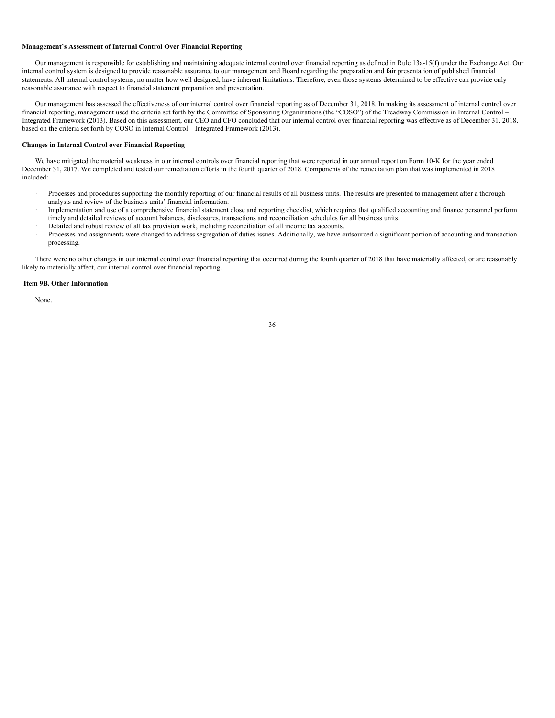### **Management's Assessment of Internal Control Over Financial Reporting**

Our management is responsible for establishing and maintaining adequate internal control over financial reporting as defined in Rule 13a-15(f) under the Exchange Act. Our internal control system is designed to provide reasonable assurance to our management and Board regarding the preparation and fair presentation of published financial statements. All internal control systems, no matter how well designed, have inherent limitations. Therefore, even those systems determined to be effective can provide only reasonable assurance with respect to financial statement preparation and presentation.

Our management has assessed the effectiveness of our internal control over financial reporting as of December 31, 2018. In making its assessment of internal control over financial reporting, management used the criteria set forth by the Committee of Sponsoring Organizations (the "COSO") of the Treadway Commission in Internal Control – Integrated Framework (2013). Based on this assessment, our CEO and CFO concluded that our internal control over financial reporting was effective as of December 31, 2018, based on the criteria set forth by COSO in Internal Control – Integrated Framework (2013).

# **Changes in Internal Control over Financial Reporting**

We have mitigated the material weakness in our internal controls over financial reporting that were reported in our annual report on Form 10-K for the year ended December 31, 2017. We completed and tested our remediation efforts in the fourth quarter of 2018. Components of the remediation plan that was implemented in 2018 included:

- · Processes and procedures supporting the monthly reporting of our financial results of all business units. The results are presented to management after a thorough analysis and review of the business units' financial information.
- · Implementation and use of a comprehensive financial statement close and reporting checklist, which requires that qualified accounting and finance personnel perform timely and detailed reviews of account balances, disclosures, transactions and reconciliation schedules for all business units.
- Detailed and robust review of all tax provision work, including reconciliation of all income tax accounts.
- · Processes and assignments were changed to address segregation of duties issues. Additionally, we have outsourced a significant portion of accounting and transaction processing.

There were no other changes in our internal control over financial reporting that occurred during the fourth quarter of 2018 that have materially affected, or are reasonably likely to materially affect, our internal control over financial reporting.

# <span id="page-35-0"></span>**Item 9B. Other Information**

None.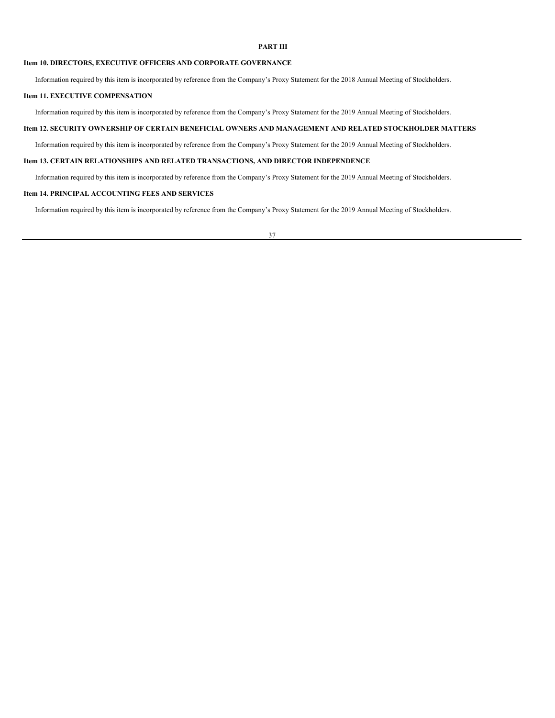## **PART III**

## **Item 10. DIRECTORS, EXECUTIVE OFFICERS AND CORPORATE GOVERNANCE**

Information required by this item is incorporated by reference from the Company's Proxy Statement for the 2018 Annual Meeting of Stockholders.

## **Item 11. EXECUTIVE COMPENSATION**

Information required by this item is incorporated by reference from the Company's Proxy Statement for the 2019 Annual Meeting of Stockholders.

## **Item 12. SECURITY OWNERSHIP OF CERTAIN BENEFICIAL OWNERS AND MANAGEMENT AND RELATED STOCKHOLDER MATTERS**

Information required by this item is incorporated by reference from the Company's Proxy Statement for the 2019 Annual Meeting of Stockholders.

## **Item 13. CERTAIN RELATIONSHIPS AND RELATED TRANSACTIONS, AND DIRECTOR INDEPENDENCE**

Information required by this item is incorporated by reference from the Company's Proxy Statement for the 2019 Annual Meeting of Stockholders.

## **Item 14. PRINCIPAL ACCOUNTING FEES AND SERVICES**

Information required by this item is incorporated by reference from the Company's Proxy Statement for the 2019 Annual Meeting of Stockholders.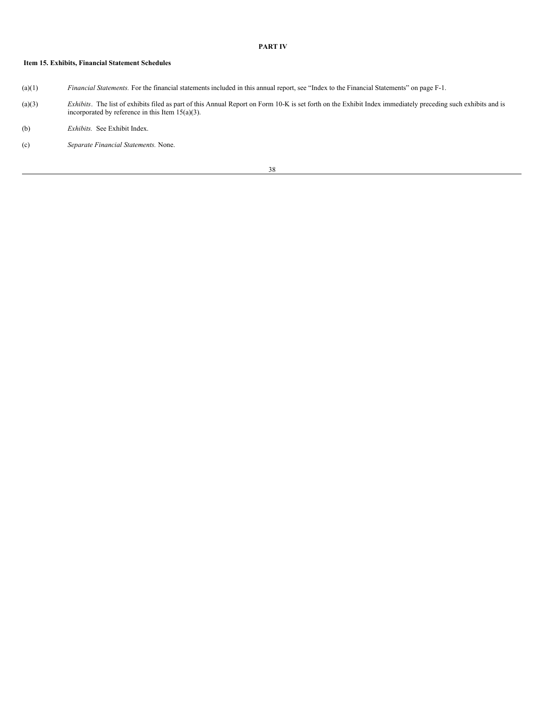# **PART IV**

# **Item 15. Exhibits, Financial Statement Schedules**

- (a)(1) *Financial Statements.* For the financial statements included in this annual report, see "Index to the Financial Statements" on page F-1.
- (a)(3) *Exhibits*. The list of exhibits filed as part of this Annual Report on Form 10-K is set forth on the Exhibit Index immediately preceding such exhibits and is incorporated by reference in this Item  $15(a)(3)$ .
- (b) *Exhibits.* See Exhibit Index.
- (c) *Separate Financial Statements.* None.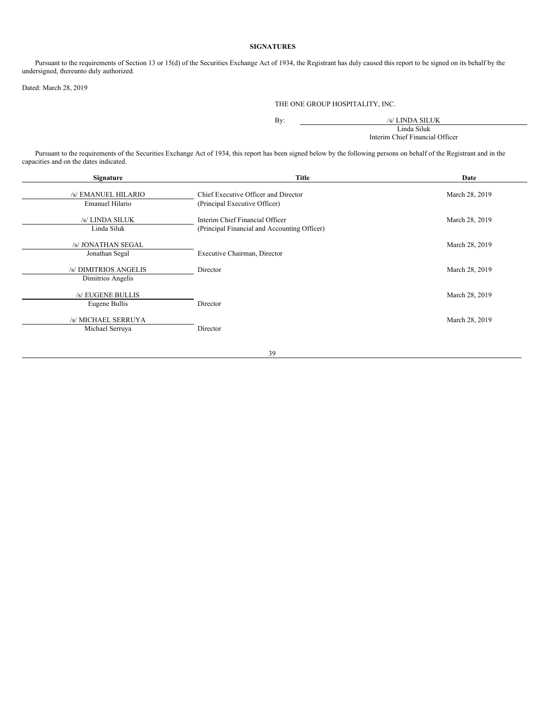# **SIGNATURES**

Pursuant to the requirements of Section 13 or 15(d) of the Securities Exchange Act of 1934, the Registrant has duly caused this report to be signed on its behalf by the undersigned, thereunto duly authorized.

Dated: March 28, 2019

THE ONE GROUP HOSPITALITY, INC.

By: /s/ LINDA SILUK

Linda Siluk Interim Chief Financial Officer

Pursuant to the requirements of the Securities Exchange Act of 1934, this report has been signed below by the following persons on behalf of the Registrant and in the capacities and on the dates indicated.

| Signature                                  | Title                                                                           | Date           |
|--------------------------------------------|---------------------------------------------------------------------------------|----------------|
| /s/ EMANUEL HILARIO<br>Emanuel Hilario     | Chief Executive Officer and Director<br>(Principal Executive Officer)           | March 28, 2019 |
| /s/ LINDA SILUK<br>Linda Siluk             | Interim Chief Financial Officer<br>(Principal Financial and Accounting Officer) | March 28, 2019 |
| /s/ JONATHAN SEGAL<br>Jonathan Segal       | Executive Chairman, Director                                                    | March 28, 2019 |
| /s/ DIMITRIOS ANGELIS<br>Dimitrios Angelis | Director                                                                        | March 28, 2019 |
| /s/ EUGENE BULLIS<br>Eugene Bullis         | Director                                                                        | March 28, 2019 |
| /s/ MICHAEL SERRUYA<br>Michael Serruya     | Director                                                                        | March 28, 2019 |
|                                            |                                                                                 |                |

39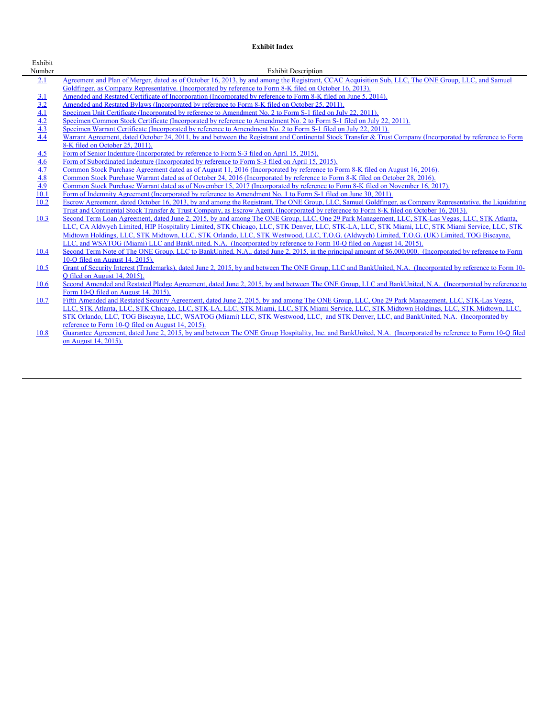# **Exhibit Index**

| Exhibit                                                                  |                                                                                                                                                                                            |
|--------------------------------------------------------------------------|--------------------------------------------------------------------------------------------------------------------------------------------------------------------------------------------|
| Number                                                                   | <b>Exhibit Description</b>                                                                                                                                                                 |
| 2.1                                                                      | Agreement and Plan of Merger, dated as of October 16, 2013, by and among the Registrant, CCAC Acquisition Sub, LLC, The ONE Group, LLC, and Samuel                                         |
|                                                                          | Goldfinger, as Company Representative. (Incorporated by reference to Form 8-K filed on October 16, 2013).                                                                                  |
|                                                                          | Amended and Restated Certificate of Incorporation (Incorporated by reference to Form 8-K filed on June 5, 2014).                                                                           |
| $\frac{3.1}{3.2}$ $\frac{4.1}{4.2}$ $\frac{4.3}{4.4}$                    | Amended and Restated Bylaws (Incorporated by reference to Form 8-K filed on October 25, 2011).                                                                                             |
|                                                                          | Specimen Unit Certificate (Incorporated by reference to Amendment No. 2 to Form S-1 filed on July 22, 2011).                                                                               |
|                                                                          | Specimen Common Stock Certificate (Incorporated by reference to Amendment No. 2 to Form S-1 filed on July 22, 2011).                                                                       |
|                                                                          | Specimen Warrant Certificate (Incorporated by reference to Amendment No. 2 to Form S-1 filed on July 22, 2011).                                                                            |
|                                                                          | Warrant Agreement, dated October 24, 2011, by and between the Registrant and Continental Stock Transfer & Trust Company (Incorporated by reference to Form                                 |
|                                                                          | 8-K filed on October 25, 2011).                                                                                                                                                            |
|                                                                          | Form of Senior Indenture (Incorporated by reference to Form S-3 filed on April 15, 2015).                                                                                                  |
|                                                                          | Form of Subordinated Indenture (Incorporated by reference to Form S-3 filed on April 15, 2015).                                                                                            |
| $\frac{4.5}{4.6}$ $\frac{4.7}{4.8}$ $\frac{4.8}{4.9}$ $\frac{4.9}{10.1}$ | Common Stock Purchase Agreement dated as of August 11, 2016 (Incorporated by reference to Form 8-K filed on August 16, 2016).                                                              |
|                                                                          | Common Stock Purchase Warrant dated as of October 24, 2016 (Incorporated by reference to Form 8-K filed on October 28, 2016).                                                              |
|                                                                          | Common Stock Purchase Warrant dated as of November 15, 2017 (Incorporated by reference to Form 8-K filed on November 16, 2017).                                                            |
|                                                                          | Form of Indemnity Agreement (Incorporated by reference to Amendment No. 1 to Form S-1 filed on June 30, 2011).                                                                             |
| 10.2                                                                     | Escrow Agreement, dated October 16, 2013, by and among the Registrant, The ONE Group, LLC, Samuel Goldfinger, as Company Representative, the Liquidating                                   |
|                                                                          | Trust and Continental Stock Transfer & Trust Company, as Escrow Agent. (Incorporated by reference to Form 8-K filed on October 16, 2013).                                                  |
| 10.3                                                                     | Second Term Loan Agreement, dated June 2, 2015, by and among The ONE Group, LLC, One 29 Park Management, LLC, STK-Las Vegas, LLC, STK Atlanta,                                             |
|                                                                          | LLC, CA Aldwych Limited, HIP Hospitality Limited, STK Chicago, LLC, STK Denver, LLC, STK-LA, LLC, STK Miami, LLC, STK Miami Service, LLC, STK                                              |
|                                                                          | Midtown Holdings, LLC, STK Midtown, LLC, STK Orlando, LLC, STK Westwood, LLC, T.O.G. (Aldwych) Limited, T.O.G. (UK) Limited, TOG Biscayne,                                                 |
|                                                                          | LLC, and WSATOG (Miami) LLC and BankUnited, N.A. (Incorporated by reference to Form 10-O filed on August 14, 2015).                                                                        |
| 10.4                                                                     | Second Term Note of The ONE Group, LLC to BankUnited, N.A., dated June 2, 2015, in the principal amount of \$6,000,000. (Incorporated by reference to Form                                 |
|                                                                          | 10-O filed on August 14, 2015).                                                                                                                                                            |
| 10.5                                                                     | Grant of Security Interest (Trademarks), dated June 2, 2015, by and between The ONE Group, LLC and BankUnited, N.A. (Incorporated by reference to Form 10-<br>O filed on August 14, 2015). |
| 10.6                                                                     | Second Amended and Restated Pledge Agreement, dated June 2, 2015, by and between The ONE Group, LLC and BankUnited, N.A. (Incorporated by reference to                                     |
|                                                                          | Form 10-O filed on August 14, 2015).                                                                                                                                                       |
| 10.7                                                                     | Fifth Amended and Restated Security Agreement, dated June 2, 2015, by and among The ONE Group, LLC, One 29 Park Management, LLC, STK-Las Vegas,                                            |
|                                                                          | LLC, STK Atlanta, LLC, STK Chicago, LLC, STK-LA, LLC, STK Miami, LLC, STK Miami Service, LLC, STK Midtown Holdings, LLC, STK Midtown, LLC,                                                 |
|                                                                          | STK Orlando, LLC, TOG Biscavne, LLC, WSATOG (Miami) LLC, STK Westwood, LLC, and STK Denver, LLC, and BankUnited, N.A. (Incorporated by                                                     |
|                                                                          | reference to Form 10-O filed on August 14, 2015).                                                                                                                                          |
| 10.8                                                                     | Guarantee Agreement, dated June 2, 2015, by and between The ONE Group Hospitality, Inc. and BankUnited, N.A. (Incorporated by reference to Form 10-O filed                                 |
|                                                                          | on August 14, 2015).                                                                                                                                                                       |
|                                                                          |                                                                                                                                                                                            |
|                                                                          |                                                                                                                                                                                            |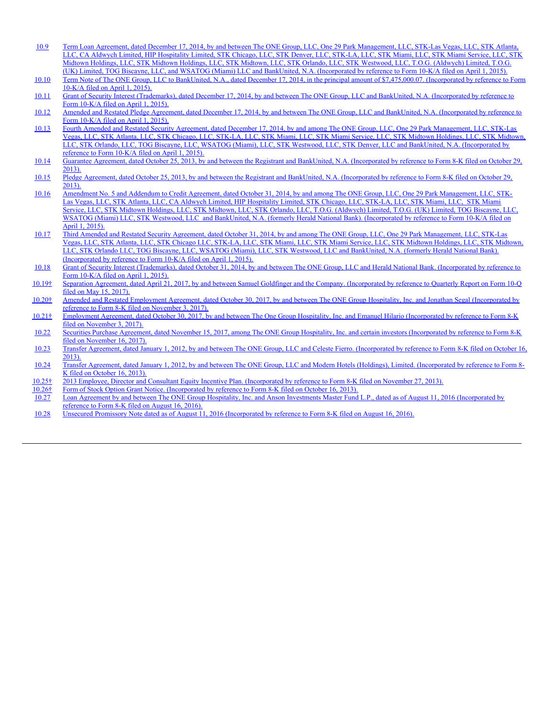- [10.9](http://www.sec.gov/Archives/edgar/data/1399520/000162828015002110/a107-termloanagreement.htm) Term Loan Agreement, dated December 17, 2014, by and between The ONE Group, LLC, One 29 Park [Management,](http://www.sec.gov/Archives/edgar/data/1399520/000162828015002110/a107-termloanagreement.htm) LLC, STK-Las Vegas, LLC, STK Atlanta LLC, CA Aldwych Limited, HIP Hospitality Limited, STK Chicago, LLC, STK Denver, LLC, STK-LA, LLC, STK Miami, LLC, STK Miami Service, LLC, STK Midtown Holdings, LLC, STK Midtown Holdings, LLC, STK Midtown, LLC, STK Orlando, LLC, STK Westwood, LLC, T.O.G. (Aldwych) Limited, T.O.G. (UK) Limited, TOG Biscayne, LLC, and WSATOG (Miami) LLC and BankUnited, N.A. (Incorporated by reference to Form 10-K/A filed on April 1, 2015).
- [10.10](http://www.sec.gov/Archives/edgar/data/1399520/000162828015002110/a108-termnote.htm) Term Note of The ONE Group, LLC to BankUnited, N.A., dated December 17, 2014, in the principal amount of [\\$7,475,000.07.](http://www.sec.gov/Archives/edgar/data/1399520/000162828015002110/a108-termnote.htm) (Incorporated by reference to Form 10-K/A filed on April 1, 2015).
- [10.11](http://www.sec.gov/Archives/edgar/data/1399520/000162828015002110/a109-grantofsecurityintere.htm) Grant of Security Interest [\(Trademarks\),](http://www.sec.gov/Archives/edgar/data/1399520/000162828015002110/a109-grantofsecurityintere.htm) dated December 17, 2014, by and between The ONE Group, LLC and BankUnited, N.A. (Incorporated by reference to Form 10-K/A filed on April 1, 2015).
- [10.12](http://www.sec.gov/Archives/edgar/data/1399520/000162828015002110/a1010-aandrpledgexsubborro.htm) Amended and Restated Pledge Agreement, dated December 17, 2014, by and between The ONE Group, LLC and BankUnited, N.A. [\(Incorporated](http://www.sec.gov/Archives/edgar/data/1399520/000162828015002110/a1010-aandrpledgexsubborro.htm) by reference to Form 10-K/A filed on April 1, 2015).
- [10.13](http://www.sec.gov/Archives/edgar/data/1399520/000162828015002110/a1011-fourthamendedandrest.htm) Fourth Amended and Restated Security Agreement, dated December 17, 2014, by and among The ONE Group, LLC, One 29 Park [Management,](http://www.sec.gov/Archives/edgar/data/1399520/000162828015002110/a1011-fourthamendedandrest.htm) LLC, STK-Las Vegas, LLC, STK Atlanta, LLC, STK Chicago, LLC, STK-LA, LLC, STK Miami, LLC, STK Miami Service, LLC, STK Midtown Holdings, LLC, STK Midtown, LLC, STK Orlando, LLC, TOG Biscayne, LLC, WSATOG (Miami), LLC, STK Westwood, LLC, STK Denver, LLC and BankUnited, N.A. (Incorporated by reference to Form 10-K/A filed on April 1, 2015).
- [10.14](http://www.sec.gov/Archives/edgar/data/1399520/000114420413057477/v358545_ex10-1.htm) Guarantee Agreement, dated October 25, 2013, by and between the Registrant and BankUnited, N.A. [\(Incorporated](http://www.sec.gov/Archives/edgar/data/1399520/000114420413057477/v358545_ex10-1.htm) by reference to Form 8-K filed on October 29, 2013).
- [10.15](http://www.sec.gov/Archives/edgar/data/1399520/000114420413057477/v358545_ex10-2.htm) Pledge Agreement, dated October 25, 2013, by and between the Registrant and BankUnited, N.A. [\(Incorporated](http://www.sec.gov/Archives/edgar/data/1399520/000114420413057477/v358545_ex10-2.htm) by reference to Form 8-K filed on October 29, 2013).
- [10.16](http://www.sec.gov/Archives/edgar/data/1399520/000162828015002110/a1035-amendmentno5.htm) Amendment No. 5 and Addendum to Credit Agreement, dated October 31, 2014, by and among The ONE Group, LLC, One 29 Park [Management,](http://www.sec.gov/Archives/edgar/data/1399520/000162828015002110/a1035-amendmentno5.htm) LLC, STK-Las Vegas, LLC, STK Atlanta, LLC, CA Aldwych Limited, HIP Hospitality Limited, STK Chicago, LLC, STK-LA, LLC, STK Miami, LLC, STK Miami Service, LLC, STK Midtown Holdings, LLC, STK Midtown, LLC, STK Orlando, LLC, T.O.G. (Aldwych) Limited, T.O.G. (UK) Limited, TOG Biscayne, LLC, WSATOG (Miami) LLC, STK Westwood, LLC and BankUnited, N.A. (formerly Herald National Bank). (Incorporated by reference to Form 10-K/A filed on April 1, 2015).
- [10.17](http://www.sec.gov/Archives/edgar/data/1399520/000162828015002110/a1036-thirdamendedandresta.htm) Third Amended and Restated Security Agreement, dated October 31, 2014, by and among The ONE Group, LLC, One 29 Park [Management,](http://www.sec.gov/Archives/edgar/data/1399520/000162828015002110/a1036-thirdamendedandresta.htm) LLC, STK-Las Vegas, LLC, STK Atlanta, LLC, STK Chicago LLC, STK-LA, LLC, STK Miami, LLC, STK Miami Service, LLC, STK Midtown Holdings, LLC, STK Midtown, LLC, STK Orlando LLC, TOG Biscayne, LLC, WSATOG (Miami), LLC, STK Westwood, LLC and BankUnited, N.A. (formerly Herald National Bank). (Incorporated by reference to Form 10-K/A filed on April 1, 2015).
- [10.18](http://www.sec.gov/Archives/edgar/data/1399520/000162828015002110/a1037-grantofsecurityinter.htm) Grant of Security Interest [\(Trademarks\),](http://www.sec.gov/Archives/edgar/data/1399520/000162828015002110/a1037-grantofsecurityinter.htm) dated October 31, 2014, by and between The ONE Group, LLC and Herald National Bank. (Incorporated by reference to Form 10-K/A filed on April 1, 2015).
- [10.19†](http://www.sec.gov/Archives/edgar/data/1399520/000162828017005574/samgoldfinger-separationre.htm) Separation Agreement, dated April 21, 2017, by and between Samuel Goldfinger and the Company. [\(Incorporated](http://www.sec.gov/Archives/edgar/data/1399520/000162828017005574/samgoldfinger-separationre.htm) by reference to Quarterly Report on Form 10-Q filed on May 15, 2017).
- [10.20†](http://www.sec.gov/Archives/edgar/data/1399520/000114420417056190/tv478553_ex10-2.htm) Amended and Restated Employment Agreement, dated October 30, 2017, by and between The ONE Group Hospitality, Inc. and Jonathan Segal [\(Incorporated](http://www.sec.gov/Archives/edgar/data/1399520/000114420417056190/tv478553_ex10-2.htm) by reference to Form 8-K filed on November 3, 2017).
- [10.21†](http://www.sec.gov/Archives/edgar/data/1399520/000114420417056190/tv478553_ex10-1.htm) Employment Agreement, dated October 30, 2017, by and between The One Group Hospitality, Inc. and Emanuel Hilario [\(Incorporated](http://www.sec.gov/Archives/edgar/data/1399520/000114420417056190/tv478553_ex10-1.htm) by reference to Form 8-K filed on November 3, 2017).
- [10.22](http://www.sec.gov/Archives/edgar/data/1399520/000114420417059859/tv479735_ex10-1.htm) Securities Purchase Agreement, dated November 15, 2017, among The ONE Group Hospitality, Inc. and certain investors [\(Incorporated](http://www.sec.gov/Archives/edgar/data/1399520/000114420417059859/tv479735_ex10-1.htm) by reference to Form 8-K filed on November 16, 2017).
- [10.23](http://www.sec.gov/Archives/edgar/data/1399520/000114420413055468/v356835_ex10-43.htm) Transfer Agreement, dated January 1, 2012, by and between The ONE Group, LLC and Celeste Fierro. [\(Incorporated](http://www.sec.gov/Archives/edgar/data/1399520/000114420413055468/v356835_ex10-43.htm) by reference to Form 8-K filed on October 16, 2013).
- [10.24](http://www.sec.gov/Archives/edgar/data/1399520/000114420413055468/v356835_ex10-44.htm) Transfer Agreement, dated January 1, 2012, by and between The ONE Group, LLC and Modern Hotels (Holdings), Limited. [\(Incorporated](http://www.sec.gov/Archives/edgar/data/1399520/000114420413055468/v356835_ex10-44.htm) by reference to Form 8- K filed on October 16, 2013).
- 10.25<sup>†</sup> 2013 Employee, Director and Consultant Equity Incentive Plan. [\(Incorporated](http://www.sec.gov/Archives/edgar/data/1399520/000114420413064714/v361410_ex10-45.htm) by reference to Form 8-K filed on November 27, 2013).
- [10.26†](http://www.sec.gov/Archives/edgar/data/1399520/000114420413055468/v356835_ex10-46.htm) Form of Stock Option Grant Notice. [\(Incorporated](http://www.sec.gov/Archives/edgar/data/1399520/000114420413055468/v356835_ex10-46.htm) by reference to Form 8-K filed on October 16, 2013).<br>10.27 Loan Agreement by and between The ONE Group Hospitality, Inc. and Anson Investments Master Fund
- Loan Agreement by and between The ONE Group Hospitality, Inc. and Anson Investments Master Fund L.P., dated as of August 11, 2016 [\(Incorporated](http://www.sec.gov/Archives/edgar/data/1399520/000114420416119868/v447054_ex10-1.htm) by reference to Form 8-K filed on August 16, 2016).
- [10.28](http://www.sec.gov/Archives/edgar/data/1399520/000114420416119868/v447054_ex10-2.htm) Unsecured Promissory Note dated as of August 11, 2016 [\(Incorporated](http://www.sec.gov/Archives/edgar/data/1399520/000114420416119868/v447054_ex10-2.htm) by reference to Form 8-K filed on August 16, 2016).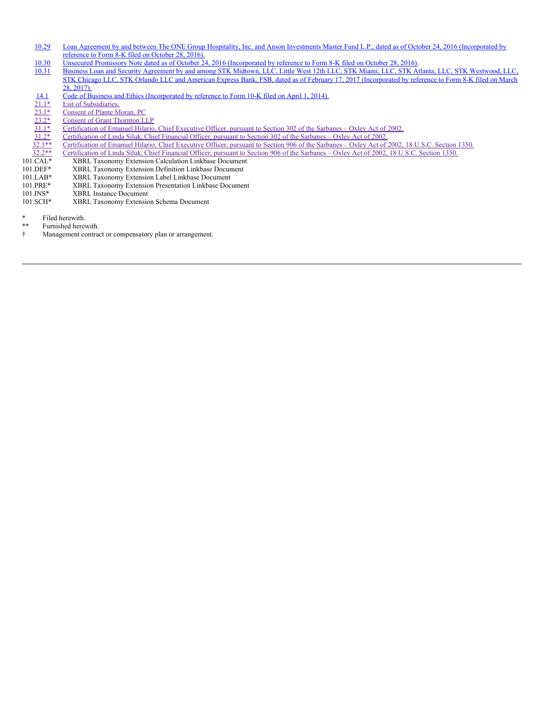- [10.29](http://www.sec.gov/Archives/edgar/data/1399520/000114420416130339/v451642_ex10-1.htm) Loan Agreement by and between The ONE Group Hospitality, Inc. and Anson Investments Master Fund L.P., dated as of October 24, 2016 [\(Incorporated](http://www.sec.gov/Archives/edgar/data/1399520/000114420416130339/v451642_ex10-1.htm) by reference to Form 8-K filed on October 28, 2016).
- [10.30](http://www.sec.gov/Archives/edgar/data/1399520/000114420416130339/v451642_ex10-2.htm) Unsecured Promissory Note dated as of October 24, 2016 [\(Incorporated](http://www.sec.gov/Archives/edgar/data/1399520/000114420416130339/v451642_ex10-2.htm) by reference to Form 8-K filed on October 28, 2016).
- [10.31](http://www.sec.gov/Archives/edgar/data/1399520/000162828017003032/amexbusinessloanandsecur.htm) Business Loan and Security Agreement by and among STK Midtown, LLC, Little West 12th LLC, STK Miami, LLC, STK Atlanta, LLC, STK Westwood, LLC, STK Chicago LLC, STK Orlando LLC and American Express Bank, FSB, dated as of February 17, 2017 [\(Incorporated](http://www.sec.gov/Archives/edgar/data/1399520/000162828017003032/amexbusinessloanandsecur.htm) by reference to Form 8-K filed on March 28, 2017).
- [14.1](http://www.sec.gov/Archives/edgar/data/1399520/000114420414019719/v371977_ex14-1.htm) Code of Business and Ethics [\(Incorporated](http://www.sec.gov/Archives/edgar/data/1399520/000114420414019719/v371977_ex14-1.htm) by reference to Form 10-K filed on April 1, 2014).<br>
23.1\* List of Subsidiaries.<br>
23.2\* Consent of Plante Moran, PC<br>
23.2\* Consent of Grant Thornton LLP<br>
21.1\* Certification o
- List of [Subsidiaries.](#page-70-0)
- [Consent](#page-71-0) of Plante Moran, PC
- Consent of Grant [Thornton](#page-72-0) LLP
- [31.1\\*](#page-73-0) [Certification](#page-73-0) of Emanuel Hilario, Chief Executive Officer, pursuant to Section 302 of the Sarbanes Oxley Act of 2002.<br>Certification of Linda Siluk, Chief Financial Officer, pursuant to Section 302 of the Sarbanes –
- [31.2\\*](#page-74-0) [Certification](#page-74-0) of Linda Siluk, Chief Financial Officer, pursuant to Section 302 of the Sarbanes Oxley Act of 2002.<br>32.1\*\* Certification of Emanuel Hilario, Chief Executive Officer, pursuant to Section 906 of the Sar
- [32.1\\*\\*](#page-75-0) [Certification](#page-75-0) of Emanuel Hilario, Chief Executive Officer, pursuant to Section 906 of the Sarbanes Oxley Act of 2002, 18 U.S.C. Section 1350.
- [32.2\\*\\*](#page-76-0) [Certification](#page-76-0) of Linda Siluk, Chief Financial Officer, pursuant to Section 906 of the Sarbanes Oxley Act of 2002, 18 U.S.C. Section 1350.<br>101.CAL\* XBRL Taxonomy Extension Calculation Linkbase Document
- 101.CAL\* XBRL Taxonomy Extension Calculation Linkbase Document<br>101.DEF\* XBRL Taxonomy Extension Definition Linkbase Document
- 101.DEF\* XBRL Taxonomy Extension Definition Linkbase Document<br>101.LAB\* XBRL Taxonomy Extension Label Linkbase Document
- 101.LAB\* XBRL Taxonomy Extension Label Linkbase Document<br>101.PRE\* XBRL Taxonomy Extension Presentation Linkbase Doc
- 101.PRE\* XBRL Taxonomy Extension Presentation Linkbase Document 101.INS\* XBRL Instance Document
- 101.INS\* XBRL Instance Document<br>101.SCH\* XBRL Taxonomy Extension
- XBRL Taxonomy Extension Schema Document
- \* Filed herewith.

\*\* Furnished herewith.<br>  $\dagger$  Management contra

† Management contract or compensatory plan or arrangement.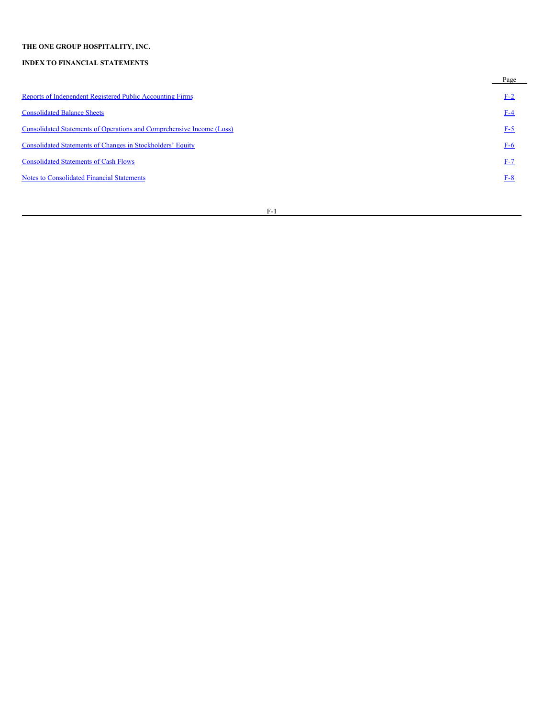# **THE ONE GROUP HOSPITALITY, INC.**

# **INDEX TO FINANCIAL STATEMENTS**

|                                                                       | Page  |
|-----------------------------------------------------------------------|-------|
| Reports of Independent Registered Public Accounting Firms             | $F-2$ |
| <b>Consolidated Balance Sheets</b>                                    | $F-4$ |
| Consolidated Statements of Operations and Comprehensive Income (Loss) | $F-5$ |
| Consolidated Statements of Changes in Stockholders' Equity            | $F-6$ |
| <b>Consolidated Statements of Cash Flows</b>                          | $F-7$ |
| Notes to Consolidated Financial Statements                            | $F-8$ |
|                                                                       |       |

F-1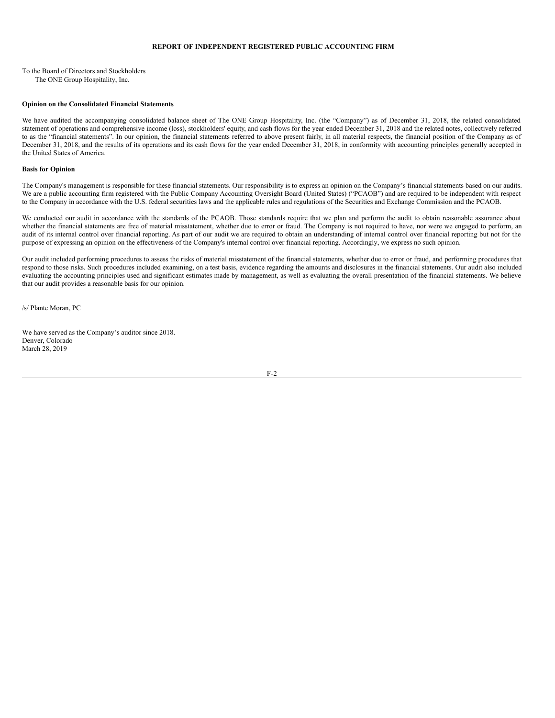## <span id="page-43-0"></span>**REPORT OF INDEPENDENT REGISTERED PUBLIC ACCOUNTING FIRM**

To the Board of Directors and Stockholders

The ONE Group Hospitality, Inc.

## **Opinion on the Consolidated Financial Statements**

We have audited the accompanying consolidated balance sheet of The ONE Group Hospitality, Inc. (the "Company") as of December 31, 2018, the related consolidated statement of operations and comprehensive income (loss), stockholders' equity, and cash flows for the year ended December 31, 2018 and the related notes, collectively referred to as the "financial statements". In our opinion, the financial statements referred to above present fairly, in all material respects, the financial position of the Company as of December 31, 2018, and the results of its operations and its cash flows for the year ended December 31, 2018, in conformity with accounting principles generally accepted in the United States of America.

## **Basis for Opinion**

The Company's management is responsible for these financial statements. Our responsibility is to express an opinion on the Company's financial statements based on our audits. We are a public accounting firm registered with the Public Company Accounting Oversight Board (United States) ("PCAOB") and are required to be independent with respect to the Company in accordance with the U.S. federal securities laws and the applicable rules and regulations of the Securities and Exchange Commission and the PCAOB.

We conducted our audit in accordance with the standards of the PCAOB. Those standards require that we plan and perform the audit to obtain reasonable assurance about whether the financial statements are free of material misstatement, whether due to error or fraud. The Company is not required to have, nor were we engaged to perform, an audit of its internal control over financial reporting. As part of our audit we are required to obtain an understanding of internal control over financial reporting but not for the purpose of expressing an opinion on the effectiveness of the Company's internal control over financial reporting. Accordingly, we express no such opinion.

Our audit included performing procedures to assess the risks of material misstatement of the financial statements, whether due to error or fraud, and performing procedures that respond to those risks. Such procedures included examining, on a test basis, evidence regarding the amounts and disclosures in the financial statements. Our audit also included evaluating the accounting principles used and significant estimates made by management, as well as evaluating the overall presentation of the financial statements. We believe that our audit provides a reasonable basis for our opinion.

/s/ Plante Moran, PC

We have served as the Company's auditor since 2018. Denver, Colorado March 28, 2019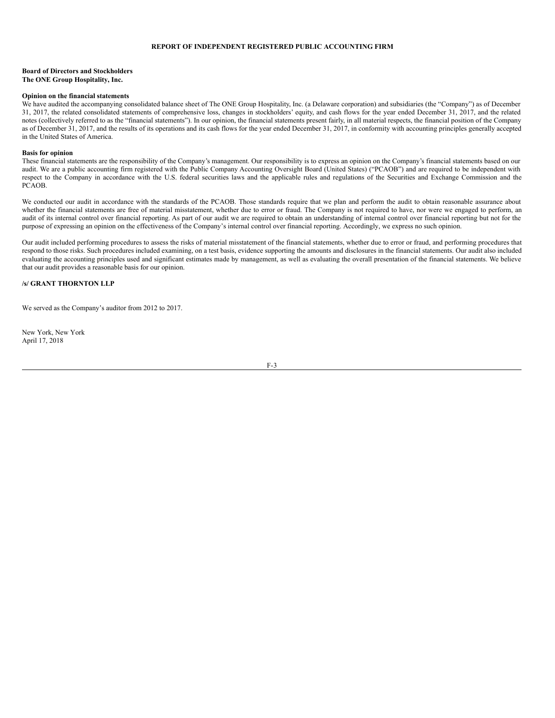## **REPORT OF INDEPENDENT REGISTERED PUBLIC ACCOUNTING FIRM**

#### **Board of Directors and Stockholders The ONE Group Hospitality, Inc.**

### **Opinion on the financial statements**

We have audited the accompanying consolidated balance sheet of The ONE Group Hospitality, Inc. (a Delaware corporation) and subsidiaries (the "Company") as of December 31, 2017, the related consolidated statements of comprehensive loss, changes in stockholders' equity, and cash flows for the year ended December 31, 2017, and the related notes (collectively referred to as the "financial statements"). In our opinion, the financial statements present fairly, in all material respects, the financial position of the Company as of December 31, 2017, and the results of its operations and its cash flows for the year ended December 31, 2017, in conformity with accounting principles generally accepted in the United States of America.

### **Basis for opinion**

These financial statements are the responsibility of the Company's management. Our responsibility is to express an opinion on the Company's financial statements based on our audit. We are a public accounting firm registered with the Public Company Accounting Oversight Board (United States) ("PCAOB") and are required to be independent with respect to the Company in accordance with the U.S. federal securities laws and the applicable rules and regulations of the Securities and Exchange Commission and the PCAOB.

We conducted our audit in accordance with the standards of the PCAOB. Those standards require that we plan and perform the audit to obtain reasonable assurance about whether the financial statements are free of material misstatement, whether due to error or fraud. The Company is not required to have, nor were we engaged to perform, an audit of its internal control over financial reporting. As part of our audit we are required to obtain an understanding of internal control over financial reporting but not for the purpose of expressing an opinion on the effectiveness of the Company's internal control over financial reporting. Accordingly, we express no such opinion.

Our audit included performing procedures to assess the risks of material misstatement of the financial statements, whether due to error or fraud, and performing procedures that respond to those risks. Such procedures included examining, on a test basis, evidence supporting the amounts and disclosures in the financial statements. Our audit also included evaluating the accounting principles used and significant estimates made by management, as well as evaluating the overall presentation of the financial statements. We believe that our audit provides a reasonable basis for our opinion.

## **/s/ GRANT THORNTON LLP**

We served as the Company's auditor from 2012 to 2017.

New York, New York April 17, 2018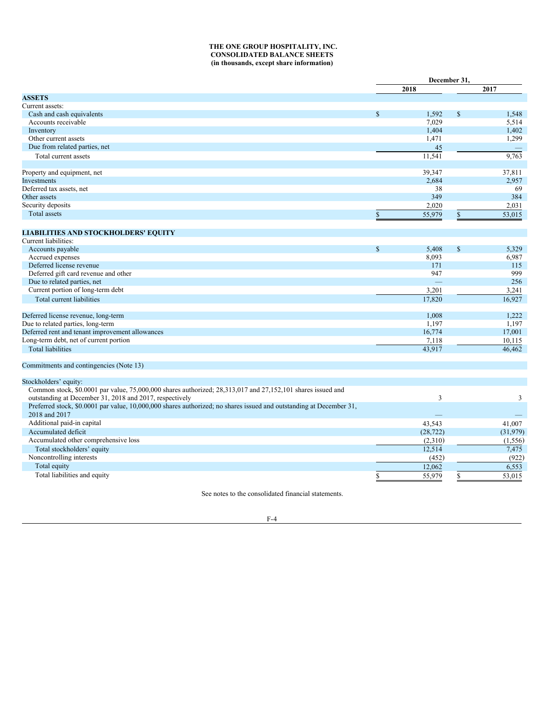## <span id="page-45-0"></span>**THE ONE GROUP HOSPITALITY, INC. CONSOLIDATED BALANCE SHEETS (in thousands, except share information)**

|                                                                                                                                                                        | December 31, |           |               |          |  |
|------------------------------------------------------------------------------------------------------------------------------------------------------------------------|--------------|-----------|---------------|----------|--|
|                                                                                                                                                                        |              | 2018      |               | 2017     |  |
| <b>ASSETS</b>                                                                                                                                                          |              |           |               |          |  |
| Current assets:                                                                                                                                                        |              |           |               |          |  |
| Cash and cash equivalents                                                                                                                                              | $\mathbb{S}$ | 1,592     | $\mathsf{\$}$ | 1,548    |  |
| Accounts receivable                                                                                                                                                    |              | 7,029     |               | 5,514    |  |
| Inventory                                                                                                                                                              |              | 1,404     |               | 1,402    |  |
| Other current assets                                                                                                                                                   |              | 1,471     |               | 1,299    |  |
| Due from related parties, net                                                                                                                                          |              | 45        |               |          |  |
| Total current assets                                                                                                                                                   |              | 11,541    |               | 9,763    |  |
| Property and equipment, net                                                                                                                                            |              | 39,347    |               | 37,811   |  |
| Investments                                                                                                                                                            |              | 2,684     |               | 2,957    |  |
| Deferred tax assets, net                                                                                                                                               |              | 38        |               | 69       |  |
| Other assets                                                                                                                                                           |              | 349       |               | 384      |  |
| Security deposits                                                                                                                                                      |              | 2,020     |               | 2,031    |  |
| Total assets                                                                                                                                                           | $\$$         | 55,979    | $\$$          | 53,015   |  |
| <b>LIABILITIES AND STOCKHOLDERS' EQUITY</b>                                                                                                                            |              |           |               |          |  |
| Current liabilities:                                                                                                                                                   |              |           |               |          |  |
| Accounts payable                                                                                                                                                       | $\mathbf S$  | 5,408     | $\mathsf{\$}$ | 5,329    |  |
| Accrued expenses                                                                                                                                                       |              | 8,093     |               | 6,987    |  |
| Deferred license revenue                                                                                                                                               |              | 171       |               | 115      |  |
| Deferred gift card revenue and other                                                                                                                                   |              | 947       |               | 999      |  |
| Due to related parties, net                                                                                                                                            |              |           |               | 256      |  |
| Current portion of long-term debt                                                                                                                                      |              | 3,201     |               | 3,241    |  |
| Total current liabilities                                                                                                                                              |              | 17,820    |               | 16,927   |  |
| Deferred license revenue, long-term                                                                                                                                    |              | 1,008     |               | 1,222    |  |
| Due to related parties, long-term                                                                                                                                      |              | 1,197     |               | 1,197    |  |
| Deferred rent and tenant improvement allowances                                                                                                                        |              | 16,774    |               | 17,001   |  |
| Long-term debt, net of current portion                                                                                                                                 |              | 7,118     |               | 10,115   |  |
| <b>Total liabilities</b>                                                                                                                                               |              | 43,917    |               | 46,462   |  |
| Commitments and contingencies (Note 13)                                                                                                                                |              |           |               |          |  |
| Stockholders' equity:                                                                                                                                                  |              |           |               |          |  |
| Common stock, \$0.0001 par value, 75,000,000 shares authorized; 28,313,017 and 27,152,101 shares issued and<br>outstanding at December 31, 2018 and 2017, respectively |              | 3         |               | 3        |  |
| Preferred stock, \$0.0001 par value, 10,000,000 shares authorized; no shares issued and outstanding at December 31,                                                    |              |           |               |          |  |
| 2018 and 2017                                                                                                                                                          |              |           |               |          |  |
| Additional paid-in capital                                                                                                                                             |              | 43,543    |               | 41,007   |  |
| Accumulated deficit                                                                                                                                                    |              | (28, 722) |               | (31,979) |  |
| Accumulated other comprehensive loss                                                                                                                                   |              | (2,310)   |               | (1, 556) |  |
| Total stockholders' equity                                                                                                                                             |              | 12,514    |               | 7,475    |  |
| Noncontrolling interests                                                                                                                                               |              | (452)     |               | (922)    |  |
| Total equity                                                                                                                                                           |              | 12,062    |               | 6,553    |  |
| Total liabilities and equity                                                                                                                                           | \$           | 55,979    | \$            | 53,015   |  |

See notes to the consolidated financial statements.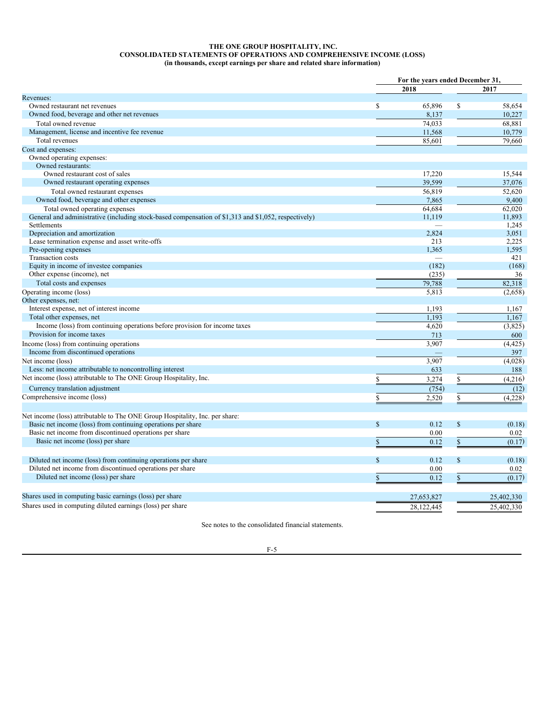### <span id="page-46-0"></span>**THE ONE GROUP HOSPITALITY, INC. CONSOLIDATED STATEMENTS OF OPERATIONS AND COMPREHENSIVE INCOME (LOSS) (in thousands, except earnings per share and related share information)**

|                                                                                                      | For the years ended December 31, |            |              |            |
|------------------------------------------------------------------------------------------------------|----------------------------------|------------|--------------|------------|
|                                                                                                      |                                  | 2018       |              | 2017       |
| Revenues:                                                                                            |                                  |            |              |            |
| Owned restaurant net revenues                                                                        | \$                               | 65,896     | \$           | 58,654     |
| Owned food, beverage and other net revenues                                                          |                                  | 8,137      |              | 10,227     |
| Total owned revenue                                                                                  |                                  | 74,033     |              | 68,881     |
| Management, license and incentive fee revenue                                                        |                                  | 11,568     |              | 10,779     |
| Total revenues                                                                                       |                                  | 85,601     |              | 79,660     |
| Cost and expenses:                                                                                   |                                  |            |              |            |
| Owned operating expenses:                                                                            |                                  |            |              |            |
| Owned restaurants:                                                                                   |                                  |            |              |            |
| Owned restaurant cost of sales                                                                       |                                  | 17,220     |              | 15,544     |
| Owned restaurant operating expenses                                                                  |                                  | 39,599     |              | 37,076     |
| Total owned restaurant expenses                                                                      |                                  | 56,819     |              | 52,620     |
| Owned food, beverage and other expenses                                                              |                                  | 7,865      |              | 9,400      |
| Total owned operating expenses                                                                       |                                  | 64,684     |              | 62,020     |
| General and administrative (including stock-based compensation of \$1,313 and \$1,052, respectively) |                                  | 11,119     |              | 11,893     |
| Settlements                                                                                          |                                  |            |              | 1,245      |
| Depreciation and amortization                                                                        |                                  | 2,824      |              | 3,051      |
| Lease termination expense and asset write-offs                                                       |                                  | 213        |              | 2,225      |
| Pre-opening expenses                                                                                 |                                  | 1,365      |              | 1,595      |
| Transaction costs                                                                                    |                                  |            |              | 421        |
| Equity in income of investee companies                                                               |                                  | (182)      |              | (168)      |
| Other expense (income), net                                                                          |                                  | (235)      |              | 36         |
| Total costs and expenses                                                                             |                                  | 79,788     |              | 82,318     |
| Operating income (loss)                                                                              |                                  | 5,813      |              | (2,658)    |
| Other expenses, net:                                                                                 |                                  |            |              |            |
| Interest expense, net of interest income                                                             |                                  | 1,193      |              | 1,167      |
| Total other expenses, net                                                                            |                                  | 1.193      |              | 1,167      |
| Income (loss) from continuing operations before provision for income taxes                           |                                  | 4,620      |              | (3,825)    |
| Provision for income taxes                                                                           |                                  | 713        |              | 600        |
| Income (loss) from continuing operations                                                             |                                  | 3,907      |              | (4, 425)   |
| Income from discontinued operations                                                                  |                                  |            |              | 397        |
| Net income (loss)                                                                                    |                                  | 3,907      |              | (4,028)    |
| Less: net income attributable to noncontrolling interest                                             |                                  | 633        |              | 188        |
| Net income (loss) attributable to The ONE Group Hospitality, Inc.                                    | \$                               | 3,274      | \$           | (4,216)    |
| Currency translation adjustment                                                                      |                                  | (754)      |              | (12)       |
| Comprehensive income (loss)                                                                          | \$                               | 2,520      | \$           | (4,228)    |
|                                                                                                      |                                  |            |              |            |
| Net income (loss) attributable to The ONE Group Hospitality, Inc. per share:                         |                                  |            |              |            |
| Basic net income (loss) from continuing operations per share                                         | $\mathbf S$                      | 0.12       | $\$$         | (0.18)     |
| Basic net income from discontinued operations per share                                              |                                  | 0.00       |              | 0.02       |
| Basic net income (loss) per share                                                                    | \$                               | 0.12       | \$           | (0.17)     |
|                                                                                                      |                                  |            |              |            |
|                                                                                                      | $\mathbf{\$}$                    | 0.12       | $\mathbf{s}$ |            |
| Diluted net income (loss) from continuing operations per share                                       |                                  |            |              | (0.18)     |
| Diluted net income from discontinued operations per share                                            |                                  | 0.00       |              | 0.02       |
| Diluted net income (loss) per share                                                                  | \$                               | 0.12       | \$           | (0.17)     |
|                                                                                                      |                                  |            |              |            |
| Shares used in computing basic earnings (loss) per share                                             |                                  | 27,653,827 |              | 25,402,330 |
| Shares used in computing diluted earnings (loss) per share                                           |                                  | 28.122.445 |              | 25,402,330 |

See notes to the consolidated financial statements.

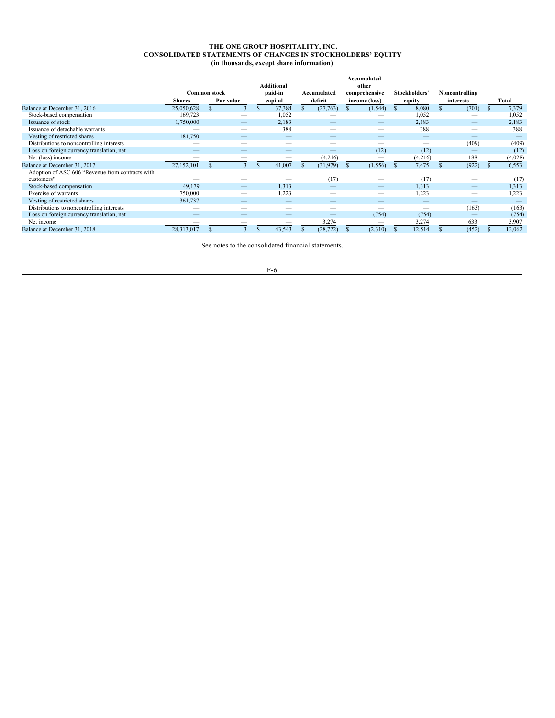### <span id="page-47-0"></span>**THE ONE GROUP HOSPITALITY, INC. CONSOLIDATED STATEMENTS OF CHANGES IN STOCKHOLDERS' EQUITY (in thousands, except share information)**

|                                                  |               |                     |           | Additional |             | Accumulated<br>other     |               |                |         |
|--------------------------------------------------|---------------|---------------------|-----------|------------|-------------|--------------------------|---------------|----------------|---------|
|                                                  |               | <b>Common stock</b> |           | paid-in    | Accumulated | comprehensive            | Stockholders' | Noncontrolling |         |
|                                                  | <b>Shares</b> |                     | Par value | capital    | deficit     | income (loss)            | equity        | interests      | Total   |
| Balance at December 31, 2016                     | 25,050,628    |                     |           | 37,384     | (27,763)    | (1, 544)                 | 8,080         | (701)          | 7,379   |
| Stock-based compensation                         | 169,723       |                     |           | 1,052      |             |                          | 1,052         |                | 1,052   |
| Issuance of stock                                | 1,750,000     |                     |           | 2,183      |             |                          | 2,183         |                | 2,183   |
| Issuance of detachable warrants                  |               |                     |           | 388        |             |                          | 388           |                | 388     |
| Vesting of restricted shares                     | 181,750       |                     |           |            |             |                          |               |                |         |
| Distributions to noncontrolling interests        |               |                     |           |            |             |                          | __            | (409)          | (409)   |
| Loss on foreign currency translation, net        |               |                     |           |            |             | (12)                     | (12)          |                | (12)    |
| Net (loss) income                                |               |                     |           |            | (4,216)     | $\overline{\phantom{a}}$ | (4,216)       | 188            | (4,028) |
| Balance at December 31, 2017                     | 27,152,101    |                     |           | 41.007     | (31, 979)   | (1, 556)                 | 7,475         | (922)          | 6,553   |
| Adoption of ASC 606 "Revenue from contracts with |               |                     |           |            |             |                          |               |                |         |
| customers"                                       |               |                     |           |            | (17)        |                          | (17)          |                | (17)    |
| Stock-based compensation                         | 49,179        |                     |           | 1,313      |             |                          | 1,313         |                | 1,313   |
| Exercise of warrants                             | 750,000       |                     | _         | 1,223      | --          |                          | 1,223         |                | 1,223   |
| Vesting of restricted shares                     | 361,737       |                     |           |            |             |                          | __            |                |         |
| Distributions to noncontrolling interests        |               |                     |           |            |             |                          |               | (163)          | (163)   |
| Loss on foreign currency translation, net        |               |                     |           |            |             | (754)                    | (754)         |                | (754)   |
| Net income                                       |               |                     |           |            | 3,274       | $\overline{\phantom{a}}$ | 3,274         | 633            | 3,907   |
| Balance at December 31, 2018                     | 28,313,017    |                     |           | 43,543     | (28, 722)   | (2,310)                  | 12,514        | (452)          | 12,062  |

See notes to the consolidated financial statements.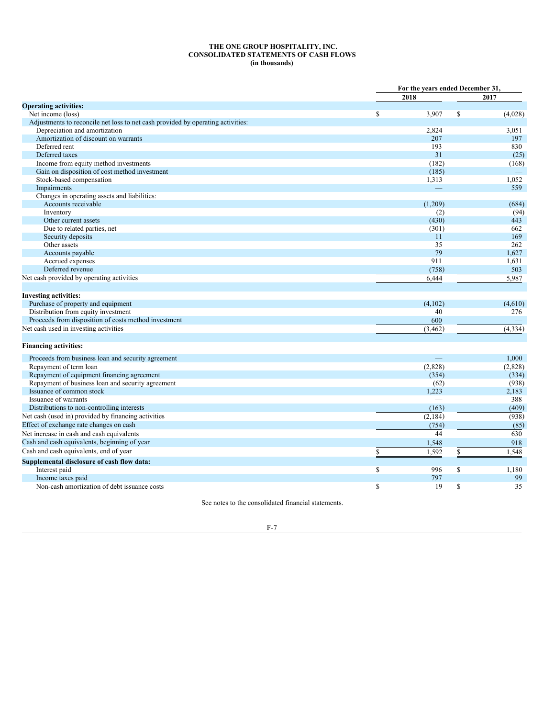### <span id="page-48-0"></span>**THE ONE GROUP HOSPITALITY, INC. CONSOLIDATED STATEMENTS OF CASH FLOWS (in thousands)**

|                                                                                 |             | For the years ended December 31, |               |
|---------------------------------------------------------------------------------|-------------|----------------------------------|---------------|
|                                                                                 |             | 2018                             | 2017          |
| <b>Operating activities:</b>                                                    |             |                                  |               |
| Net income (loss)                                                               | \$          | 3,907                            | \$<br>(4,028) |
| Adjustments to reconcile net loss to net cash provided by operating activities: |             |                                  |               |
| Depreciation and amortization                                                   |             | 2,824                            | 3,051         |
| Amortization of discount on warrants                                            |             | 207                              | 197           |
| Deferred rent                                                                   |             | 193                              | 830           |
| Deferred taxes                                                                  |             | 31                               | (25)          |
| Income from equity method investments                                           |             | (182)                            | (168)         |
| Gain on disposition of cost method investment                                   |             | (185)                            |               |
| Stock-based compensation                                                        |             | 1,313                            | 1,052         |
| Impairments                                                                     |             |                                  | 559           |
| Changes in operating assets and liabilities:                                    |             |                                  |               |
| Accounts receivable                                                             |             | (1,209)                          | (684)         |
| Inventory                                                                       |             | (2)                              | (94)          |
| Other current assets                                                            |             | (430)                            | 443           |
| Due to related parties, net                                                     |             | (301)                            | 662           |
| Security deposits                                                               |             | 11                               | 169           |
| Other assets                                                                    |             | 35                               | 262           |
| Accounts payable                                                                |             | 79                               | 1,627         |
| Accrued expenses                                                                |             | 911                              | 1,631         |
| Deferred revenue                                                                |             | (758)                            | 503           |
| Net cash provided by operating activities                                       |             | 6,444                            | 5,987         |
|                                                                                 |             |                                  |               |
| <b>Investing activities:</b>                                                    |             |                                  |               |
| Purchase of property and equipment                                              |             | (4,102)                          | (4,610)       |
| Distribution from equity investment                                             |             | 40                               | 276           |
| Proceeds from disposition of costs method investment                            |             | 600                              |               |
| Net cash used in investing activities                                           |             | (3, 462)                         | (4, 334)      |
|                                                                                 |             |                                  |               |
| <b>Financing activities:</b>                                                    |             |                                  |               |
| Proceeds from business loan and security agreement                              |             |                                  | 1,000         |
| Repayment of term loan                                                          |             | (2,828)                          | (2,828)       |
| Repayment of equipment financing agreement                                      |             | (354)                            | (334)         |
| Repayment of business loan and security agreement                               |             | (62)                             | (938)         |
| Issuance of common stock                                                        |             | 1,223                            | 2,183         |
| Issuance of warrants                                                            |             |                                  | 388           |
| Distributions to non-controlling interests                                      |             | (163)                            | (409)         |
| Net cash (used in) provided by financing activities                             |             | (2, 184)                         | (938)         |
| Effect of exchange rate changes on cash                                         |             | (754)                            | (85)          |
| Net increase in cash and cash equivalents                                       |             | 44                               | 630           |
| Cash and cash equivalents, beginning of year                                    |             | 1,548                            | 918           |
| Cash and cash equivalents, end of year                                          | \$          | 1,592                            | \$<br>1,548   |
|                                                                                 |             |                                  |               |
| Supplemental disclosure of cash flow data:                                      | \$          | 996                              | \$<br>1,180   |
| Interest paid<br>Income taxes paid                                              |             | 797                              | 99            |
| Non-cash amortization of debt issuance costs                                    | $\mathbf S$ | 19                               | \$<br>35      |
|                                                                                 |             |                                  |               |

See notes to the consolidated financial statements.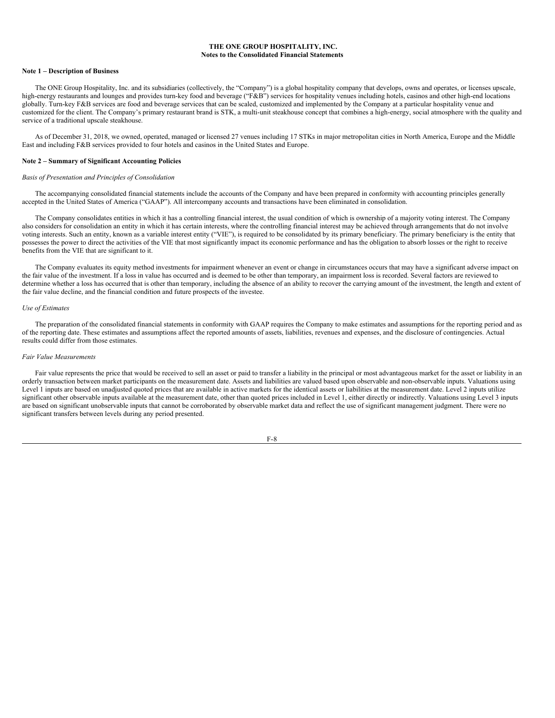## <span id="page-49-0"></span>**THE ONE GROUP HOSPITALITY, INC. Notes to the Consolidated Financial Statements**

#### **Note 1 – Description of Business**

The ONE Group Hospitality, Inc. and its subsidiaries (collectively, the "Company") is a global hospitality company that develops, owns and operates, or licenses upscale, high-energy restaurants and lounges and provides turn-key food and beverage ("F&B") services for hospitality venues including hotels, casinos and other high-end locations globally. Turn-key F&B services are food and beverage services that can be scaled, customized and implemented by the Company at a particular hospitality venue and customized for the client. The Company's primary restaurant brand is STK, a multi-unit steakhouse concept that combines a high-energy, social atmosphere with the quality and service of a traditional upscale steakhouse.

As of December 31, 2018, we owned, operated, managed or licensed 27 venues including 17 STKs in major metropolitan cities in North America, Europe and the Middle East and including F&B services provided to four hotels and casinos in the United States and Europe.

### **Note 2 – Summary of Significant Accounting Policies**

#### *Basis of Presentation and Principles of Consolidation*

The accompanying consolidated financial statements include the accounts of the Company and have been prepared in conformity with accounting principles generally accepted in the United States of America ("GAAP"). All intercompany accounts and transactions have been eliminated in consolidation.

The Company consolidates entities in which it has a controlling financial interest, the usual condition of which is ownership of a majority voting interest. The Company also considers for consolidation an entity in which it has certain interests, where the controlling financial interest may be achieved through arrangements that do not involve voting interests. Such an entity, known as a variable interest entity ("VIE"), is required to be consolidated by its primary beneficiary. The primary beneficiary is the entity that possesses the power to direct the activities of the VIE that most significantly impact its economic performance and has the obligation to absorb losses or the right to receive benefits from the VIE that are significant to it.

The Company evaluates its equity method investments for impairment whenever an event or change in circumstances occurs that may have a significant adverse impact on the fair value of the investment. If a loss in value has occurred and is deemed to be other than temporary, an impairment loss is recorded. Several factors are reviewed to determine whether a loss has occurred that is other than temporary, including the absence of an ability to recover the carrying amount of the investment, the length and extent of the fair value decline, and the financial condition and future prospects of the investee.

#### *Use of Estimates*

The preparation of the consolidated financial statements in conformity with GAAP requires the Company to make estimates and assumptions for the reporting period and as of the reporting date. These estimates and assumptions affect the reported amounts of assets, liabilities, revenues and expenses, and the disclosure of contingencies. Actual results could differ from those estimates.

#### *Fair Value Measurements*

Fair value represents the price that would be received to sell an asset or paid to transfer a liability in the principal or most advantageous market for the asset or liability in an orderly transaction between market participants on the measurement date. Assets and liabilities are valued based upon observable and non-observable inputs. Valuations using Level 1 inputs are based on unadjusted quoted prices that are available in active markets for the identical assets or liabilities at the measurement date. Level 2 inputs utilize significant other observable inputs available at the measurement date, other than quoted prices included in Level 1, either directly or indirectly. Valuations using Level 3 inputs are based on significant unobservable inputs that cannot be corroborated by observable market data and reflect the use of significant management judgment. There were no significant transfers between levels during any period presented.

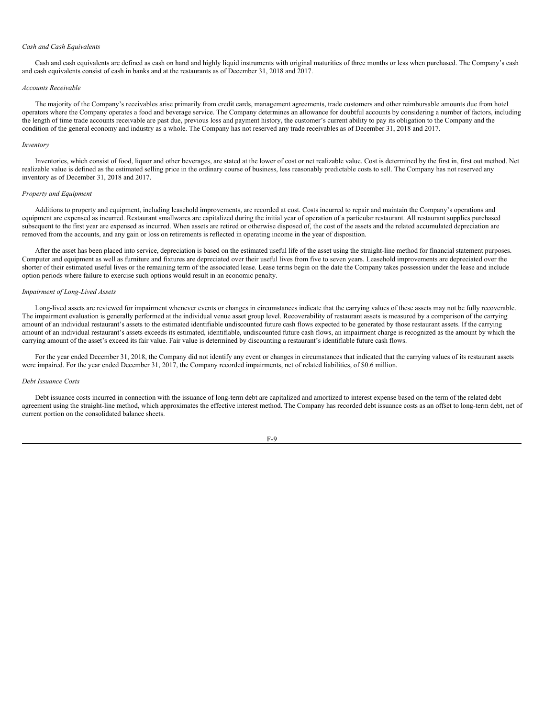#### *Cash and Cash Equivalents*

Cash and cash equivalents are defined as cash on hand and highly liquid instruments with original maturities of three months or less when purchased. The Company's cash and cash equivalents consist of cash in banks and at the restaurants as of December 31, 2018 and 2017.

#### *Accounts Receivable*

The majority of the Company's receivables arise primarily from credit cards, management agreements, trade customers and other reimbursable amounts due from hotel operators where the Company operates a food and beverage service. The Company determines an allowance for doubtful accounts by considering a number of factors, including the length of time trade accounts receivable are past due, previous loss and payment history, the customer's current ability to pay its obligation to the Company and the condition of the general economy and industry as a whole. The Company has not reserved any trade receivables as of December 31, 2018 and 2017.

#### *Inventory*

Inventories, which consist of food, liquor and other beverages, are stated at the lower of cost or net realizable value. Cost is determined by the first in, first out method. Net realizable value is defined as the estimated selling price in the ordinary course of business, less reasonably predictable costs to sell. The Company has not reserved any inventory as of December 31, 2018 and 2017.

## *Property and Equipment*

Additions to property and equipment, including leasehold improvements, are recorded at cost. Costs incurred to repair and maintain the Company's operations and equipment are expensed as incurred. Restaurant smallwares are capitalized during the initial year of operation of a particular restaurant. All restaurant supplies purchased subsequent to the first year are expensed as incurred. When assets are retired or otherwise disposed of, the cost of the assets and the related accumulated depreciation are removed from the accounts, and any gain or loss on retirements is reflected in operating income in the year of disposition.

After the asset has been placed into service, depreciation is based on the estimated useful life of the asset using the straight-line method for financial statement purposes. Computer and equipment as well as furniture and fixtures are depreciated over their useful lives from five to seven years. Leasehold improvements are depreciated over the shorter of their estimated useful lives or the remaining term of the associated lease. Lease terms begin on the date the Company takes possession under the lease and include option periods where failure to exercise such options would result in an economic penalty.

#### *Impairment of Long-Lived Assets*

Long-lived assets are reviewed for impairment whenever events or changes in circumstances indicate that the carrying values of these assets may not be fully recoverable. The impairment evaluation is generally performed at the individual venue asset group level. Recoverability of restaurant assets is measured by a comparison of the carrying amount of an individual restaurant's assets to the estimated identifiable undiscounted future cash flows expected to be generated by those restaurant assets. If the carrying amount of an individual restaurant's assets exceeds its estimated, identifiable, undiscounted future cash flows, an impairment charge is recognized as the amount by which the carrying amount of the asset's exceed its fair value. Fair value is determined by discounting a restaurant's identifiable future cash flows.

For the year ended December 31, 2018, the Company did not identify any event or changes in circumstances that indicated that the carrying values of its restaurant assets were impaired. For the year ended December 31, 2017, the Company recorded impairments, net of related liabilities, of \$0.6 million.

#### *Debt Issuance Costs*

Debt issuance costs incurred in connection with the issuance of long-term debt are capitalized and amortized to interest expense based on the term of the related debt agreement using the straight-line method, which approximates the effective interest method. The Company has recorded debt issuance costs as an offset to long-term debt, net of current portion on the consolidated balance sheets.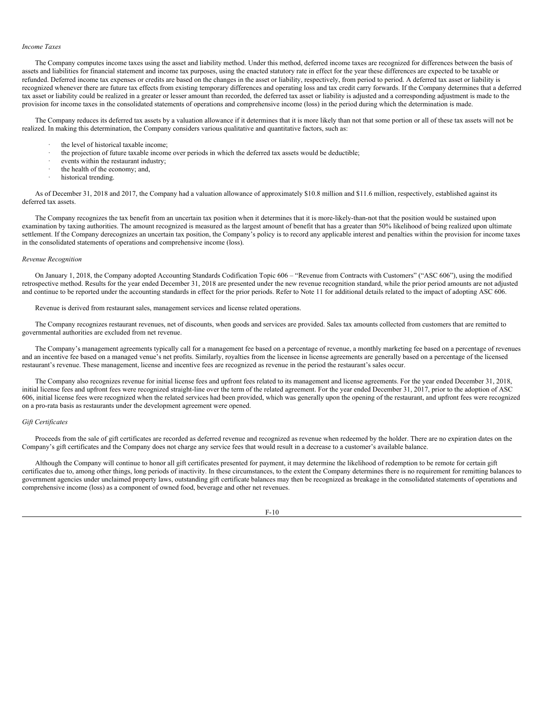#### *Income Taxes*

The Company computes income taxes using the asset and liability method. Under this method, deferred income taxes are recognized for differences between the basis of assets and liabilities for financial statement and income tax purposes, using the enacted statutory rate in effect for the year these differences are expected to be taxable or refunded. Deferred income tax expenses or credits are based on the changes in the asset or liability, respectively, from period to period. A deferred tax asset or liability is recognized whenever there are future tax effects from existing temporary differences and operating loss and tax credit carry forwards. If the Company determines that a deferred tax asset or liability could be realized in a greater or lesser amount than recorded, the deferred tax asset or liability is adjusted and a corresponding adjustment is made to the provision for income taxes in the consolidated statements of operations and comprehensive income (loss) in the period during which the determination is made.

The Company reduces its deferred tax assets by a valuation allowance if it determines that it is more likely than not that some portion or all of these tax assets will not be realized. In making this determination, the Company considers various qualitative and quantitative factors, such as:

- · the level of historical taxable income;
- · the projection of future taxable income over periods in which the deferred tax assets would be deductible;
- events within the restaurant industry;
- the health of the economy; and,
- historical trending.

As of December 31, 2018 and 2017, the Company had a valuation allowance of approximately \$10.8 million and \$11.6 million, respectively, established against its deferred tax assets.

The Company recognizes the tax benefit from an uncertain tax position when it determines that it is more-likely-than-not that the position would be sustained upon examination by taxing authorities. The amount recognized is measured as the largest amount of benefit that has a greater than 50% likelihood of being realized upon ultimate settlement. If the Company derecognizes an uncertain tax position, the Company's policy is to record any applicable interest and penalties within the provision for income taxes in the consolidated statements of operations and comprehensive income (loss).

## *Revenue Recognition*

On January 1, 2018, the Company adopted Accounting Standards Codification Topic 606 – "Revenue from Contracts with Customers" ("ASC 606"), using the modified retrospective method. Results for the year ended December 31, 2018 are presented under the new revenue recognition standard, while the prior period amounts are not adjusted and continue to be reported under the accounting standards in effect for the prior periods. Refer to Note 11 for additional details related to the impact of adopting ASC 606.

Revenue is derived from restaurant sales, management services and license related operations.

The Company recognizes restaurant revenues, net of discounts, when goods and services are provided. Sales tax amounts collected from customers that are remitted to governmental authorities are excluded from net revenue.

The Company's management agreements typically call for a management fee based on a percentage of revenue, a monthly marketing fee based on a percentage of revenues and an incentive fee based on a managed venue's net profits. Similarly, royalties from the licensee in license agreements are generally based on a percentage of the licensed restaurant's revenue. These management, license and incentive fees are recognized as revenue in the period the restaurant's sales occur.

The Company also recognizes revenue for initial license fees and upfront fees related to its management and license agreements. For the year ended December 31, 2018, initial license fees and upfront fees were recognized straight-line over the term of the related agreement. For the year ended December 31, 2017, prior to the adoption of ASC 606, initial license fees were recognized when the related services had been provided, which was generally upon the opening of the restaurant, and upfront fees were recognized on a pro-rata basis as restaurants under the development agreement were opened.

### *Gift Certificates*

Proceeds from the sale of gift certificates are recorded as deferred revenue and recognized as revenue when redeemed by the holder. There are no expiration dates on the Company's gift certificates and the Company does not charge any service fees that would result in a decrease to a customer's available balance.

Although the Company will continue to honor all gift certificates presented for payment, it may determine the likelihood of redemption to be remote for certain gift certificates due to, among other things, long periods of inactivity. In these circumstances, to the extent the Company determines there is no requirement for remitting balances to government agencies under unclaimed property laws, outstanding gift certificate balances may then be recognized as breakage in the consolidated statements of operations and comprehensive income (loss) as a component of owned food, beverage and other net revenues.

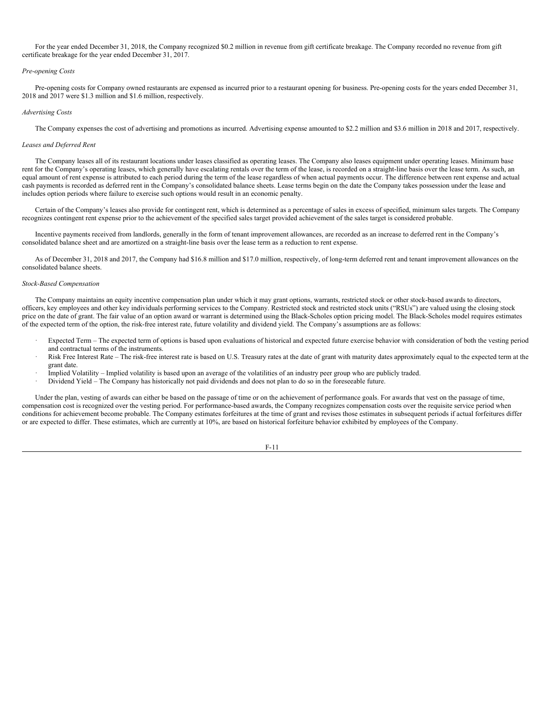For the year ended December 31, 2018, the Company recognized \$0.2 million in revenue from gift certificate breakage. The Company recorded no revenue from gift certificate breakage for the year ended December 31, 2017.

### *Pre-opening Costs*

Pre-opening costs for Company owned restaurants are expensed as incurred prior to a restaurant opening for business. Pre-opening costs for the years ended December 31, 2018 and 2017 were \$1.3 million and \$1.6 million, respectively.

#### *Advertising Costs*

The Company expenses the cost of advertising and promotions as incurred. Advertising expense amounted to \$2.2 million and \$3.6 million in 2018 and 2017, respectively.

#### *Leases and Deferred Rent*

The Company leases all of its restaurant locations under leases classified as operating leases. The Company also leases equipment under operating leases. Minimum base rent for the Company's operating leases, which generally have escalating rentals over the term of the lease, is recorded on a straight-line basis over the lease term. As such, an equal amount of rent expense is attributed to each period during the term of the lease regardless of when actual payments occur. The difference between rent expense and actual cash payments is recorded as deferred rent in the Company's consolidated balance sheets. Lease terms begin on the date the Company takes possession under the lease and includes option periods where failure to exercise such options would result in an economic penalty.

Certain of the Company's leases also provide for contingent rent, which is determined as a percentage of sales in excess of specified, minimum sales targets. The Company recognizes contingent rent expense prior to the achievement of the specified sales target provided achievement of the sales target is considered probable.

Incentive payments received from landlords, generally in the form of tenant improvement allowances, are recorded as an increase to deferred rent in the Company's consolidated balance sheet and are amortized on a straight-line basis over the lease term as a reduction to rent expense.

As of December 31, 2018 and 2017, the Company had \$16.8 million and \$17.0 million, respectively, of long-term deferred rent and tenant improvement allowances on the consolidated balance sheets.

### *Stock-Based Compensation*

The Company maintains an equity incentive compensation plan under which it may grant options, warrants, restricted stock or other stock-based awards to directors, officers, key employees and other key individuals performing services to the Company. Restricted stock and restricted stock units ("RSUs") are valued using the closing stock price on the date of grant. The fair value of an option award or warrant is determined using the Black-Scholes option pricing model. The Black-Scholes model requires estimates of the expected term of the option, the risk-free interest rate, future volatility and dividend yield. The Company's assumptions are as follows:

- Expected Term The expected term of options is based upon evaluations of historical and expected future exercise behavior with consideration of both the vesting period and contractual terms of the instruments.
- Risk Free Interest Rate The risk-free interest rate is based on U.S. Treasury rates at the date of grant with maturity dates approximately equal to the expected term at the grant date.
- · Implied Volatility Implied volatility is based upon an average of the volatilities of an industry peer group who are publicly traded.
- Dividend Yield The Company has historically not paid dividends and does not plan to do so in the foreseeable future.

Under the plan, vesting of awards can either be based on the passage of time or on the achievement of performance goals. For awards that vest on the passage of time, compensation cost is recognized over the vesting period. For performance-based awards, the Company recognizes compensation costs over the requisite service period when conditions for achievement become probable. The Company estimates forfeitures at the time of grant and revises those estimates in subsequent periods if actual forfeitures differ or are expected to differ. These estimates, which are currently at 10%, are based on historical forfeiture behavior exhibited by employees of the Company.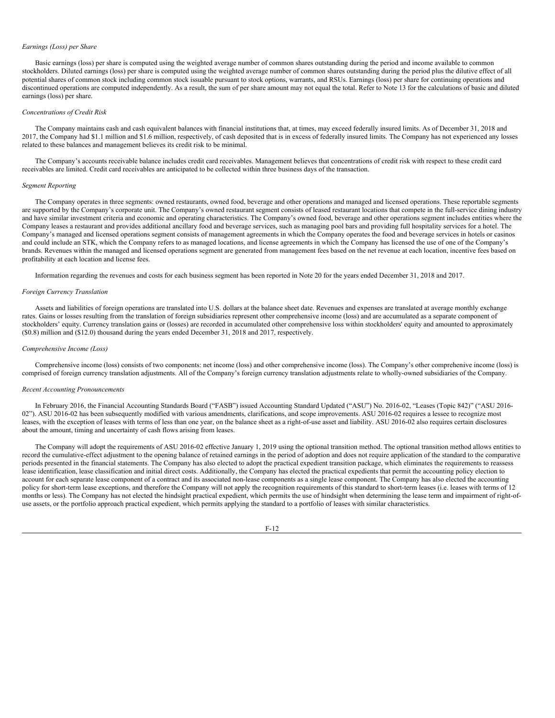#### *Earnings (Loss) per Share*

Basic earnings (loss) per share is computed using the weighted average number of common shares outstanding during the period and income available to common stockholders. Diluted earnings (loss) per share is computed using the weighted average number of common shares outstanding during the period plus the dilutive effect of all potential shares of common stock including common stock issuable pursuant to stock options, warrants, and RSUs. Earnings (loss) per share for continuing operations and discontinued operations are computed independently. As a result, the sum of per share amount may not equal the total. Refer to Note 13 for the calculations of basic and diluted earnings (loss) per share.

#### *Concentrations of Credit Risk*

The Company maintains cash and cash equivalent balances with financial institutions that, at times, may exceed federally insured limits. As of December 31, 2018 and 2017, the Company had \$1.1 million and \$1.6 million, respectively, of cash deposited that is in excess of federally insured limits. The Company has not experienced any losses related to these balances and management believes its credit risk to be minimal.

The Company's accounts receivable balance includes credit card receivables. Management believes that concentrations of credit risk with respect to these credit card receivables are limited. Credit card receivables are anticipated to be collected within three business days of the transaction.

### *Segment Reporting*

The Company operates in three segments: owned restaurants, owned food, beverage and other operations and managed and licensed operations. These reportable segments are supported by the Company's corporate unit. The Company's owned restaurant segment consists of leased restaurant locations that compete in the full-service dining industry and have similar investment criteria and economic and operating characteristics. The Company's owned food, beverage and other operations segment includes entities where the Company leases a restaurant and provides additional ancillary food and beverage services, such as managing pool bars and providing full hospitality services for a hotel. The Company's managed and licensed operations segment consists of management agreements in which the Company operates the food and beverage services in hotels or casinos and could include an STK, which the Company refers to as managed locations, and license agreements in which the Company has licensed the use of one of the Company's brands. Revenues within the managed and licensed operations segment are generated from management fees based on the net revenue at each location, incentive fees based on profitability at each location and license fees.

Information regarding the revenues and costs for each business segment has been reported in Note 20 for the years ended December 31, 2018 and 2017.

#### *Foreign Currency Translation*

Assets and liabilities of foreign operations are translated into U.S. dollars at the balance sheet date. Revenues and expenses are translated at average monthly exchange rates. Gains or losses resulting from the translation of foreign subsidiaries represent other comprehensive income (loss) and are accumulated as a separate component of stockholders' equity. Currency translation gains or (losses) are recorded in accumulated other comprehensive loss within stockholders' equity and amounted to approximately (\$0.8) million and (\$12.0) thousand during the years ended December 31, 2018 and 2017, respectively.

#### *Comprehensive Income (Loss)*

Comprehensive income (loss) consists of two components: net income (loss) and other comprehensive income (loss). The Company's other comprehensive income (loss) is comprised of foreign currency translation adjustments. All of the Company's foreign currency translation adjustments relate to wholly-owned subsidiaries of the Company.

### *Recent Accounting Pronouncements*

In February 2016, the Financial Accounting Standards Board ("FASB") issued Accounting Standard Updated ("ASU") No. 2016-02, "Leases (Topic 842)" ("ASU 2016- 02"). ASU 2016-02 has been subsequently modified with various amendments, clarifications, and scope improvements. ASU 2016-02 requires a lessee to recognize most leases, with the exception of leases with terms of less than one year, on the balance sheet as a right-of-use asset and liability. ASU 2016-02 also requires certain disclosures about the amount, timing and uncertainty of cash flows arising from leases.

The Company will adopt the requirements of ASU 2016-02 effective January 1, 2019 using the optional transition method. The optional transition method allows entities to record the cumulative-effect adjustment to the opening balance of retained earnings in the period of adoption and does not require application of the standard to the comparative periods presented in the financial statements. The Company has also elected to adopt the practical expedient transition package, which eliminates the requirements to reassess lease identification, lease classification and initial direct costs. Additionally, the Company has elected the practical expedients that permit the accounting policy election to account for each separate lease component of a contract and its associated non-lease components as a single lease component. The Company has also elected the accounting policy for short-term lease exceptions, and therefore the Company will not apply the recognition requirements of this standard to short-term leases (i.e. leases with terms of 12 months or less). The Company has not elected the hindsight practical expedient, which permits the use of hindsight when determining the lease term and impairment of right-ofuse assets, or the portfolio approach practical expedient, which permits applying the standard to a portfolio of leases with similar characteristics.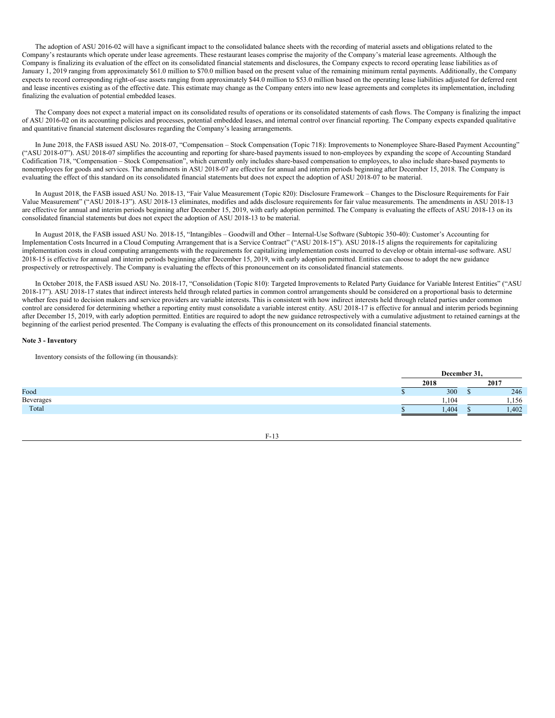The adoption of ASU 2016-02 will have a significant impact to the consolidated balance sheets with the recording of material assets and obligations related to the Company's restaurants which operate under lease agreements. These restaurant leases comprise the majority of the Company's material lease agreements. Although the Company is finalizing its evaluation of the effect on its consolidated financial statements and disclosures, the Company expects to record operating lease liabilities as of January 1, 2019 ranging from approximately \$61.0 million to \$70.0 million based on the present value of the remaining minimum rental payments. Additionally, the Company expects to record corresponding right-of-use assets ranging from approximately \$44.0 million to \$53.0 million based on the operating lease liabilities adjusted for deferred rent and lease incentives existing as of the effective date. This estimate may change as the Company enters into new lease agreements and completes its implementation, including finalizing the evaluation of potential embedded leases.

The Company does not expect a material impact on its consolidated results of operations or its consolidated statements of cash flows. The Company is finalizing the impact of ASU 2016-02 on its accounting policies and processes, potential embedded leases, and internal control over financial reporting. The Company expects expanded qualitative and quantitative financial statement disclosures regarding the Company's leasing arrangements.

In June 2018, the FASB issued ASU No. 2018-07, "Compensation – Stock Compensation (Topic 718): Improvements to Nonemployee Share-Based Payment Accounting" ("ASU 2018-07"). ASU 2018-07 simplifies the accounting and reporting for share-based payments issued to non-employees by expanding the scope of Accounting Standard Codification 718, "Compensation – Stock Compensation", which currently only includes share-based compensation to employees, to also include share-based payments to nonemployees for goods and services. The amendments in ASU 2018-07 are effective for annual and interim periods beginning after December 15, 2018. The Company is evaluating the effect of this standard on its consolidated financial statements but does not expect the adoption of ASU 2018-07 to be material.

In August 2018, the FASB issued ASU No. 2018-13, "Fair Value Measurement (Topic 820): Disclosure Framework – Changes to the Disclosure Requirements for Fair Value Measurement" ("ASU 2018-13"). ASU 2018-13 eliminates, modifies and adds disclosure requirements for fair value measurements. The amendments in ASU 2018-13 are effective for annual and interim periods beginning after December 15, 2019, with early adoption permitted. The Company is evaluating the effects of ASU 2018-13 on its consolidated financial statements but does not expect the adoption of ASU 2018-13 to be material.

In August 2018, the FASB issued ASU No. 2018-15, "Intangibles – Goodwill and Other – Internal-Use Software (Subtopic 350-40): Customer's Accounting for Implementation Costs Incurred in a Cloud Computing Arrangement that is a Service Contract" ("ASU 2018-15"). ASU 2018-15 aligns the requirements for capitalizing implementation costs in cloud computing arrangements with the requirements for capitalizing implementation costs incurred to develop or obtain internal-use software. ASU 2018-15 is effective for annual and interim periods beginning after December 15, 2019, with early adoption permitted. Entities can choose to adopt the new guidance prospectively or retrospectively. The Company is evaluating the effects of this pronouncement on its consolidated financial statements.

In October 2018, the FASB issued ASU No. 2018-17, "Consolidation (Topic 810): Targeted Improvements to Related Party Guidance for Variable Interest Entities" ("ASU 2018-17"). ASU 2018-17 states that indirect interests held through related parties in common control arrangements should be considered on a proportional basis to determine whether fees paid to decision makers and service providers are variable interests. This is consistent with how indirect interests held through related parties under common control are considered for determining whether a reporting entity must consolidate a variable interest entity. ASU 2018-17 is effective for annual and interim periods beginning after December 15, 2019, with early adoption permitted. Entities are required to adopt the new guidance retrospectively with a cumulative adjustment to retained earnings at the beginning of the earliest period presented. The Company is evaluating the effects of this pronouncement on its consolidated financial statements.

### **Note 3 - Inventory**

Inventory consists of the following (in thousands):

|           | December |      |  |       |
|-----------|----------|------|--|-------|
|           |          | 2018 |  | 2017  |
| Food      |          | 300  |  | 246   |
| Beverages |          | .104 |  | 1.156 |
| Total     |          | .404 |  | 1.402 |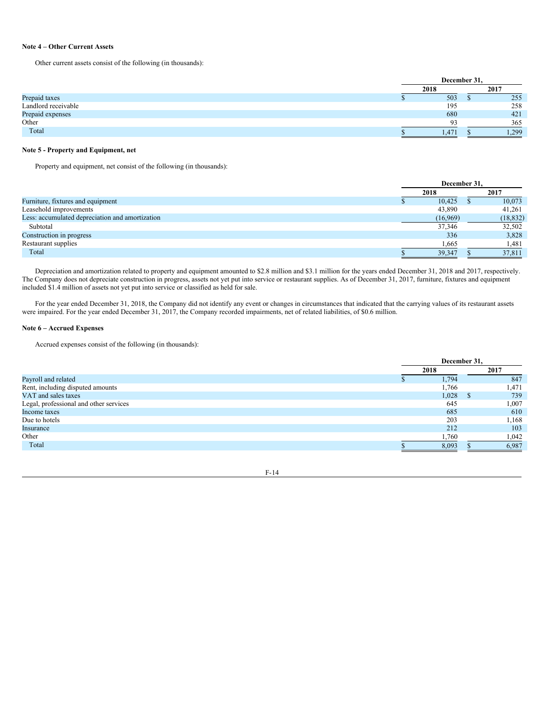# **Note 4 – Other Current Assets**

Other current assets consist of the following (in thousands):

|                     | December 31, |  |       |  |
|---------------------|--------------|--|-------|--|
|                     | 2018         |  | 2017  |  |
| Prepaid taxes       | 503          |  | 255   |  |
| Landlord receivable | 195          |  | 258   |  |
| Prepaid expenses    | 680          |  | 421   |  |
| Other               | 93           |  | 365   |  |
| Total               | 1.471        |  | 1.299 |  |

## **Note 5 - Property and Equipment, net**

Property and equipment, net consist of the following (in thousands):

|                                                 | December 31. |  |           |  |
|-------------------------------------------------|--------------|--|-----------|--|
|                                                 | 2018         |  | 2017      |  |
| Furniture, fixtures and equipment               | 10.425       |  | 10,073    |  |
| Leasehold improvements                          | 43,890       |  | 41.261    |  |
| Less: accumulated depreciation and amortization | (16,969)     |  | (18, 832) |  |
| Subtotal                                        | 37.346       |  | 32,502    |  |
| Construction in progress                        | 336          |  | 3,828     |  |
| Restaurant supplies                             | 1,665        |  | 1,481     |  |
| Total                                           | 39.347       |  | 37.811    |  |

Depreciation and amortization related to property and equipment amounted to \$2.8 million and \$3.1 million for the years ended December 31, 2018 and 2017, respectively. The Company does not depreciate construction in progress, assets not yet put into service or restaurant supplies. As of December 31, 2017, furniture, fixtures and equipment included \$1.4 million of assets not yet put into service or classified as held for sale.

For the year ended December 31, 2018, the Company did not identify any event or changes in circumstances that indicated that the carrying values of its restaurant assets were impaired. For the year ended December 31, 2017, the Company recorded impairments, net of related liabilities, of \$0.6 million.

## **Note 6 – Accrued Expenses**

Accrued expenses consist of the following (in thousands):

|                                        | December 31, |              |       |  |
|----------------------------------------|--------------|--------------|-------|--|
|                                        | 2018         |              | 2017  |  |
| Payroll and related                    | 1,794        |              | 847   |  |
| Rent, including disputed amounts       | 1,766        |              | 1,471 |  |
| VAT and sales taxes                    | 1,028        | <sup>3</sup> | 739   |  |
| Legal, professional and other services | 645          |              | 1,007 |  |
| Income taxes                           | 685          |              | 610   |  |
| Due to hotels                          | 203          |              | 1,168 |  |
| Insurance                              | 212          |              | 103   |  |
| Other                                  | 1,760        |              | 1,042 |  |
| Total                                  | 8,093        |              | 6,987 |  |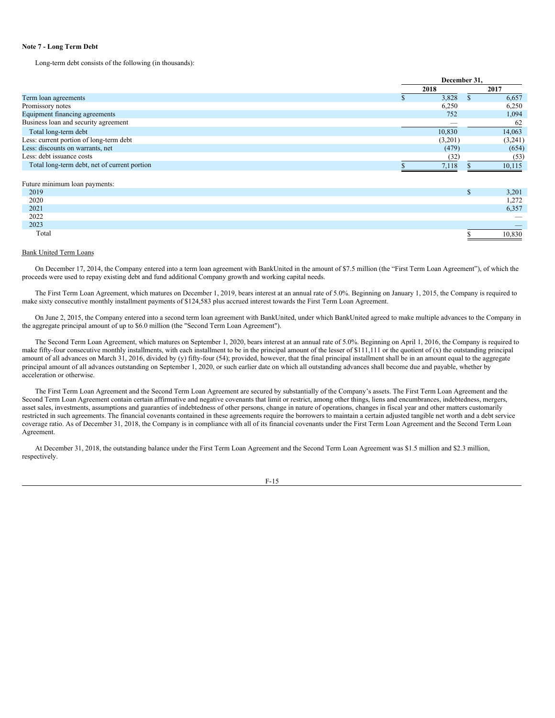### **Note 7 - Long Term Debt**

Long-term debt consists of the following (in thousands):

|                                              |            | December 31, |         |  |  |
|----------------------------------------------|------------|--------------|---------|--|--|
|                                              | 2018       |              | 2017    |  |  |
| Term loan agreements                         | 3,828<br>ъ | <sup>S</sup> | 6,657   |  |  |
| Promissory notes                             | 6,250      |              | 6,250   |  |  |
| Equipment financing agreements               | 752        |              | 1,094   |  |  |
| Business loan and security agreement         |            |              | 62      |  |  |
| Total long-term debt                         | 10,830     |              | 14,063  |  |  |
| Less: current portion of long-term debt      | (3,201)    |              | (3,241) |  |  |
| Less: discounts on warrants, net             | (479)      |              | (654)   |  |  |
| Less: debt issuance costs                    | (32)       |              | (53)    |  |  |
| Total long-term debt, net of current portion | 7,118      |              | 10,115  |  |  |
|                                              |            |              |         |  |  |
| Future minimum loan payments:                |            |              |         |  |  |
| 2019                                         |            | S            | 3,201   |  |  |
| 2020                                         |            |              | 1,272   |  |  |
| 2021                                         |            |              | 6,357   |  |  |
| 2022                                         |            |              |         |  |  |
| 2023                                         |            |              |         |  |  |
| Total                                        |            |              | 10,830  |  |  |

## Bank United Term Loans

On December 17, 2014, the Company entered into a term loan agreement with BankUnited in the amount of \$7.5 million (the "First Term Loan Agreement"), of which the proceeds were used to repay existing debt and fund additional Company growth and working capital needs.

The First Term Loan Agreement, which matures on December 1, 2019, bears interest at an annual rate of 5.0%. Beginning on January 1, 2015, the Company is required to make sixty consecutive monthly installment payments of \$124,583 plus accrued interest towards the First Term Loan Agreement.

On June 2, 2015, the Company entered into a second term loan agreement with BankUnited, under which BankUnited agreed to make multiple advances to the Company in the aggregate principal amount of up to \$6.0 million (the "Second Term Loan Agreement").

The Second Term Loan Agreement, which matures on September 1, 2020, bears interest at an annual rate of 5.0%. Beginning on April 1, 2016, the Company is required to make fifty-four consecutive monthly installments, with each installment to be in the principal amount of the lesser of \$111,111 or the quotient of (x) the outstanding principal amount of all advances on March 31, 2016, divided by (y) fifty-four (54); provided, however, that the final principal installment shall be in an amount equal to the aggregate principal amount of all advances outstanding on September 1, 2020, or such earlier date on which all outstanding advances shall become due and payable, whether by acceleration or otherwise.

The First Term Loan Agreement and the Second Term Loan Agreement are secured by substantially of the Company's assets. The First Term Loan Agreement and the Second Term Loan Agreement contain certain affirmative and negative covenants that limit or restrict, among other things, liens and encumbrances, indebtedness, mergers, asset sales, investments, assumptions and guaranties of indebtedness of other persons, change in nature of operations, changes in fiscal year and other matters customarily restricted in such agreements. The financial covenants contained in these agreements require the borrowers to maintain a certain adjusted tangible net worth and a debt service coverage ratio. As of December 31, 2018, the Company is in compliance with all of its financial covenants under the First Term Loan Agreement and the Second Term Loan Agreement.

At December 31, 2018, the outstanding balance under the First Term Loan Agreement and the Second Term Loan Agreement was \$1.5 million and \$2.3 million, respectively.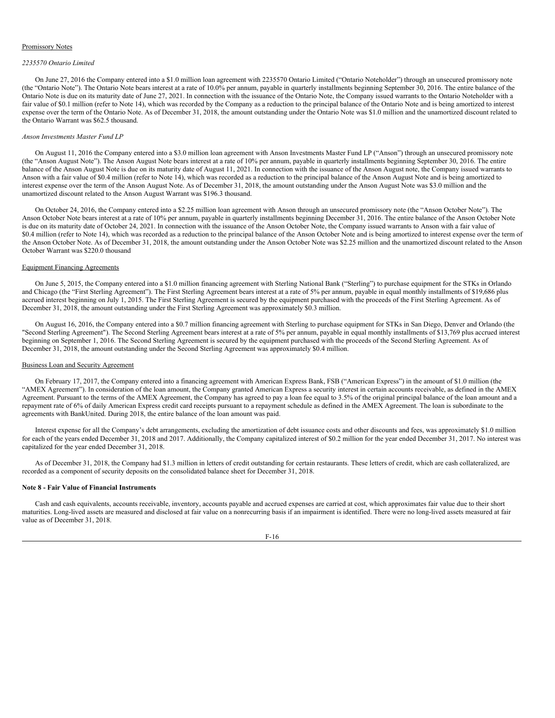#### Promissory Notes

## *2235570 Ontario Limited*

On June 27, 2016 the Company entered into a \$1.0 million loan agreement with 2235570 Ontario Limited ("Ontario Noteholder") through an unsecured promissory note (the "Ontario Note"). The Ontario Note bears interest at a rate of 10.0% per annum, payable in quarterly installments beginning September 30, 2016. The entire balance of the Ontario Note is due on its maturity date of June 27, 2021. In connection with the issuance of the Ontario Note, the Company issued warrants to the Ontario Noteholder with a fair value of \$0.1 million (refer to Note 14), which was recorded by the Company as a reduction to the principal balance of the Ontario Note and is being amortized to interest expense over the term of the Ontario Note. As of December 31, 2018, the amount outstanding under the Ontario Note was \$1.0 million and the unamortized discount related to the Ontario Warrant was \$62.5 thousand.

#### *Anson Investments Master Fund LP*

On August 11, 2016 the Company entered into a \$3.0 million loan agreement with Anson Investments Master Fund LP ("Anson") through an unsecured promissory note (the "Anson August Note"). The Anson August Note bears interest at a rate of 10% per annum, payable in quarterly installments beginning September 30, 2016. The entire balance of the Anson August Note is due on its maturity date of August 11, 2021. In connection with the issuance of the Anson August note, the Company issued warrants to Anson with a fair value of \$0.4 million (refer to Note 14), which was recorded as a reduction to the principal balance of the Anson August Note and is being amortized to interest expense over the term of the Anson August Note. As of December 31, 2018, the amount outstanding under the Anson August Note was \$3.0 million and the unamortized discount related to the Anson August Warrant was \$196.3 thousand.

On October 24, 2016, the Company entered into a \$2.25 million loan agreement with Anson through an unsecured promissory note (the "Anson October Note"). The Anson October Note bears interest at a rate of 10% per annum, payable in quarterly installments beginning December 31, 2016. The entire balance of the Anson October Note is due on its maturity date of October 24, 2021. In connection with the issuance of the Anson October Note, the Company issued warrants to Anson with a fair value of \$0.4 million (refer to Note 14), which was recorded as a reduction to the principal balance of the Anson October Note and is being amortized to interest expense over the term of the Anson October Note. As of December 31, 2018, the amount outstanding under the Anson October Note was \$2.25 million and the unamortized discount related to the Anson October Warrant was \$220.0 thousand

### Equipment Financing Agreements

On June 5, 2015, the Company entered into a \$1.0 million financing agreement with Sterling National Bank ("Sterling") to purchase equipment for the STKs in Orlando and Chicago (the "First Sterling Agreement"). The First Sterling Agreement bears interest at a rate of 5% per annum, payable in equal monthly installments of \$19,686 plus accrued interest beginning on July 1, 2015. The First Sterling Agreement is secured by the equipment purchased with the proceeds of the First Sterling Agreement. As of December 31, 2018, the amount outstanding under the First Sterling Agreement was approximately \$0.3 million.

On August 16, 2016, the Company entered into a \$0.7 million financing agreement with Sterling to purchase equipment for STKs in San Diego, Denver and Orlando (the "Second Sterling Agreement"). The Second Sterling Agreement bears interest at a rate of 5% per annum, payable in equal monthly installments of \$13,769 plus accrued interest beginning on September 1, 2016. The Second Sterling Agreement is secured by the equipment purchased with the proceeds of the Second Sterling Agreement. As of December 31, 2018, the amount outstanding under the Second Sterling Agreement was approximately \$0.4 million.

#### Business Loan and Security Agreement

On February 17, 2017, the Company entered into a financing agreement with American Express Bank, FSB ("American Express") in the amount of \$1.0 million (the "AMEX Agreement"). In consideration of the loan amount, the Company granted American Express a security interest in certain accounts receivable, as defined in the AMEX Agreement. Pursuant to the terms of the AMEX Agreement, the Company has agreed to pay a loan fee equal to 3.5% of the original principal balance of the loan amount and a repayment rate of 6% of daily American Express credit card receipts pursuant to a repayment schedule as defined in the AMEX Agreement. The loan is subordinate to the agreements with BankUnited. During 2018, the entire balance of the loan amount was paid.

Interest expense for all the Company's debt arrangements, excluding the amortization of debt issuance costs and other discounts and fees, was approximately \$1.0 million for each of the years ended December 31, 2018 and 2017. Additionally, the Company capitalized interest of \$0.2 million for the year ended December 31, 2017. No interest was capitalized for the year ended December 31, 2018.

As of December 31, 2018, the Company had \$1.3 million in letters of credit outstanding for certain restaurants. These letters of credit, which are cash collateralized, are recorded as a component of security deposits on the consolidated balance sheet for December 31, 2018.

## **Note 8 - Fair Value of Financial Instruments**

Cash and cash equivalents, accounts receivable, inventory, accounts payable and accrued expenses are carried at cost, which approximates fair value due to their short maturities. Long-lived assets are measured and disclosed at fair value on a nonrecurring basis if an impairment is identified. There were no long-lived assets measured at fair value as of December 31, 2018.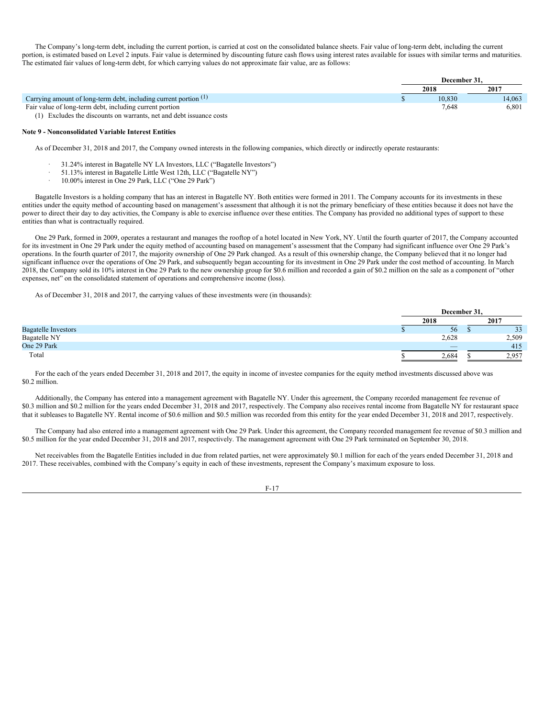The Company's long-term debt, including the current portion, is carried at cost on the consolidated balance sheets. Fair value of long-term debt, including the current portion, is estimated based on Level 2 inputs. Fair value is determined by discounting future cash flows using interest rates available for issues with similar terms and maturities. The estimated fair values of long-term debt, for which carrying values do not approximate fair value, are as follows:

|                                                                     | December 31. |        |
|---------------------------------------------------------------------|--------------|--------|
|                                                                     | 2018         | 2017   |
| Carrying amount of long-term debt, including current portion $(1)$  | 10.830       | 14.063 |
| Fair value of long-term debt, including current portion             | 7.648        | 6.801  |
| (1) Excludes the discounts on warrants, net and debt issuance costs |              |        |

### **Note 9 - Nonconsolidated Variable Interest Entities**

As of December 31, 2018 and 2017, the Company owned interests in the following companies, which directly or indirectly operate restaurants:

- · 31.24% interest in Bagatelle NY LA Investors, LLC ("Bagatelle Investors")
- · 51.13% interest in Bagatelle Little West 12th, LLC ("Bagatelle NY")
- · 10.00% interest in One 29 Park, LLC ("One 29 Park")

Bagatelle Investors is a holding company that has an interest in Bagatelle NY. Both entities were formed in 2011. The Company accounts for its investments in these entities under the equity method of accounting based on management's assessment that although it is not the primary beneficiary of these entities because it does not have the power to direct their day to day activities, the Company is able to exercise influence over these entities. The Company has provided no additional types of support to these entities than what is contractually required.

One 29 Park, formed in 2009, operates a restaurant and manages the rooftop of a hotel located in New York, NY. Until the fourth quarter of 2017, the Company accounted for its investment in One 29 Park under the equity method of accounting based on management's assessment that the Company had significant influence over One 29 Park's operations. In the fourth quarter of 2017, the majority ownership of One 29 Park changed. As a result of this ownership change, the Company believed that it no longer had significant influence over the operations of One 29 Park, and subsequently began accounting for its investment in One 29 Park under the cost method of accounting. In March 2018, the Company sold its 10% interest in One 29 Park to the new ownership group for \$0.6 million and recorded a gain of \$0.2 million on the sale as a component of "other expenses, net" on the consolidated statement of operations and comprehensive income (loss).

As of December 31, 2018 and 2017, the carrying values of these investments were (in thousands):

|                            | December 31              |  |       |  |
|----------------------------|--------------------------|--|-------|--|
|                            | 2018                     |  | 2017  |  |
| <b>Bagatelle Investors</b> | 56                       |  | 33    |  |
| <b>Bagatelle NY</b>        | 2,628                    |  | 2,509 |  |
| One 29 Park                | $\overline{\phantom{a}}$ |  | 415   |  |
| Total                      | 2.684                    |  | 2.957 |  |

For the each of the years ended December 31, 2018 and 2017, the equity in income of investee companies for the equity method investments discussed above was \$0.2 million.

Additionally, the Company has entered into a management agreement with Bagatelle NY. Under this agreement, the Company recorded management fee revenue of \$0.3 million and \$0.2 million for the years ended December 31, 2018 and 2017, respectively. The Company also receives rental income from Bagatelle NY for restaurant space that it subleases to Bagatelle NY. Rental income of \$0.6 million and \$0.5 million was recorded from this entity for the year ended December 31, 2018 and 2017, respectively.

The Company had also entered into a management agreement with One 29 Park. Under this agreement, the Company recorded management fee revenue of \$0.3 million and \$0.5 million for the year ended December 31, 2018 and 2017, respectively. The management agreement with One 29 Park terminated on September 30, 2018.

Net receivables from the Bagatelle Entities included in due from related parties, net were approximately \$0.1 million for each of the years ended December 31, 2018 and 2017. These receivables, combined with the Company's equity in each of these investments, represent the Company's maximum exposure to loss.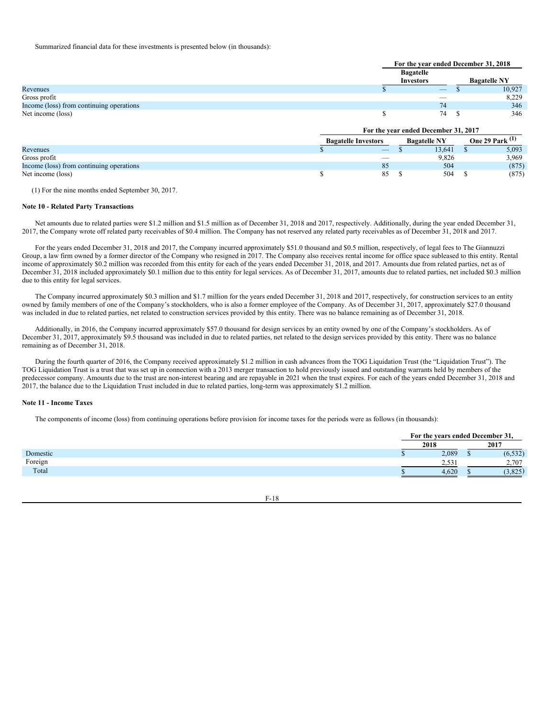Summarized financial data for these investments is presented below (in thousands):

|                                          |                  | For the year ended December 31, 2018 |  |                     |  |  |
|------------------------------------------|------------------|--------------------------------------|--|---------------------|--|--|
|                                          | <b>Bagatelle</b> |                                      |  |                     |  |  |
|                                          |                  | Investors                            |  | <b>Bagatelle NY</b> |  |  |
| Revenues                                 |                  | $\overline{\phantom{a}}$             |  | 10,927              |  |  |
| Gross profit                             |                  | $\overline{\phantom{a}}$             |  | 8,229               |  |  |
| Income (loss) from continuing operations |                  | 74                                   |  | 346                 |  |  |
| Net income (loss)                        |                  | 74                                   |  | 346                 |  |  |

|                                          | For the year ended December 31, 2017              |  |        |                            |       |  |
|------------------------------------------|---------------------------------------------------|--|--------|----------------------------|-------|--|
|                                          | <b>Bagatelle NY</b><br><b>Bagatelle Investors</b> |  |        | One 29 Park <sup>(1)</sup> |       |  |
| Revenues                                 | $\overline{\phantom{a}}$                          |  | 13.641 |                            | 5,093 |  |
| Gross profit                             |                                                   |  | 9.826  |                            | 3.969 |  |
| Income (loss) from continuing operations | 85                                                |  | 504    |                            | (875) |  |
| Net income (loss)                        | 85                                                |  | 504    |                            | (875) |  |

(1) For the nine months ended September 30, 2017.

### **Note 10 - Related Party Transactions**

Net amounts due to related parties were \$1.2 million and \$1.5 million as of December 31, 2018 and 2017, respectively. Additionally, during the year ended December 31, 2017, the Company wrote off related party receivables of \$0.4 million. The Company has not reserved any related party receivables as of December 31, 2018 and 2017.

For the years ended December 31, 2018 and 2017, the Company incurred approximately \$51.0 thousand and \$0.5 million, respectively, of legal fees to The Giannuzzi Group, a law firm owned by a former director of the Company who resigned in 2017. The Company also receives rental income for office space subleased to this entity. Rental income of approximately \$0.2 million was recorded from this entity for each of the years ended December 31, 2018, and 2017. Amounts due from related parties, net as of December 31, 2018 included approximately \$0.1 million due to this entity for legal services. As of December 31, 2017, amounts due to related parties, net included \$0.3 million due to this entity for legal services.

The Company incurred approximately \$0.3 million and \$1.7 million for the years ended December 31, 2018 and 2017, respectively, for construction services to an entity owned by family members of one of the Company's stockholders, who is also a former employee of the Company. As of December 31, 2017, approximately \$27.0 thousand was included in due to related parties, net related to construction services provided by this entity. There was no balance remaining as of December 31, 2018.

Additionally, in 2016, the Company incurred approximately \$57.0 thousand for design services by an entity owned by one of the Company's stockholders. As of December 31, 2017, approximately \$9.5 thousand was included in due to related parties, net related to the design services provided by this entity. There was no balance remaining as of December 31, 2018.

During the fourth quarter of 2016, the Company received approximately \$1.2 million in cash advances from the TOG Liquidation Trust (the "Liquidation Trust"). The TOG Liquidation Trust is a trust that was set up in connection with a 2013 merger transaction to hold previously issued and outstanding warrants held by members of the predecessor company. Amounts due to the trust are non-interest bearing and are repayable in 2021 when the trust expires. For each of the years ended December 31, 2018 and 2017, the balance due to the Liquidation Trust included in due to related parties, long-term was approximately \$1.2 million.

## **Note 11 - Income Taxes**

The components of income (loss) from continuing operations before provision for income taxes for the periods were as follows (in thousands):

|          |            | For the years ended December 31, |              |  |  |
|----------|------------|----------------------------------|--------------|--|--|
|          | 2018       |                                  | 2017         |  |  |
| Domestic | 2,089<br>w |                                  | 522<br>0.332 |  |  |
| Foreign  | 2,53       |                                  | 2,707        |  |  |
| Total    | 4.620      |                                  | (3,825)      |  |  |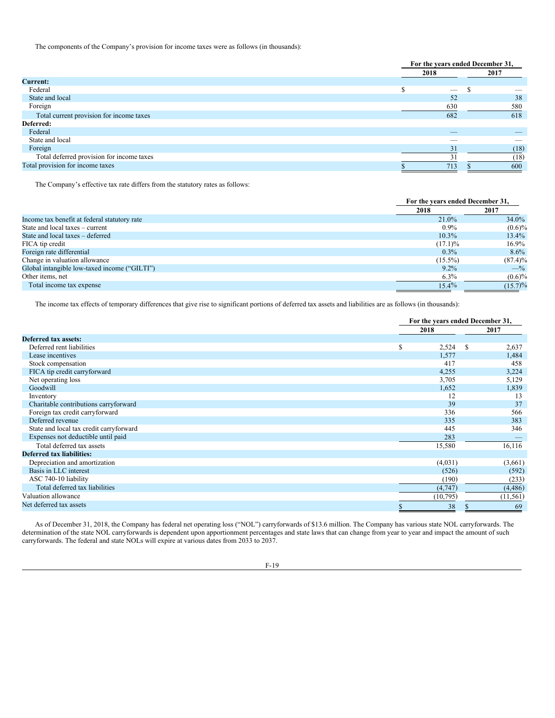The components of the Company's provision for income taxes were as follows (in thousands):

|                                           | For the years ended December 31, |                                 |  |      |
|-------------------------------------------|----------------------------------|---------------------------------|--|------|
|                                           |                                  | 2018                            |  | 2017 |
| <b>Current:</b>                           |                                  |                                 |  |      |
| Federal                                   |                                  | $\hspace{0.1mm}-\hspace{0.1mm}$ |  |      |
| State and local                           |                                  | 52                              |  | 38   |
| Foreign                                   |                                  | 630                             |  | 580  |
| Total current provision for income taxes  |                                  | 682                             |  | 618  |
| Deferred:                                 |                                  |                                 |  |      |
| Federal                                   |                                  | _                               |  |      |
| State and local                           |                                  | _                               |  |      |
| Foreign                                   |                                  | 31                              |  | (18) |
| Total deferred provision for income taxes |                                  | 31                              |  | (18) |
| Total provision for income taxes          |                                  | 713                             |  | 600  |

The Company's effective tax rate differs from the statutory rates as follows:

|                                              | For the years ended December 31, |            |
|----------------------------------------------|----------------------------------|------------|
|                                              | 2018                             | 2017       |
| Income tax benefit at federal statutory rate | 21.0%                            | 34.0%      |
| State and local taxes – current              | $0.9\%$                          | $(0.6)\%$  |
| State and local taxes - deferred             | 10.3%                            | 13.4%      |
| FICA tip credit                              | $(17.1)\%$                       | $16.9\%$   |
| Foreign rate differential                    | $0.3\%$                          | $8.6\%$    |
| Change in valuation allowance                | $(15.5\%)$                       | $(87.4)\%$ |
| Global intangible low-taxed income ("GILTI") | $9.2\%$                          | $-$ %      |
| Other items, net                             | $6.3\%$                          | $(0.6)\%$  |
| Total income tax expense                     | $15.4\%$                         | $(15.7)\%$ |

The income tax effects of temporary differences that give rise to significant portions of deferred tax assets and liabilities are as follows (in thousands):

|                                         |             | For the years ended December 31, |  |
|-----------------------------------------|-------------|----------------------------------|--|
|                                         | 2018        | 2017                             |  |
| Deferred tax assets:                    |             |                                  |  |
| Deferred rent liabilities               | \$<br>2,524 | 2,637<br><sup>\$</sup>           |  |
| Lease incentives                        | 1,577       | 1,484                            |  |
| Stock compensation                      | 417         | 458                              |  |
| FICA tip credit carryforward            | 4,255       | 3,224                            |  |
| Net operating loss                      | 3,705       | 5,129                            |  |
| Goodwill                                | 1,652       | 1,839                            |  |
| Inventory                               | 12          | 13                               |  |
| Charitable contributions carryforward   | 39          | 37                               |  |
| Foreign tax credit carryforward         | 336         | 566                              |  |
| Deferred revenue                        | 335         | 383                              |  |
| State and local tax credit carryforward | 445         | 346                              |  |
| Expenses not deductible until paid      | 283         |                                  |  |
| Total deferred tax assets               | 15,580      | 16,116                           |  |
| <b>Deferred tax liabilities:</b>        |             |                                  |  |
| Depreciation and amortization           | (4,031)     | (3,661)                          |  |
| Basis in LLC interest                   | (526)       | (592)                            |  |
| ASC 740-10 liability                    | (190)       | (233)                            |  |
| Total deferred tax liabilities          | (4, 747)    | (4, 486)                         |  |
| Valuation allowance                     | (10,795)    | (11, 561)                        |  |
| Net deferred tax assets                 | 38          | 69                               |  |

As of December 31, 2018, the Company has federal net operating loss ("NOL") carryforwards of \$13.6 million. The Company has various state NOL carryforwards. The determination of the state NOL carryforwards is dependent upon apportionment percentages and state laws that can change from year to year and impact the amount of such carryforwards. The federal and state NOLs will expire at various dates from 2033 to 2037.

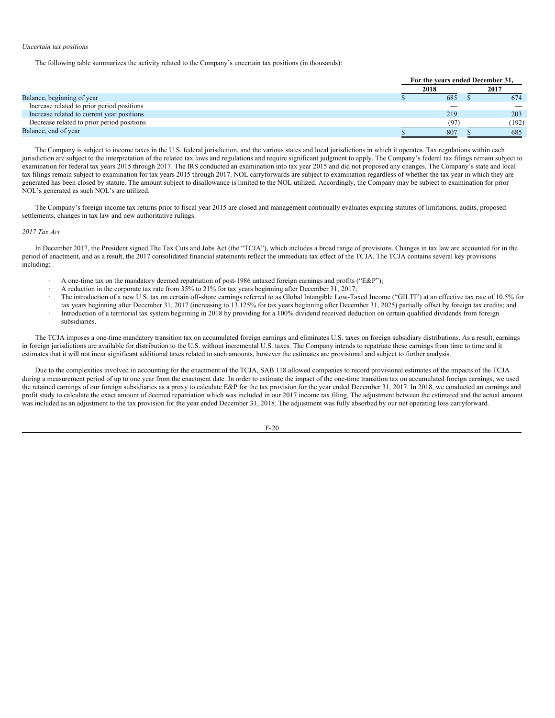#### *Uncertain tax positions*

The following table summarizes the activity related to the Company's uncertain tax positions (in thousands):

|                                            | For the vears ended December 31. |  |       |  |
|--------------------------------------------|----------------------------------|--|-------|--|
|                                            | 2018                             |  | 2017  |  |
| Balance, beginning of year                 | 685                              |  | 674   |  |
| Increase related to prior period positions |                                  |  |       |  |
| Increase related to current year positions | 219                              |  | 203   |  |
| Decrease related to prior period positions | (97                              |  | (192) |  |
| Balance, end of year                       | 807                              |  | 685   |  |

The Company is subject to income taxes in the U.S. federal jurisdiction, and the various states and local jurisdictions in which it operates. Tax regulations within each jurisdiction are subject to the interpretation of the related tax laws and regulations and require significant judgment to apply. The Company's federal tax filings remain subject to examination for federal tax years 2015 through 2017. The IRS conducted an examination into tax year 2015 and did not proposed any changes. The Company's state and local tax filings remain subject to examination for tax years 2015 through 2017. NOL carryforwards are subject to examination regardless of whether the tax year in which they are generated has been closed by statute. The amount subject to disallowance is limited to the NOL utilized. Accordingly, the Company may be subject to examination for prior NOL's generated as such NOL's are utilized.

The Company's foreign income tax returns prior to fiscal year 2015 are closed and management continually evaluates expiring statutes of limitations, audits, proposed settlements, changes in tax law and new authoritative rulings.

#### *2017 Tax Act*

In December 2017, the President signed The Tax Cuts and Jobs Act (the "TCJA"), which includes a broad range of provisions. Changes in tax law are accounted for in the period of enactment, and as a result, the 2017 consolidated financial statements reflect the immediate tax effect of the TCJA. The TCJA contains several key provisions including:

- · A one-time tax on the mandatory deemed repatriation of post-1986 untaxed foreign earnings and profits ("E&P");
- A reduction in the corporate tax rate from  $35\%$  to  $21\%$  for tax years beginning after December  $31$ ,  $2017$ ;
- The introduction of a new U.S. tax on certain off-shore earnings referred to as Global Intangible Low-Taxed Income ("GILTI") at an effective tax rate of 10.5% for
- tax years beginning after December 31, 2017 (increasing to 13.125% for tax years beginning after December 31, 2025) partially offset by foreign tax credits; and Introduction of a territorial tax system beginning in 2018 by providing for a 100% dividend received deduction on certain qualified dividends from foreign subsidiaries.

The TCJA imposes a one-time mandatory transition tax on accumulated foreign earnings and eliminates U.S. taxes on foreign subsidiary distributions. As a result, earnings in foreign jurisdictions are available for distribution to the U.S. without incremental U.S. taxes. The Company intends to repatriate these earnings from time to time and it estimates that it will not incur significant additional taxes related to such amounts, however the estimates are provisional and subject to further analysis.

Due to the complexities involved in accounting for the enactment of the TCJA, SAB 118 allowed companies to record provisional estimates of the impacts of the TCJA during a measurement period of up to one year from the enactment date. In order to estimate the impact of the one-time transition tax on accumulated foreign earnings, we used the retained earnings of our foreign subsidiaries as a proxy to calculate E&P for the tax provision for the year ended December 31, 2017. In 2018, we conducted an earnings and profit study to calculate the exact amount of deemed repatriation which was included in our 2017 income tax filing. The adjustment between the estimated and the actual amount was included as an adjustment to the tax provision for the year ended December 31, 2018. The adjustment was fully absorbed by our net operating loss carryforward.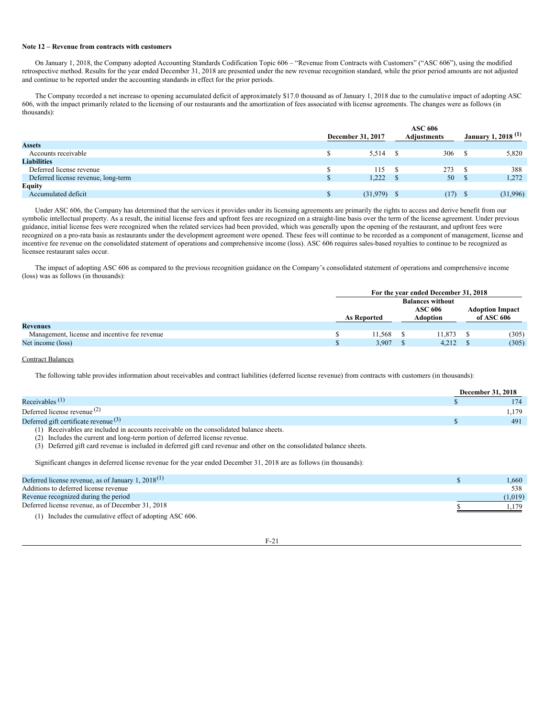#### **Note 12 – Revenue from contracts with customers**

On January 1, 2018, the Company adopted Accounting Standards Codification Topic 606 – "Revenue from Contracts with Customers" ("ASC 606"), using the modified retrospective method. Results for the year ended December 31, 2018 are presented under the new revenue recognition standard, while the prior period amounts are not adjusted and continue to be reported under the accounting standards in effect for the prior periods.

The Company recorded a net increase to opening accumulated deficit of approximately \$17.0 thousand as of January 1, 2018 due to the cumulative impact of adopting ASC 606, with the impact primarily related to the licensing of our restaurants and the amortization of fees associated with license agreements. The changes were as follows (in thousands):

|       |                   | <b>ASC 606</b><br><b>Adjustments</b> | January 1, 2018 <sup>(1)</sup> |
|-------|-------------------|--------------------------------------|--------------------------------|
|       |                   |                                      |                                |
| 5,514 |                   | 306                                  | 5,820                          |
|       |                   |                                      |                                |
| 115   |                   | 273                                  | 388                            |
| 1,222 |                   | 50                                   | 1,272                          |
|       |                   |                                      |                                |
|       |                   |                                      | (31,996)                       |
|       | December 31, 2017 | $(31,979)$ \$                        | $(17)$ \$                      |

Under ASC 606, the Company has determined that the services it provides under its licensing agreements are primarily the rights to access and derive benefit from our symbolic intellectual property. As a result, the initial license fees and upfront fees are recognized on a straight-line basis over the term of the license agreement. Under previous guidance, initial license fees were recognized when the related services had been provided, which was generally upon the opening of the restaurant, and upfront fees were recognized on a pro-rata basis as restaurants under the development agreement were opened. These fees will continue to be recorded as a component of management, license and incentive fee revenue on the consolidated statement of operations and comprehensive income (loss). ASC 606 requires sales-based royalties to continue to be recognized as licensee restaurant sales occur.

The impact of adopting ASC 606 as compared to the previous recognition guidance on the Company's consolidated statement of operations and comprehensive income (loss) was as follows (in thousands):

|                                               | For the year ended December 31, 2018 |  |                                           |  |                        |
|-----------------------------------------------|--------------------------------------|--|-------------------------------------------|--|------------------------|
|                                               |                                      |  | <b>Balances without</b><br><b>ASC 606</b> |  | <b>Adoption Impact</b> |
|                                               | As Reported                          |  | <b>Adoption</b>                           |  | of ASC 606             |
| <b>Revenues</b>                               |                                      |  |                                           |  |                        |
| Management, license and incentive fee revenue | 11.568                               |  | 11.873                                    |  | (305)                  |
| Net income (loss)                             | 3,907                                |  | 4,212                                     |  | (305)                  |

## Contract Balances

The following table provides information about receivables and contract liabilities (deferred license revenue) from contracts with customers (in thousands):

|                                                                                         | <b>December 31, 2018</b> |
|-----------------------------------------------------------------------------------------|--------------------------|
| Receivables $(1)$                                                                       |                          |
| Deferred license revenue $(2)$                                                          | .179                     |
| Deferred gift certificate revenue $(3)$                                                 | 491                      |
| (1) Receivables are included in accounts receivable on the consolidated balance sheets. |                          |

- (2) Includes the current and long-term portion of deferred license revenue.
- (3) Deferred gift card revenue is included in deferred gift card revenue and other on the consolidated balance sheets.

Significant changes in deferred license revenue for the year ended December 31, 2018 are as follows (in thousands):

| Deferred license revenue, as of January 1, $2018^{(1)}$ | .660    |
|---------------------------------------------------------|---------|
| Additions to deferred license revenue                   | 538     |
| Revenue recognized during the period                    | (1.019) |
| Deferred license revenue, as of December 31, 2018       | . 179   |
| (1) Includes the cumulative effect of adopting ASC 606. |         |

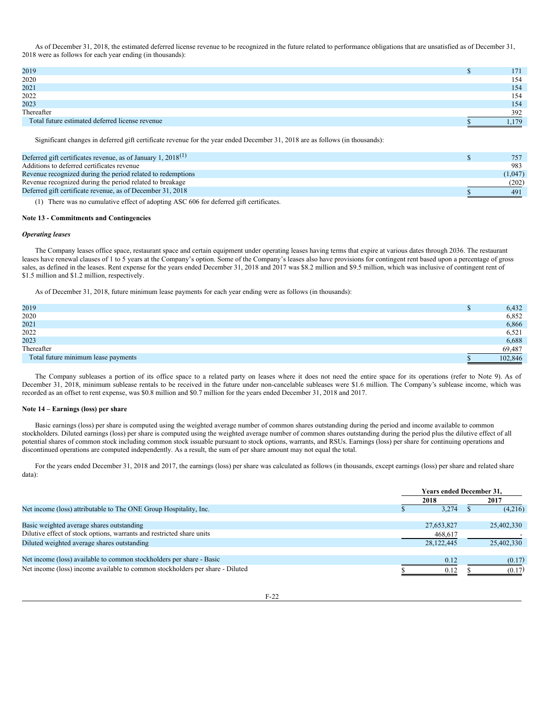As of December 31, 2018, the estimated deferred license revenue to be recognized in the future related to performance obligations that are unsatisfied as of December 31, 2018 were as follows for each year ending (in thousands):

| 2019                                            | 171 |
|-------------------------------------------------|-----|
|                                                 |     |
| 2020                                            | 154 |
| 2021                                            | 154 |
| 2022                                            | 154 |
| 2023                                            | 154 |
| Thereafter                                      | 392 |
| Total future estimated deferred license revenue | 170 |

Significant changes in deferred gift certificate revenue for the year ended December 31, 2018 are as follows (in thousands):

| Deferred gift certificates revenue, as of January 1, $2018^{(1)}$ |         |
|-------------------------------------------------------------------|---------|
| Additions to deferred certificates revenue                        | 983     |
| Revenue recognized during the period related to redemptions       | (1,047) |
| Revenue recognized during the period related to breakage          | (202)   |
| Deferred gift certificate revenue, as of December 31, 2018        | 491     |

(1) There was no cumulative effect of adopting ASC 606 for deferred gift certificates.

## **Note 13 - Commitments and Contingencies**

## *Operating leases*

The Company leases office space, restaurant space and certain equipment under operating leases having terms that expire at various dates through 2036. The restaurant leases have renewal clauses of 1 to 5 years at the Company's option. Some of the Company's leases also have provisions for contingent rent based upon a percentage of gross sales, as defined in the leases. Rent expense for the years ended December 31, 2018 and 2017 was \$8.2 million and \$9.5 million, which was inclusive of contingent rent of \$1.5 million and \$1.2 million, respectively.

As of December 31, 2018, future minimum lease payments for each year ending were as follows (in thousands):

| 2019                                | 6,432   |
|-------------------------------------|---------|
| 2020                                | 6,852   |
| 2021                                | 6,866   |
| 2022                                | 6,521   |
| 2023                                | 6,688   |
| Thereafter                          | 69,487  |
| Total future minimum lease payments | 102,846 |

The Company subleases a portion of its office space to a related party on leases where it does not need the entire space for its operations (refer to Note 9). As of December 31, 2018, minimum sublease rentals to be received in the future under non-cancelable subleases were \$1.6 million. The Company's sublease income, which was recorded as an offset to rent expense, was \$0.8 million and \$0.7 million for the years ended December 31, 2018 and 2017.

## **Note 14 – Earnings (loss) per share**

Basic earnings (loss) per share is computed using the weighted average number of common shares outstanding during the period and income available to common stockholders. Diluted earnings (loss) per share is computed using the weighted average number of common shares outstanding during the period plus the dilutive effect of all potential shares of common stock including common stock issuable pursuant to stock options, warrants, and RSUs. Earnings (loss) per share for continuing operations and discontinued operations are computed independently. As a result, the sum of per share amount may not equal the total.

For the years ended December 31, 2018 and 2017, the earnings (loss) per share was calculated as follows (in thousands, except earnings (loss) per share and related share data):

|                                                                               | <b>Years ended December 31,</b> |            |  |            |
|-------------------------------------------------------------------------------|---------------------------------|------------|--|------------|
|                                                                               |                                 | 2018       |  | 2017       |
| Net income (loss) attributable to The ONE Group Hospitality, Inc.             |                                 | 3.274      |  | (4,216)    |
|                                                                               |                                 |            |  |            |
| Basic weighted average shares outstanding                                     |                                 | 27,653,827 |  | 25,402,330 |
| Dilutive effect of stock options, warrants and restricted share units         |                                 | 468,617    |  |            |
| Diluted weighted average shares outstanding                                   |                                 | 28,122,445 |  | 25,402,330 |
|                                                                               |                                 |            |  |            |
| Net income (loss) available to common stockholders per share - Basic          |                                 | 0.12       |  | (0.17)     |
| Net income (loss) income available to common stockholders per share - Diluted |                                 | 0.12       |  | (0.17)     |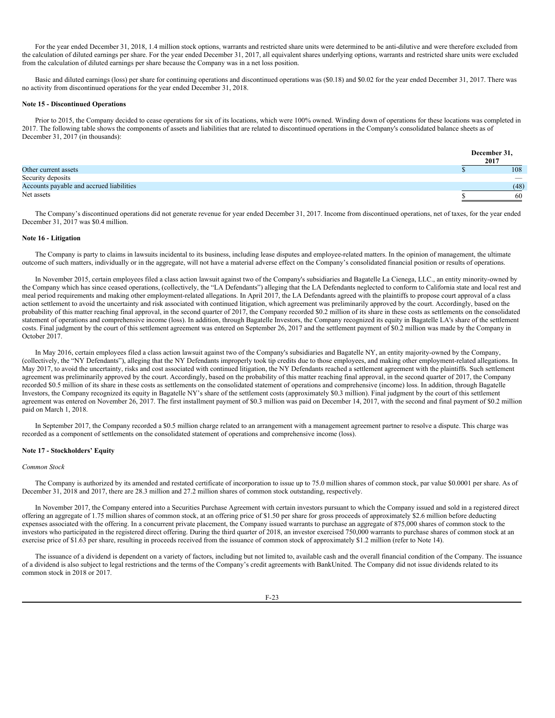For the year ended December 31, 2018, 1.4 million stock options, warrants and restricted share units were determined to be anti-dilutive and were therefore excluded from the calculation of diluted earnings per share. For the year ended December 31, 2017, all equivalent shares underlying options, warrants and restricted share units were excluded from the calculation of diluted earnings per share because the Company was in a net loss position.

Basic and diluted earnings (loss) per share for continuing operations and discontinued operations was (\$0.18) and \$0.02 for the year ended December 31, 2017. There was no activity from discontinued operations for the year ended December 31, 2018.

### **Note 15 - Discontinued Operations**

Prior to 2015, the Company decided to cease operations for six of its locations, which were 100% owned. Winding down of operations for these locations was completed in 2017. The following table shows the components of assets and liabilities that are related to discontinued operations in the Company's consolidated balance sheets as of December 31, 2017 (in thousands):

|                                          | December 31,             |
|------------------------------------------|--------------------------|
|                                          | 2017                     |
| Other current assets                     | 108                      |
| Security deposits                        | $\overline{\phantom{a}}$ |
| Accounts payable and accrued liabilities | (48)                     |
| Net assets                               | 60                       |

The Company's discontinued operations did not generate revenue for year ended December 31, 2017. Income from discontinued operations, net of taxes, for the year ended December 31, 2017 was \$0.4 million.

#### **Note 16 - Litigation**

The Company is party to claims in lawsuits incidental to its business, including lease disputes and employee-related matters. In the opinion of management, the ultimate outcome of such matters, individually or in the aggregate, will not have a material adverse effect on the Company's consolidated financial position or results of operations.

In November 2015, certain employees filed a class action lawsuit against two of the Company's subsidiaries and Bagatelle La Cienega, LLC., an entity minority-owned by the Company which has since ceased operations, (collectively, the "LA Defendants") alleging that the LA Defendants neglected to conform to California state and local rest and meal period requirements and making other employment-related allegations. In April 2017, the LA Defendants agreed with the plaintiffs to propose court approval of a class action settlement to avoid the uncertainty and risk associated with continued litigation, which agreement was preliminarily approved by the court. Accordingly, based on the probability of this matter reaching final approval, in the second quarter of 2017, the Company recorded \$0.2 million of its share in these costs as settlements on the consolidated statement of operations and comprehensive income (loss). In addition, through Bagatelle Investors, the Company recognized its equity in Bagatelle LA's share of the settlement costs. Final judgment by the court of this settlement agreement was entered on September 26, 2017 and the settlement payment of \$0.2 million was made by the Company in October 2017.

In May 2016, certain employees filed a class action lawsuit against two of the Company's subsidiaries and Bagatelle NY, an entity majority-owned by the Company, (collectively, the "NY Defendants"), alleging that the NY Defendants improperly took tip credits due to those employees, and making other employment-related allegations. In May 2017, to avoid the uncertainty, risks and cost associated with continued litigation, the NY Defendants reached a settlement agreement with the plaintiffs. Such settlement agreement was preliminarily approved by the court. Accordingly, based on the probability of this matter reaching final approval, in the second quarter of 2017, the Company recorded \$0.5 million of its share in these costs as settlements on the consolidated statement of operations and comprehensive (income) loss. In addition, through Bagatelle Investors, the Company recognized its equity in Bagatelle NY's share of the settlement costs (approximately \$0.3 million). Final judgment by the court of this settlement agreement was entered on November 26, 2017. The first installment payment of \$0.3 million was paid on December 14, 2017, with the second and final payment of \$0.2 million paid on March 1, 2018.

In September 2017, the Company recorded a \$0.5 million charge related to an arrangement with a management agreement partner to resolve a dispute. This charge was recorded as a component of settlements on the consolidated statement of operations and comprehensive income (loss).

#### **Note 17 - Stockholders' Equity**

### *Common Stock*

The Company is authorized by its amended and restated certificate of incorporation to issue up to 75.0 million shares of common stock, par value \$0.0001 per share. As of December 31, 2018 and 2017, there are 28.3 million and 27.2 million shares of common stock outstanding, respectively.

In November 2017, the Company entered into a Securities Purchase Agreement with certain investors pursuant to which the Company issued and sold in a registered direct offering an aggregate of 1.75 million shares of common stock, at an offering price of \$1.50 per share for gross proceeds of approximately \$2.6 million before deducting expenses associated with the offering. In a concurrent private placement, the Company issued warrants to purchase an aggregate of 875,000 shares of common stock to the investors who participated in the registered direct offering. During the third quarter of 2018, an investor exercised 750,000 warrants to purchase shares of common stock at an exercise price of \$1.63 per share, resulting in proceeds received from the issuance of common stock of approximately \$1.2 million (refer to Note 14).

The issuance of a dividend is dependent on a variety of factors, including but not limited to, available cash and the overall financial condition of the Company. The issuance of a dividend is also subject to legal restrictions and the terms of the Company's credit agreements with BankUnited. The Company did not issue dividends related to its common stock in 2018 or 2017.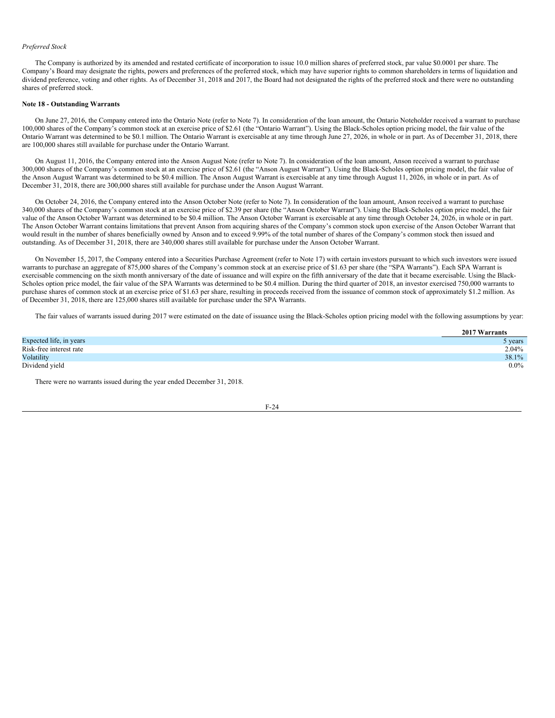### *Preferred Stock*

The Company is authorized by its amended and restated certificate of incorporation to issue 10.0 million shares of preferred stock, par value \$0.0001 per share. The Company's Board may designate the rights, powers and preferences of the preferred stock, which may have superior rights to common shareholders in terms of liquidation and dividend preference, voting and other rights. As of December 31, 2018 and 2017, the Board had not designated the rights of the preferred stock and there were no outstanding shares of preferred stock.

### **Note 18 - Outstanding Warrants**

On June 27, 2016, the Company entered into the Ontario Note (refer to Note 7). In consideration of the loan amount, the Ontario Noteholder received a warrant to purchase 100,000 shares of the Company's common stock at an exercise price of \$2.61 (the "Ontario Warrant"). Using the Black-Scholes option pricing model, the fair value of the Ontario Warrant was determined to be \$0.1 million. The Ontario Warrant is exercisable at any time through June 27, 2026, in whole or in part. As of December 31, 2018, there are 100,000 shares still available for purchase under the Ontario Warrant.

On August 11, 2016, the Company entered into the Anson August Note (refer to Note 7). In consideration of the loan amount, Anson received a warrant to purchase 300,000 shares of the Company's common stock at an exercise price of \$2.61 (the "Anson August Warrant"). Using the Black-Scholes option pricing model, the fair value of the Anson August Warrant was determined to be \$0.4 million. The Anson August Warrant is exercisable at any time through August 11, 2026, in whole or in part. As of December 31, 2018, there are 300,000 shares still available for purchase under the Anson August Warrant.

On October 24, 2016, the Company entered into the Anson October Note (refer to Note 7). In consideration of the loan amount, Anson received a warrant to purchase 340,000 shares of the Company's common stock at an exercise price of \$2.39 per share (the "Anson October Warrant"). Using the Black-Scholes option price model, the fair value of the Anson October Warrant was determined to be \$0.4 million. The Anson October Warrant is exercisable at any time through October 24, 2026, in whole or in part. The Anson October Warrant contains limitations that prevent Anson from acquiring shares of the Company's common stock upon exercise of the Anson October Warrant that would result in the number of shares beneficially owned by Anson and to exceed 9.99% of the total number of shares of the Company's common stock then issued and outstanding. As of December 31, 2018, there are 340,000 shares still available for purchase under the Anson October Warrant.

On November 15, 2017, the Company entered into a Securities Purchase Agreement (refer to Note 17) with certain investors pursuant to which such investors were issued warrants to purchase an aggregate of 875,000 shares of the Company's common stock at an exercise price of \$1.63 per share (the "SPA Warrants"). Each SPA Warrant is exercisable commencing on the sixth month anniversary of the date of issuance and will expire on the fifth anniversary of the date that it became exercisable. Using the Black-Scholes option price model, the fair value of the SPA Warrants was determined to be \$0.4 million. During the third quarter of 2018, an investor exercised 750,000 warrants to purchase shares of common stock at an exercise price of \$1.63 per share, resulting in proceeds received from the issuance of common stock of approximately \$1.2 million. As of December 31, 2018, there are 125,000 shares still available for purchase under the SPA Warrants.

The fair values of warrants issued during 2017 were estimated on the date of issuance using the Black-Scholes option pricing model with the following assumptions by year:

|                         | 2017 Warrants |
|-------------------------|---------------|
| Expected life, in years | 5 years       |
| Risk-free interest rate | $2.04\%$      |
| Volatility              | 38.1%         |
| Dividend yield          | $0.0\%$       |

There were no warrants issued during the year ended December 31, 2018.

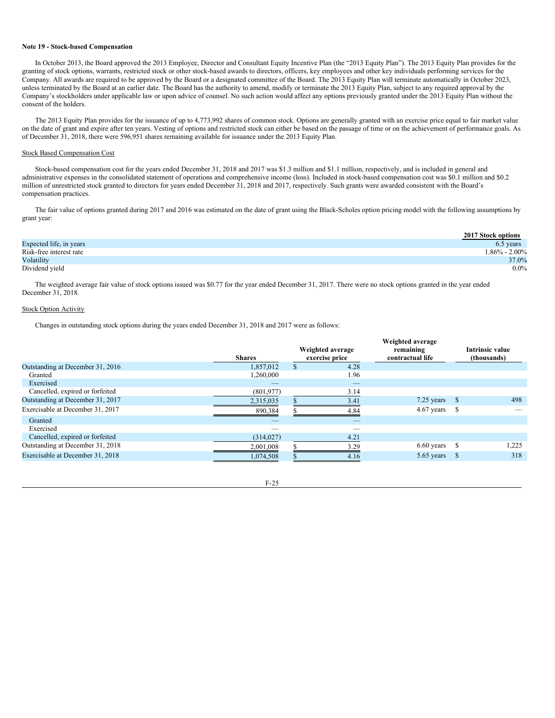#### **Note 19 - Stock-based Compensation**

In October 2013, the Board approved the 2013 Employee, Director and Consultant Equity Incentive Plan (the "2013 Equity Plan"). The 2013 Equity Plan provides for the granting of stock options, warrants, restricted stock or other stock-based awards to directors, officers, key employees and other key individuals performing services for the Company. All awards are required to be approved by the Board or a designated committee of the Board. The 2013 Equity Plan will terminate automatically in October 2023, unless terminated by the Board at an earlier date. The Board has the authority to amend, modify or terminate the 2013 Equity Plan, subject to any required approval by the Company's stockholders under applicable law or upon advice of counsel. No such action would affect any options previously granted under the 2013 Equity Plan without the consent of the holders.

The 2013 Equity Plan provides for the issuance of up to 4,773,992 shares of common stock. Options are generally granted with an exercise price equal to fair market value on the date of grant and expire after ten years. Vesting of options and restricted stock can either be based on the passage of time or on the achievement of performance goals. As of December 31, 2018, there were 596,951 shares remaining available for issuance under the 2013 Equity Plan.

### Stock Based Compensation Cost

Stock-based compensation cost for the years ended December 31, 2018 and 2017 was \$1.3 million and \$1.1 million, respectively, and is included in general and administrative expenses in the consolidated statement of operations and comprehensive income (loss). Included in stock-based compensation cost was \$0.1 million and \$0.2 million of unrestricted stock granted to directors for years ended December 31, 2018 and 2017, respectively. Such grants were awarded consistent with the Board's compensation practices.

The fair value of options granted during 2017 and 2016 was estimated on the date of grant using the Black-Scholes option pricing model with the following assumptions by grant year:

|                         | 2017 Stock options  |
|-------------------------|---------------------|
| Expected life, in years | 6.5 years           |
| Risk-free interest rate | $1.86\%$ - $2.00\%$ |
| Volatility              | 37.0%               |
| Dividend yield          | $0.0\%$             |

The weighted average fair value of stock options issued was \$0.77 for the year ended December 31, 2017. There were no stock options granted in the year ended December 31, 2018.

## Stock Option Activity

Changes in outstanding stock options during the years ended December 31, 2018 and 2017 were as follows:

| <b>Shares</b> | Weighted average<br>exercise price |      | Weighted average<br>remaining<br>contractual life |    | Intrinsic value<br>(thousands) |
|---------------|------------------------------------|------|---------------------------------------------------|----|--------------------------------|
| 1,857,012     |                                    | 4.28 |                                                   |    |                                |
| 1,260,000     |                                    | 1.96 |                                                   |    |                                |
|               |                                    |      |                                                   |    |                                |
| (801, 977)    |                                    | 3.14 |                                                   |    |                                |
| 2,315,035     |                                    | 3.41 | $7.25$ years                                      | -S | 498                            |
| 890,384       |                                    | 4.84 | $4.67$ years                                      |    |                                |
|               |                                    |      |                                                   |    |                                |
|               |                                    |      |                                                   |    |                                |
| (314, 027)    |                                    | 4.21 |                                                   |    |                                |
| 2,001,008     |                                    | 3.29 | $6.60$ years                                      | S  | 1.225                          |
| 1,074,508     |                                    | 4.16 | 5.65 years                                        | -S | 318                            |
|               |                                    |      |                                                   |    |                                |

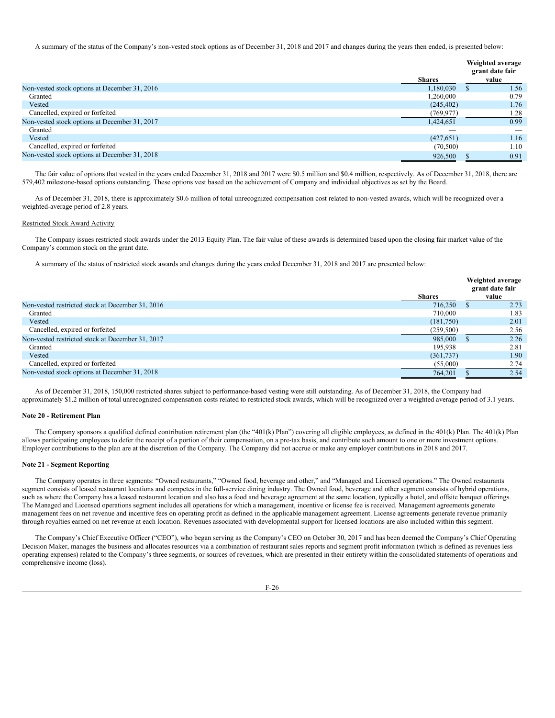A summary of the status of the Company's non-vested stock options as of December 31, 2018 and 2017 and changes during the years then ended, is presented below:

|                                               |               | Weighted average<br>grant date fair |
|-----------------------------------------------|---------------|-------------------------------------|
|                                               | <b>Shares</b> | value                               |
| Non-vested stock options at December 31, 2016 | 1,180,030     | 1.56                                |
| Granted                                       | 1,260,000     | 0.79                                |
| Vested                                        | (245, 402)    | 1.76                                |
| Cancelled, expired or forfeited               | (769, 977)    | 1.28                                |
| Non-vested stock options at December 31, 2017 | 1,424,651     | 0.99                                |
| Granted                                       |               |                                     |
| Vested                                        | (427, 651)    | 1.16                                |
| Cancelled, expired or forfeited               | (70, 500)     | 1.10                                |
| Non-vested stock options at December 31, 2018 | 926,500       | 0.91                                |

The fair value of options that vested in the years ended December 31, 2018 and 2017 were \$0.5 million and \$0.4 million, respectively. As of December 31, 2018, there are 579,402 milestone-based options outstanding. These options vest based on the achievement of Company and individual objectives as set by the Board.

As of December 31, 2018, there is approximately \$0.6 million of total unrecognized compensation cost related to non-vested awards, which will be recognized over a weighted-average period of 2.8 years.

## Restricted Stock Award Activity

The Company issues restricted stock awards under the 2013 Equity Plan. The fair value of these awards is determined based upon the closing fair market value of the Company's common stock on the grant date.

A summary of the status of restricted stock awards and changes during the years ended December 31, 2018 and 2017 are presented below:

|                                                  |               | Weighted average<br>grant date fair |
|--------------------------------------------------|---------------|-------------------------------------|
|                                                  | <b>Shares</b> | value                               |
| Non-vested restricted stock at December 31, 2016 | 716,250       | 2.73<br>æ                           |
| Granted                                          | 710,000       | 1.83                                |
| Vested                                           | (181,750)     | 2.01                                |
| Cancelled, expired or forfeited                  | (259, 500)    | 2.56                                |
| Non-vested restricted stock at December 31, 2017 | 985,000       | 2.26<br>ъ                           |
| Granted                                          | 195,938       | 2.81                                |
| Vested                                           | (361, 737)    | 1.90                                |
| Cancelled, expired or forfeited                  | (55,000)      | 2.74                                |
| Non-vested stock options at December 31, 2018    | 764,201       | 2.54                                |

As of December 31, 2018, 150,000 restricted shares subject to performance-based vesting were still outstanding. As of December 31, 2018, the Company had approximately \$1.2 million of total unrecognized compensation costs related to restricted stock awards, which will be recognized over a weighted average period of 3.1 years.

#### **Note 20 - Retirement Plan**

The Company sponsors a qualified defined contribution retirement plan (the "401(k) Plan") covering all eligible employees, as defined in the 401(k) Plan. The 401(k) Plan. allows participating employees to defer the receipt of a portion of their compensation, on a pre-tax basis, and contribute such amount to one or more investment options. Employer contributions to the plan are at the discretion of the Company. The Company did not accrue or make any employer contributions in 2018 and 2017.

## **Note 21 - Segment Reporting**

The Company operates in three segments: "Owned restaurants," "Owned food, beverage and other," and "Managed and Licensed operations." The Owned restaurants segment consists of leased restaurant locations and competes in the full-service dining industry. The Owned food, beverage and other segment consists of hybrid operations, such as where the Company has a leased restaurant location and also has a food and beverage agreement at the same location, typically a hotel, and offsite banquet offerings. The Managed and Licensed operations segment includes all operations for which a management, incentive or license fee is received. Management agreements generate management fees on net revenue and incentive fees on operating profit as defined in the applicable management agreement. License agreements generate revenue primarily through royalties earned on net revenue at each location. Revenues associated with developmental support for licensed locations are also included within this segment.

The Company's Chief Executive Officer ("CEO"), who began serving as the Company's CEO on October 30, 2017 and has been deemed the Company's Chief Operating Decision Maker, manages the business and allocates resources via a combination of restaurant sales reports and segment profit information (which is defined as revenues less operating expenses) related to the Company's three segments, or sources of revenues, which are presented in their entirety within the consolidated statements of operations and comprehensive income (loss).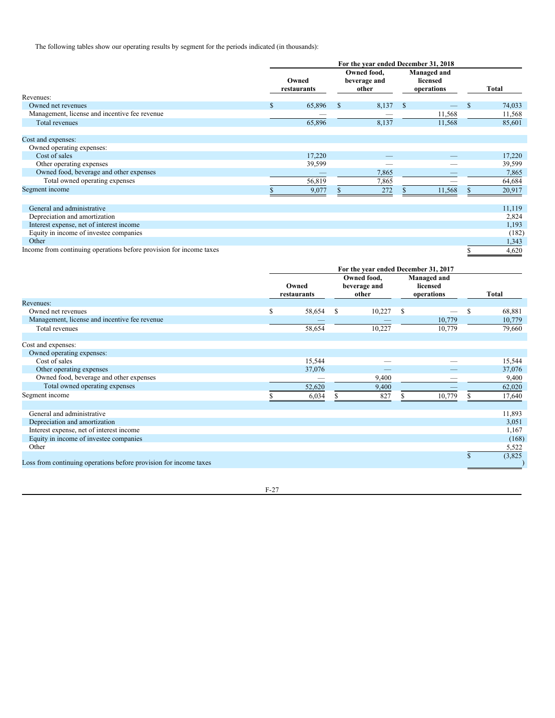The following tables show our operating results by segment for the periods indicated (in thousands):

|                                                                     | For the year ended December 31, 2018 |                      |              |                                      |               |                                       |   |        |
|---------------------------------------------------------------------|--------------------------------------|----------------------|--------------|--------------------------------------|---------------|---------------------------------------|---|--------|
|                                                                     |                                      | Owned<br>restaurants |              | Owned food,<br>beverage and<br>other |               | Managed and<br>licensed<br>operations |   | Total  |
| Revenues:<br>Owned net revenues                                     |                                      |                      | $\mathbb{S}$ |                                      |               |                                       |   |        |
|                                                                     | \$                                   | 65,896               |              | 8,137                                | <sup>\$</sup> |                                       | S | 74,033 |
| Management, license and incentive fee revenue                       |                                      |                      |              |                                      |               | 11,568                                |   | 11,568 |
| <b>Total revenues</b>                                               |                                      | 65,896               |              | 8,137                                |               | 11,568                                |   | 85,601 |
| Cost and expenses:                                                  |                                      |                      |              |                                      |               |                                       |   |        |
| Owned operating expenses:                                           |                                      |                      |              |                                      |               |                                       |   |        |
| Cost of sales                                                       |                                      | 17,220               |              |                                      |               |                                       |   | 17,220 |
| Other operating expenses                                            |                                      | 39,599               |              |                                      |               |                                       |   | 39,599 |
| Owned food, beverage and other expenses                             |                                      |                      |              | 7,865                                |               |                                       |   | 7,865  |
| Total owned operating expenses                                      |                                      | 56,819               |              | 7,865                                |               |                                       |   | 64,684 |
| Segment income                                                      |                                      | 9,077                |              | 272                                  |               | 11,568                                |   | 20,917 |
| General and administrative                                          |                                      |                      |              |                                      |               |                                       |   | 11,119 |
| Depreciation and amortization                                       |                                      |                      |              |                                      |               |                                       |   | 2,824  |
| Interest expense, net of interest income                            |                                      |                      |              |                                      |               |                                       |   | 1,193  |
| Equity in income of investee companies                              |                                      |                      |              |                                      |               |                                       |   | (182)  |
| Other                                                               |                                      |                      |              |                                      |               |                                       |   | 1,343  |
| Income from continuing operations before provision for income taxes |                                      |                      |              |                                      |               |                                       | S | 4,620  |

|                                                                   | For the year ended December 31, 2017 |                      |  |                                      |   |                                       |              |         |
|-------------------------------------------------------------------|--------------------------------------|----------------------|--|--------------------------------------|---|---------------------------------------|--------------|---------|
|                                                                   |                                      | Owned<br>restaurants |  | Owned food,<br>beverage and<br>other |   | Managed and<br>licensed<br>operations |              | Total   |
| Revenues:                                                         |                                      |                      |  |                                      |   |                                       |              |         |
| Owned net revenues                                                | \$                                   | 58,654               |  | 10,227                               | S |                                       | S            | 68,881  |
| Management, license and incentive fee revenue                     |                                      |                      |  |                                      |   | 10,779                                |              | 10,779  |
| Total revenues                                                    |                                      | 58,654               |  | 10,227                               |   | 10,779                                |              | 79,660  |
|                                                                   |                                      |                      |  |                                      |   |                                       |              |         |
| Cost and expenses:                                                |                                      |                      |  |                                      |   |                                       |              |         |
| Owned operating expenses:                                         |                                      |                      |  |                                      |   |                                       |              |         |
| Cost of sales                                                     |                                      | 15,544               |  |                                      |   |                                       |              | 15,544  |
| Other operating expenses                                          |                                      | 37,076               |  |                                      |   |                                       |              | 37,076  |
| Owned food, beverage and other expenses                           |                                      |                      |  | 9,400                                |   |                                       |              | 9,400   |
| Total owned operating expenses                                    |                                      | 52,620               |  | 9,400                                |   |                                       |              | 62,020  |
| Segment income                                                    |                                      | 6,034                |  | 827                                  |   | 10,779                                |              | 17,640  |
|                                                                   |                                      |                      |  |                                      |   |                                       |              |         |
| General and administrative                                        |                                      |                      |  |                                      |   |                                       |              | 11,893  |
| Depreciation and amortization                                     |                                      |                      |  |                                      |   |                                       |              | 3,051   |
| Interest expense, net of interest income                          |                                      |                      |  |                                      |   |                                       |              | 1,167   |
| Equity in income of investee companies                            |                                      |                      |  |                                      |   |                                       |              | (168)   |
| Other                                                             |                                      |                      |  |                                      |   |                                       |              | 5,522   |
| Loss from continuing operations before provision for income taxes |                                      |                      |  |                                      |   |                                       | $\mathbb{S}$ | (3,825) |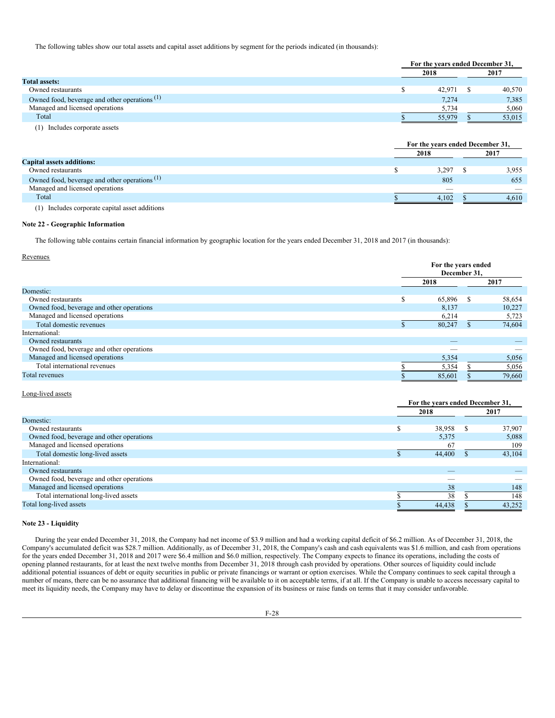The following tables show our total assets and capital asset additions by segment for the periods indicated (in thousands):

|                                                          | For the years ended December 31, |  |        |  |
|----------------------------------------------------------|----------------------------------|--|--------|--|
|                                                          | 2018                             |  | 2017   |  |
| <b>Total assets:</b>                                     |                                  |  |        |  |
| Owned restaurants                                        | 42,971                           |  | 40,570 |  |
| Owned food, beverage and other operations <sup>(1)</sup> | 7,274                            |  | 7,385  |  |
| Managed and licensed operations                          | 5,734                            |  | 5,060  |  |
| Total                                                    | 55,979                           |  | 53,015 |  |
| Includes corporate assets                                |                                  |  |        |  |

|                                                          | For the years ended December 31, |                          |  |  |
|----------------------------------------------------------|----------------------------------|--------------------------|--|--|
|                                                          | 2018                             | 2017                     |  |  |
| <b>Capital assets additions:</b>                         |                                  |                          |  |  |
| Owned restaurants                                        | 3.297                            | 3.955                    |  |  |
| Owned food, beverage and other operations <sup>(1)</sup> | 805                              | 655                      |  |  |
| Managed and licensed operations                          |                                  | $\overline{\phantom{a}}$ |  |  |
| Total                                                    | 4.102                            | 4.610                    |  |  |

(1) Includes corporate capital asset additions

## **Note 22 - Geographic Information**

The following table contains certain financial information by geographic location for the years ended December 31, 2018 and 2017 (in thousands):

## Revenues

|                                           |   | For the years ended<br>December 31. |   |        |
|-------------------------------------------|---|-------------------------------------|---|--------|
|                                           |   | 2018                                |   | 2017   |
| Domestic:                                 |   |                                     |   |        |
| Owned restaurants                         | S | 65,896                              | S | 58,654 |
| Owned food, beverage and other operations |   | 8,137                               |   | 10,227 |
| Managed and licensed operations           |   | 6,214                               |   | 5,723  |
| Total domestic revenues                   |   | 80,247                              |   | 74,604 |
| International:                            |   |                                     |   |        |
| Owned restaurants                         |   |                                     |   |        |
| Owned food, beverage and other operations |   |                                     |   |        |
| Managed and licensed operations           |   | 5,354                               |   | 5,056  |
| Total international revenues              |   | 5,354                               |   | 5,056  |
| Total revenues                            |   | 85,601                              |   | 79,660 |
|                                           |   |                                     |   |        |

### Long-lived assets

|                                           | For the years ended December 31, |     |        |  |
|-------------------------------------------|----------------------------------|-----|--------|--|
|                                           | 2018                             |     | 2017   |  |
| Domestic:                                 |                                  |     |        |  |
| Owned restaurants                         | 38,958                           | - 8 | 37,907 |  |
| Owned food, beverage and other operations | 5,375                            |     | 5,088  |  |
| Managed and licensed operations           | 67                               |     | 109    |  |
| Total domestic long-lived assets          | 44,400                           |     | 43,104 |  |
| International:                            |                                  |     |        |  |
| Owned restaurants                         |                                  |     |        |  |
| Owned food, beverage and other operations |                                  |     |        |  |
| Managed and licensed operations           | 38                               |     | 148    |  |
| Total international long-lived assets     | 38                               |     | 148    |  |
| Total long-lived assets                   | 44,438                           |     | 43,252 |  |

## **Note 23 - Liquidity**

During the year ended December 31, 2018, the Company had net income of \$3.9 million and had a working capital deficit of \$6.2 million. As of December 31, 2018, the Company's accumulated deficit was \$28.7 million. Additionally, as of December 31, 2018, the Company's cash and cash equivalents was \$1.6 million, and cash from operations for the years ended December 31, 2018 and 2017 were \$6.4 million and \$6.0 million, respectively. The Company expects to finance its operations, including the costs of opening planned restaurants, for at least the next twelve months from December 31, 2018 through cash provided by operations. Other sources of liquidity could include additional potential issuances of debt or equity securities in public or private financings or warrant or option exercises. While the Company continues to seek capital through a number of means, there can be no assurance that additional financing will be available to it on acceptable terms, if at all. If the Company is unable to access necessary capital to meet its liquidity needs, the Company may have to delay or discontinue the expansion of its business or raise funds on terms that it may consider unfavorable.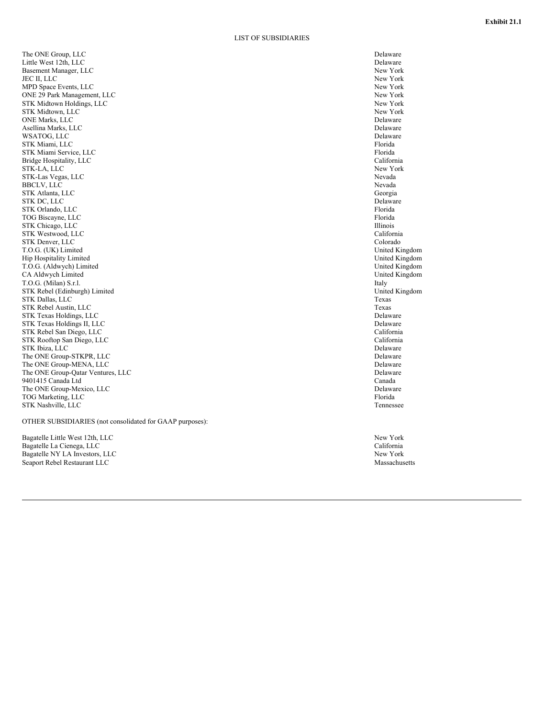<span id="page-70-0"></span>The ONE Group, LLC Little West 12th, LLC Basement Manager, LLC J E C I I, L L C MPD Space Events, LLC ONE 29 Park Management, LLC STK Midtown Holdings, LLC STK Midtown, LLC ONE Marks, LLC Asellina Marks, LLC WSATOG, LLC S T K M i a m i, L L C STK Miami Service, LLC Bridge Hospitality, LLC S T K -L A, L L C STK-Las Vegas, LLC B B C L V, L L C STK Atlanta, LLC S T K D C, L L C STK Orlando, LLC TOG Biscayne, LLC STK Chicago, LLC STK Westwood, LLC STK Denver, LLC T.O.G. ( U K )L i m it e d Hip Hospitality Limited T.O.G. (Aldwych) Limited CA Aldwych Limited T.O.G. (Milan) S.r.l. It STK Rebel (Edinburgh) Limited STK Dallas, LLC STK Rebel Austin, LLC STK Texas Holdings, LLC STK Texas Holdings II, LLC STK Rebel San Diego, LLC STK Rooftop San Diego, LLC S T K I b i z a, L L C The ONE Group-STKPR, LLC The ONE Group-MENA, LLC The ONE Group-Qatar Ventures, LLC 9401415 Canada Ltd The ONE Group-Mexico, LLC TOG Marketing, LLC STK Nashville, LLC

OTHER SUBSIDIARIES (not consolidated for GAAP purposes):

Bagatelle Little West 12th, LLC Bagatelle La Cienega, LLC Bagatelle NY LA Investors, LLC Seaport Rebel Restaurant LLC

Delaware Delaware New York New York New York New York New York New York Delaware Delaware Delaware Florida Florida California New York N e v a d a N e v a d a Georgia Delaware Florida Florida I l l i n o i s California Colorado United Kingdom United Kingdom United Kingdom United Kingdom t a l y United Kingdom **Texas Texas** Delaware Delaware California California Delaware Delaware Delaware Delaware Canada Delaware Florida Tennessee

New York California New York Massachusetts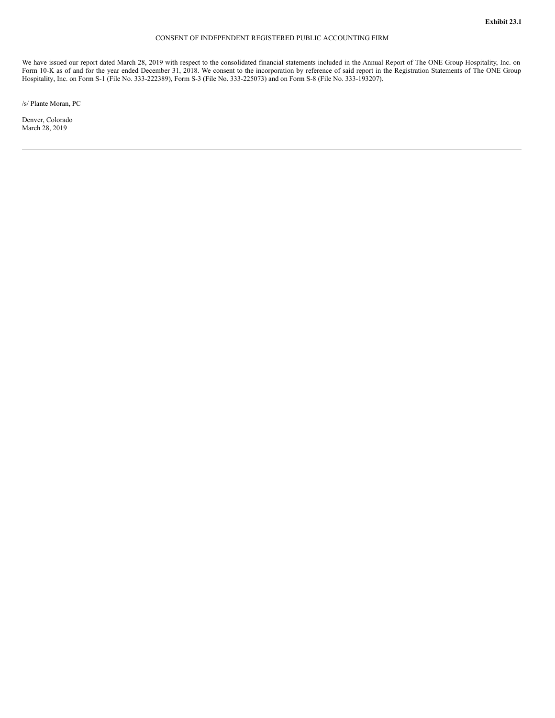### CONSENT OF INDEPENDENT REGISTERED PUBLIC ACCOUNTING FIRM

<span id="page-71-0"></span>We have issued our report dated March 28, 2019 with respect to the consolidated financial statements included in the Annual Report of The ONE Group Hospitality, Inc. on Form 10-K as of and for the year ended December 31, 2018. We consent to the incorporation by reference of said report in the Registration Statements of The ONE Group Hospitality, Inc. on Form S-1 (File No. 333-222389), Form S-3 (File No. 333-225073) and on Form S-8 (File No. 333-193207).

/s/ Plante Moran, PC

Denver, Colorado March 28, 2019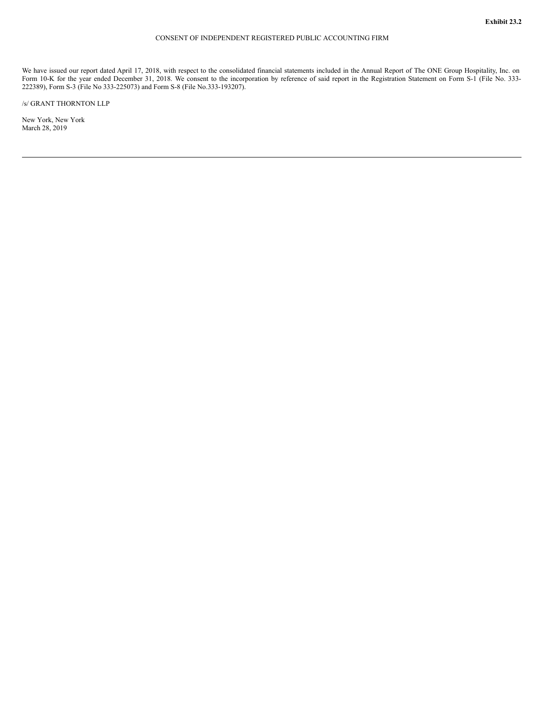We have issued our report dated April 17, 2018, with respect to the consolidated financial statements included in the Annual Report of The ONE Group Hospitality, Inc. on Form 10-K for the year ended December 31, 2018. We consent to the incorporation by reference of said report in the Registration Statement on Form S-1 (File No. 333-222389), Form S-3 (File No 333-225073) and Form S-8 (File No.333-193207).

/s/ GRANT THORNTON LLP

New York, New York March 28, 2019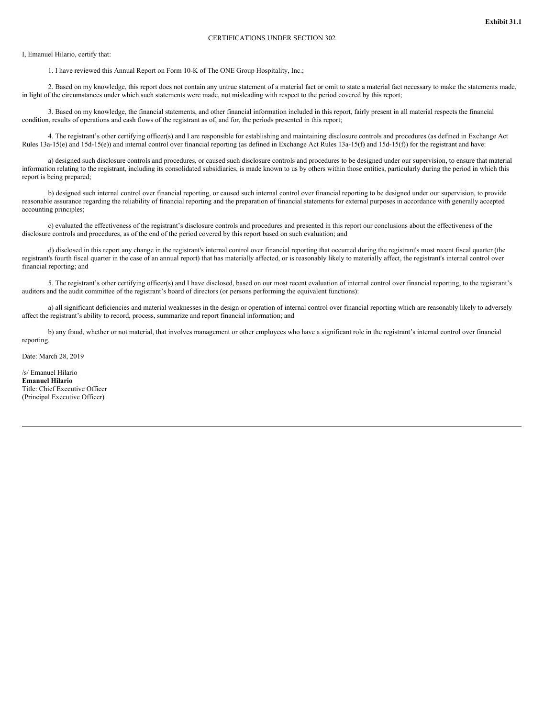I, Emanuel Hilario, certify that:

1. I have reviewed this Annual Report on Form 10-K of The ONE Group Hospitality, Inc.;

2. Based on my knowledge, this report does not contain any untrue statement of a material fact or omit to state a material fact necessary to make the statements made, in light of the circumstances under which such statements were made, not misleading with respect to the period covered by this report;

3. Based on my knowledge, the financial statements, and other financial information included in this report, fairly present in all material respects the financial condition, results of operations and cash flows of the registrant as of, and for, the periods presented in this report;

4. The registrant's other certifying officer(s) and I are responsible for establishing and maintaining disclosure controls and procedures (as defined in Exchange Act Rules 13a-15(e) and 15d-15(e)) and internal control over financial reporting (as defined in Exchange Act Rules 13a-15(f) and 15d-15(f)) for the registrant and have:

a) designed such disclosure controls and procedures, or caused such disclosure controls and procedures to be designed under our supervision, to ensure that material information relating to the registrant, including its consolidated subsidiaries, is made known to us by others within those entities, particularly during the period in which this report is being prepared;

b) designed such internal control over financial reporting, or caused such internal control over financial reporting to be designed under our supervision, to provide reasonable assurance regarding the reliability of financial reporting and the preparation of financial statements for external purposes in accordance with generally accepted accounting principles;

c) evaluated the effectiveness of the registrant's disclosure controls and procedures and presented in this report our conclusions about the effectiveness of the disclosure controls and procedures, as of the end of the period covered by this report based on such evaluation; and

d) disclosed in this report any change in the registrant's internal control over financial reporting that occurred during the registrant's most recent fiscal quarter (the registrant's fourth fiscal quarter in the case of an annual report) that has materially affected, or is reasonably likely to materially affect, the registrant's internal control over financial reporting; and

5. The registrant's other certifying officer(s) and I have disclosed, based on our most recent evaluation of internal control over financial reporting, to the registrant's auditors and the audit committee of the registrant's board of directors (or persons performing the equivalent functions):

a) all significant deficiencies and material weaknesses in the design or operation of internal control over financial reporting which are reasonably likely to adversely affect the registrant's ability to record, process, summarize and report financial information; and

b) any fraud, whether or not material, that involves management or other employees who have a significant role in the registrant's internal control over financial reporting.

Date: March 28, 2019

/s/ Emanuel Hilario **Emanuel Hilario** Title: Chief Executive Officer (Principal Executive Officer)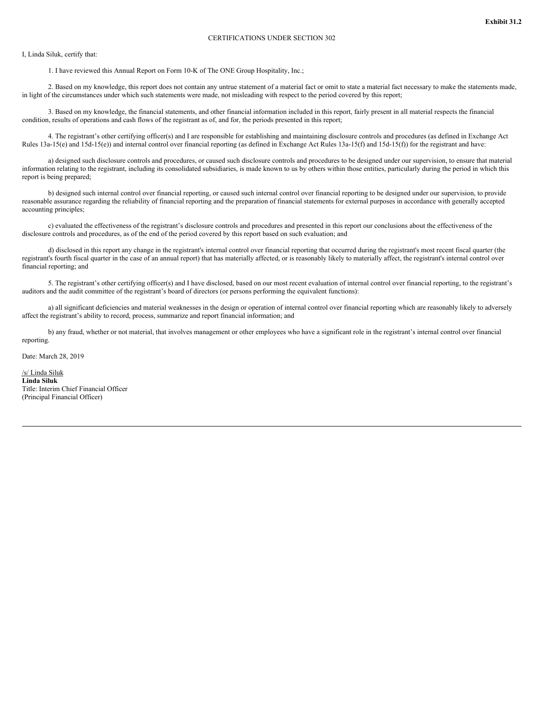I, Linda Siluk, certify that:

1. I have reviewed this Annual Report on Form 10-K of The ONE Group Hospitality, Inc.;

2. Based on my knowledge, this report does not contain any untrue statement of a material fact or omit to state a material fact necessary to make the statements made, in light of the circumstances under which such statements were made, not misleading with respect to the period covered by this report;

3. Based on my knowledge, the financial statements, and other financial information included in this report, fairly present in all material respects the financial condition, results of operations and cash flows of the registrant as of, and for, the periods presented in this report;

4. The registrant's other certifying officer(s) and I are responsible for establishing and maintaining disclosure controls and procedures (as defined in Exchange Act Rules 13a-15(e) and 15d-15(e)) and internal control over financial reporting (as defined in Exchange Act Rules 13a-15(f) and 15d-15(f)) for the registrant and have:

a) designed such disclosure controls and procedures, or caused such disclosure controls and procedures to be designed under our supervision, to ensure that material information relating to the registrant, including its consolidated subsidiaries, is made known to us by others within those entities, particularly during the period in which this report is being prepared;

b) designed such internal control over financial reporting, or caused such internal control over financial reporting to be designed under our supervision, to provide reasonable assurance regarding the reliability of financial reporting and the preparation of financial statements for external purposes in accordance with generally accepted accounting principles;

c) evaluated the effectiveness of the registrant's disclosure controls and procedures and presented in this report our conclusions about the effectiveness of the disclosure controls and procedures, as of the end of the period covered by this report based on such evaluation; and

d) disclosed in this report any change in the registrant's internal control over financial reporting that occurred during the registrant's most recent fiscal quarter (the registrant's fourth fiscal quarter in the case of an annual report) that has materially affected, or is reasonably likely to materially affect, the registrant's internal control over financial reporting; and

5. The registrant's other certifying officer(s) and I have disclosed, based on our most recent evaluation of internal control over financial reporting, to the registrant's auditors and the audit committee of the registrant's board of directors (or persons performing the equivalent functions):

a) all significant deficiencies and material weaknesses in the design or operation of internal control over financial reporting which are reasonably likely to adversely affect the registrant's ability to record, process, summarize and report financial information; and

b) any fraud, whether or not material, that involves management or other employees who have a significant role in the registrant's internal control over financial reporting.

Date: March 28, 2019

## /s/ Linda Siluk **Linda Siluk**

Title: Interim Chief Financial Officer (Principal Financial Officer)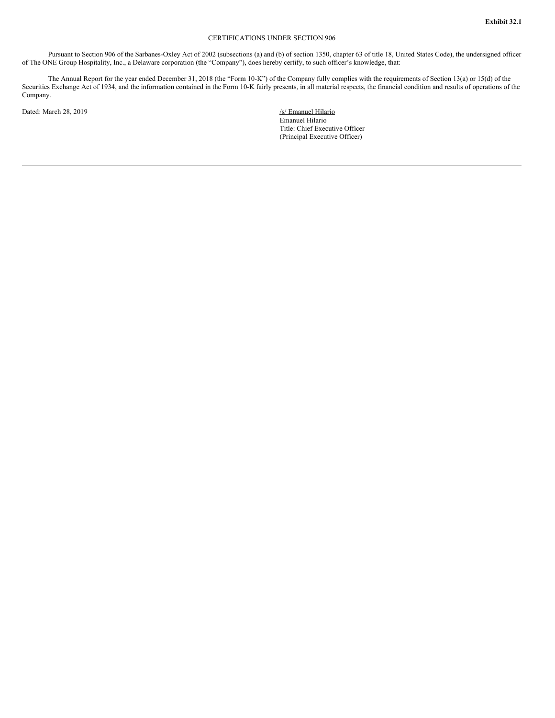## CERTIFICATIONS UNDER SECTION 906

Pursuant to Section 906 of the Sarbanes-Oxley Act of 2002 (subsections (a) and (b) of section 1350, chapter 63 of title 18, United States Code), the undersigned officer of The ONE Group Hospitality, Inc., a Delaware corporation (the "Company"), does hereby certify, to such officer's knowledge, that:

The Annual Report for the year ended December 31, 2018 (the "Form 10-K") of the Company fully complies with the requirements of Section 13(a) or 15(d) of the Securities Exchange Act of 1934, and the information contained in the Form 10-K fairly presents, in all material respects, the financial condition and results of operations of the Company.

Dated: March 28, 2019 /s/ Emanuel Hilario

Emanuel Hilario Title: Chief Executive Officer (Principal Executive Officer)